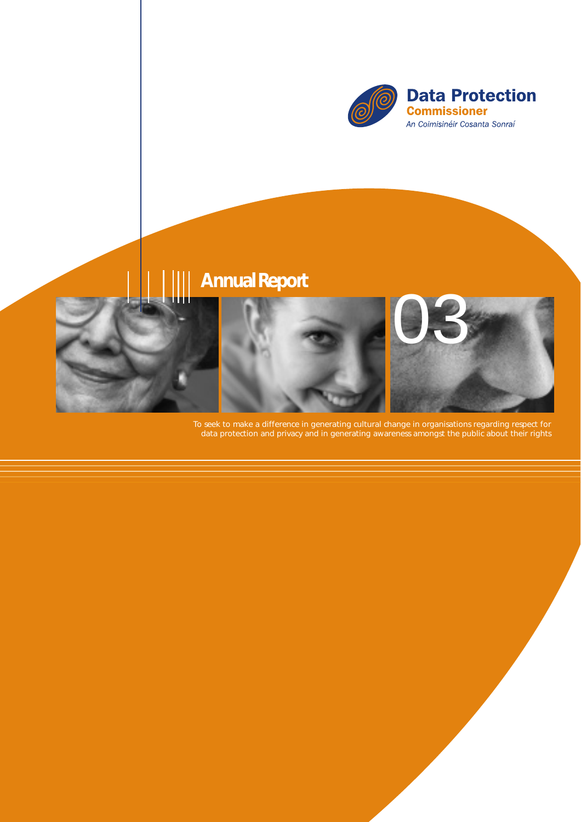

## *Annual Report*





To seek to make a difference in generating cultural change in organisations regarding respect for data protection and privacy and in generating awareness amongst the public about their rights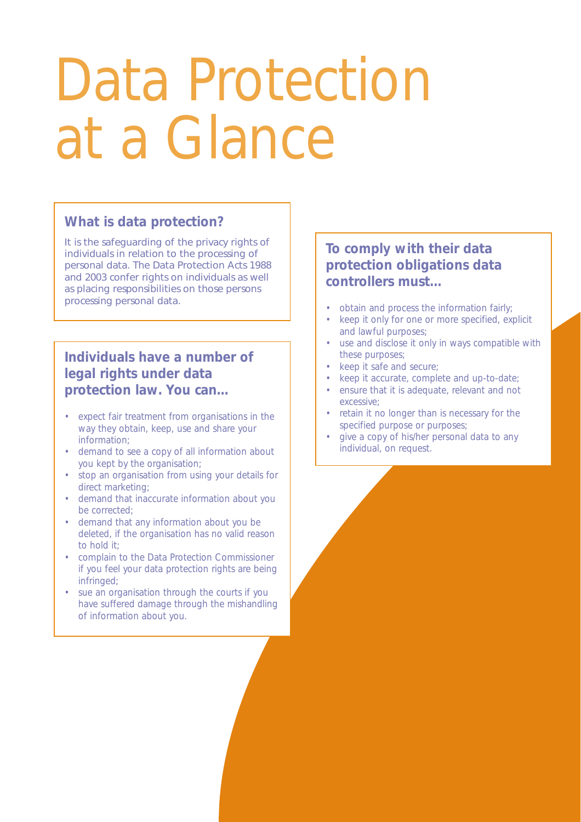## Data Protection at a Glance

#### **What is data protection?**

It is the safeguarding of the privacy rights of individuals in relation to the processing of personal data. The Data Protection Acts 1988 and 2003 confer rights on individuals as well as placing responsibilities on those persons processing personal data.

#### **Individuals have a number of legal rights under data protection law. You can…**

- expect fair treatment from organisations in the way they obtain, keep, use and share your information;
- demand to see a copy of all information about you kept by the organisation;
- stop an organisation from using your details for direct marketing;
- demand that inaccurate information about you be corrected;
- demand that any information about you be deleted, if the organisation has no valid reason to hold it;
- complain to the Data Protection Commissioner if you feel your data protection rights are being infringed;
- sue an organisation through the courts if you have suffered damage through the mishandling of information about you.

#### **To comply with their data protection obligations data controllers must…**

- obtain and process the information fairly;
- keep it only for one or more specified, explicit and lawful purposes;
- use and disclose it only in ways compatible with these purposes;
- keep it safe and secure;
- keep it accurate, complete and up-to-date;
- ensure that it is adequate, relevant and not excessive;
- retain it no longer than is necessary for the specified purpose or purposes;
- give a copy of his/her personal data to any individual, on request.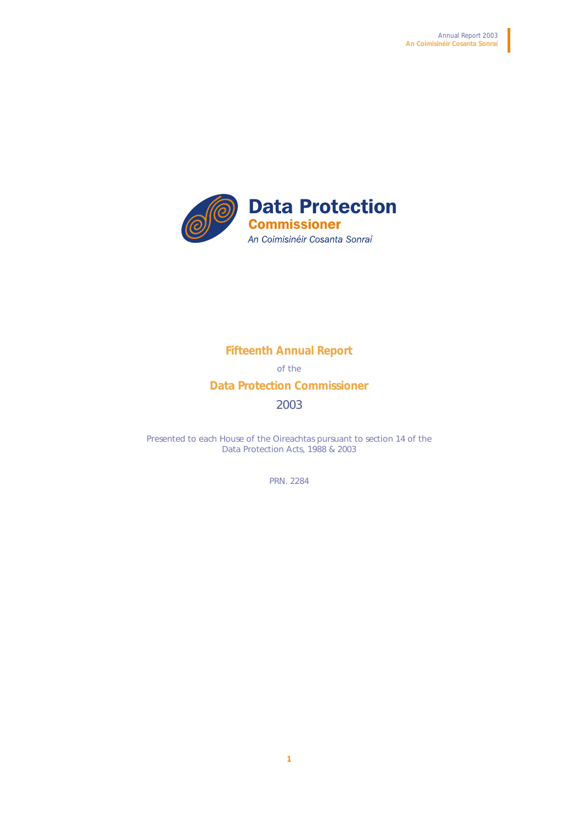

#### *Fifteenth Annual Report* of the *Data Protection Commissioner* 2003

Presented to each House of the Oireachtas pursuant to section 14 of the Data Protection Acts, 1988 & 2003

PRN. 2284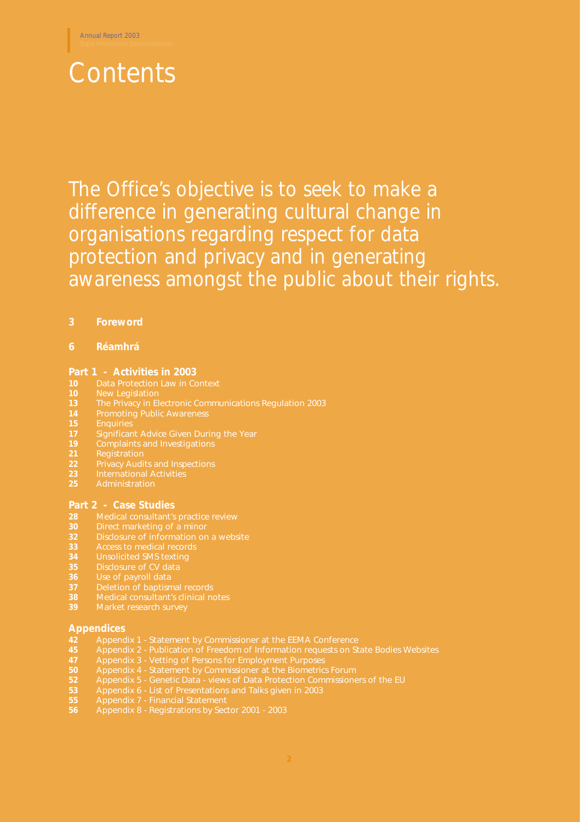## **Contents**

The Office's objective is to seek to make a difference in generating cultural change in organisations regarding respect for data protection and privacy and in generating awareness amongst the public about their rights.

#### **3 Foreword**

#### **6 Réamhrá**

#### **Part 1 - Activities in 2003**

- 
- 10 New Legislation<br>13 The Privacy in El
- **13** The Privacy in Electronic Communications Regulation 2003
- 
- 
- 
- 15 Enquiries<br>
17 Significar<br>
19 Complain<br>
21 Registrati<br>
22 Privacy A<br>
23 Internatio
- 
- 
- 
- 

#### **Part 2 - Case Studies**

- 
- 
- **32** Disclosure of information on a website
- **33** Access to medical records
- 
- 
- **36** Use of payroll data
- 
- **38** Medical consultant's clinical notes
- **39** Market research survey

#### **Appendices**

- **42** Appendix 1 *Statement by Commissioner at the EEMA Conference*
- 
- **47** Appendix 3 *Vetting of Persons for Employment Purposes*
- **50** Appendix 4 *Statement by Commissioner at the Biometrics Forum*
- **52** Appendix 5 *Genetic Data views of Data Protection Commissioners of the EU*
- **53** Appendix 6 *List of Presentations and Talks given in 2003*
- 
- **56** Appendix 8 *Registrations by Sector 2001 2003*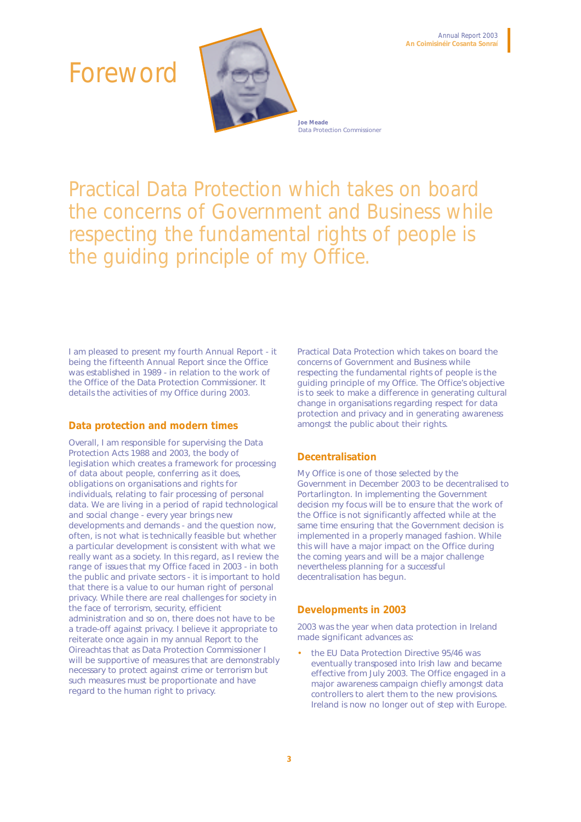## Foreword



Practical Data Protection which takes on board the concerns of Government and Business while respecting the fundamental rights of people is the guiding principle of my Office.

I am pleased to present my fourth Annual Report - it being the fifteenth Annual Report since the Office was established in 1989 - in relation to the work of the Office of the Data Protection Commissioner. It details the activities of my Office during 2003.

#### **Data protection and modern times**

Overall, I am responsible for supervising the Data Protection Acts 1988 and 2003, the body of legislation which creates a framework for processing of data about people, conferring as it does, obligations on organisations and rights for individuals, relating to fair processing of personal data. We are living in a period of rapid technological and social change - every year brings new developments and demands - and the question now, often, is not what is technically feasible but whether a particular development is consistent with what we really want as a society. In this regard, as I review the range of issues that my Office faced in 2003 - in both the public and private sectors - it is important to hold that there is a value to our human right of personal privacy. While there are real challenges for society in the face of terrorism, security, efficient administration and so on, there does not have to be a trade-off against privacy. I believe it appropriate to reiterate once again in my annual Report to the Oireachtas that as Data Protection Commissioner I will be supportive of measures that are demonstrably necessary to protect against crime or terrorism but such measures must be proportionate and have regard to the human right to privacy.

Practical Data Protection which takes on board the concerns of Government and Business while respecting the fundamental rights of people is the guiding principle of my Office. The Office's objective is to seek to make a difference in generating cultural change in organisations regarding respect for data protection and privacy and in generating awareness amongst the public about their rights.

#### **Decentralisation**

My Office is one of those selected by the Government in December 2003 to be decentralised to Portarlington. In implementing the Government decision my focus will be to ensure that the work of the Office is not significantly affected while at the same time ensuring that the Government decision is implemented in a properly managed fashion. While this will have a major impact on the Office during the coming years and will be a major challenge nevertheless planning for a successful decentralisation has begun.

#### **Developments in 2003**

2003 was the year when data protection in Ireland made significant advances as:

• the EU Data Protection Directive 95/46 was eventually transposed into Irish law and became effective from July 2003. The Office engaged in a major awareness campaign chiefly amongst data controllers to alert them to the new provisions. Ireland is now no longer out of step with Europe.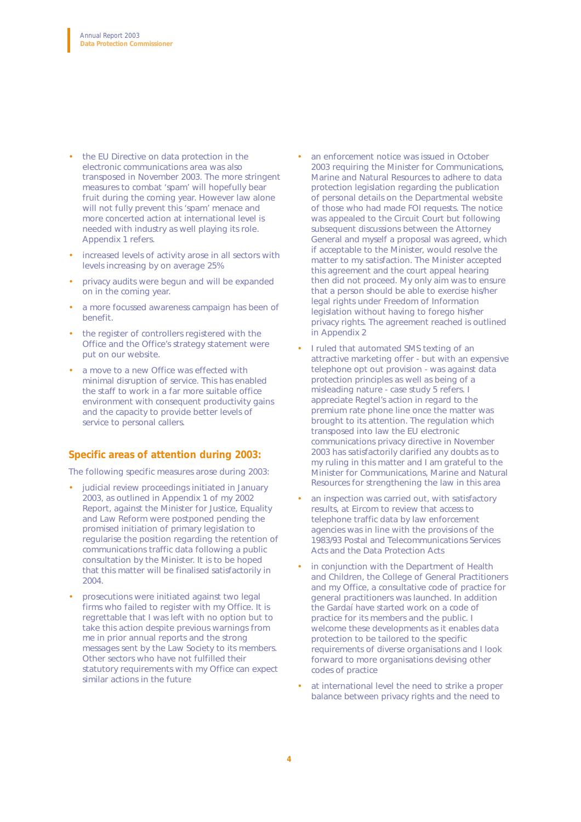- the EU Directive on data protection in the electronic communications area was also transposed in November 2003. The more stringent measures to combat 'spam' will hopefully bear fruit during the coming year. However law alone will not fully prevent this 'spam' menace and more concerted action at international level is needed with industry as well playing its role. Appendix 1 refers.
- increased levels of activity arose in all sectors with levels increasing by on average 25%
- privacy audits were begun and will be expanded on in the coming year.
- a more focussed awareness campaign has been of benefit.
- the register of controllers registered with the Office and the Office's strategy statement were put on our website.
- a move to a new Office was effected with minimal disruption of service. This has enabled the staff to work in a far more suitable office environment with consequent productivity gains and the capacity to provide better levels of service to personal callers.

#### **Specific areas of attention during 2003:**

The following specific measures arose during 2003:

- judicial review proceedings initiated in January 2003, as outlined in Appendix 1 of my 2002 Report, against the Minister for Justice, Equality and Law Reform were postponed pending the promised initiation of primary legislation to regularise the position regarding the retention of communications traffic data following a public consultation by the Minister. It is to be hoped that this matter will be finalised satisfactorily in 2004.
- prosecutions were initiated against two legal firms who failed to register with my Office. It is regrettable that I was left with no option but to take this action despite previous warnings from me in prior annual reports and the strong messages sent by the Law Society to its members. Other sectors who have not fulfilled their statutory requirements with my Office can expect similar actions in the future
- an enforcement notice was issued in October 2003 requiring the Minister for Communications, Marine and Natural Resources to adhere to data protection legislation regarding the publication of personal details on the Departmental website of those who had made FOI requests. The notice was appealed to the Circuit Court but following subsequent discussions between the Attorney General and myself a proposal was agreed, which if acceptable to the Minister, would resolve the matter to my satisfaction. The Minister accepted this agreement and the court appeal hearing then did not proceed. My only aim was to ensure that a person should be able to exercise his/her legal rights under Freedom of Information legislation without having to forego his/her privacy rights. The agreement reached is outlined in Appendix 2
- I ruled that automated SMS texting of an attractive marketing offer - but with an expensive telephone opt out provision - was against data protection principles as well as being of a misleading nature - case study 5 refers. I appreciate Regtel's action in regard to the premium rate phone line once the matter was brought to its attention. The regulation which transposed into law the EU electronic communications privacy directive in November 2003 has satisfactorily clarified any doubts as to my ruling in this matter and I am grateful to the Minister for Communications, Marine and Natural Resources for strengthening the law in this area
- an inspection was carried out, with satisfactory results, at Eircom to review that access to telephone traffic data by law enforcement agencies was in line with the provisions of the 1983/93 Postal and Telecommunications Services Acts and the Data Protection Acts
- in conjunction with the Department of Health and Children, the College of General Practitioners and my Office, a consultative code of practice for general practitioners was launched. In addition the Gardaí have started work on a code of practice for its members and the public. I welcome these developments as it enables data protection to be tailored to the specific requirements of diverse organisations and I look forward to more organisations devising other codes of practice
- at international level the need to strike a proper balance between privacy rights and the need to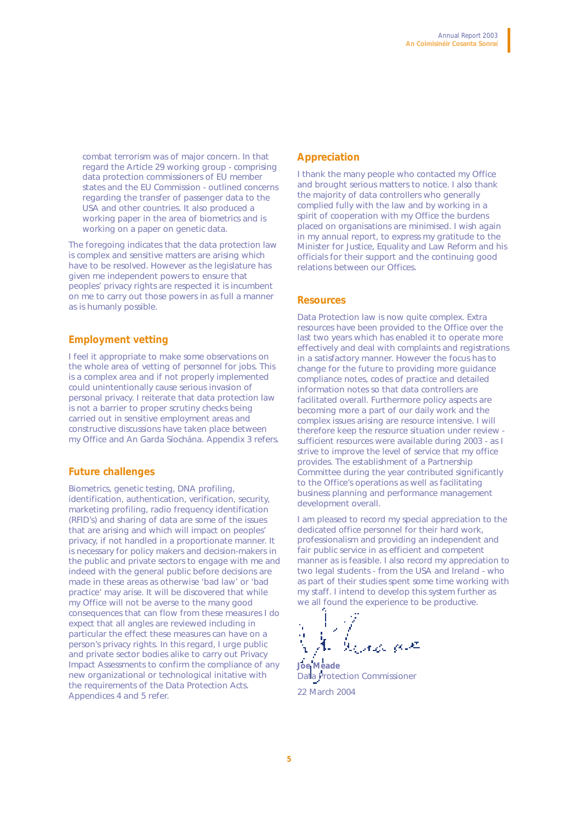combat terrorism was of major concern. In that regard the Article 29 working group - comprising data protection commissioners of EU member states and the EU Commission - outlined concerns regarding the transfer of passenger data to the USA and other countries. It also produced a working paper in the area of biometrics and is working on a paper on genetic data.

The foregoing indicates that the data protection law is complex and sensitive matters are arising which have to be resolved. However as the legislature has given me independent powers to ensure that peoples' privacy rights are respected it is incumbent on me to carry out those powers in as full a manner as is humanly possible.

#### **Employment vetting**

I feel it appropriate to make some observations on the whole area of vetting of personnel for jobs. This is a complex area and if not properly implemented could unintentionally cause serious invasion of personal privacy. I reiterate that data protection law is not a barrier to proper scrutiny checks being carried out in sensitive employment areas and constructive discussions have taken place between my Office and An Garda Síochána. Appendix 3 refers.

#### **Future challenges**

Biometrics, genetic testing, DNA profiling, identification, authentication, verification, security, marketing profiling, radio frequency identification (RFID's) and sharing of data are some of the issues that are arising and which will impact on peoples' privacy, if not handled in a proportionate manner. It is necessary for policy makers and decision-makers in the public and private sectors to engage with me and indeed with the general public before decisions are made in these areas as otherwise 'bad law' or 'bad practice' may arise. It will be discovered that while my Office will not be averse to the many good consequences that can flow from these measures I do expect that all angles are reviewed including in particular the effect these measures can have on a person's privacy rights. In this regard, I urge public and private sector bodies alike to carry out Privacy Impact Assessments to confirm the compliance of any new organizational or technological initative with the requirements of the Data Protection Acts. Appendices 4 and 5 refer.

#### **Appreciation**

I thank the many people who contacted my Office and brought serious matters to notice. I also thank the majority of data controllers who generally complied fully with the law and by working in a spirit of cooperation with my Office the burdens placed on organisations are minimised. I wish again in my annual report, to express my gratitude to the Minister for Justice, Equality and Law Reform and his officials for their support and the continuing good relations between our Offices.

#### **Resources**

Data Protection law is now quite complex. Extra resources have been provided to the Office over the last two years which has enabled it to operate more effectively and deal with complaints and registrations in a satisfactory manner. However the focus has to change for the future to providing more guidance compliance notes, codes of practice and detailed information notes so that data controllers are facilitated overall. Furthermore policy aspects are becoming more a part of our daily work and the complex issues arising are resource intensive. I will therefore keep the resource situation under review sufficient resources were available during 2003 - as I strive to improve the level of service that my office provides. The establishment of a Partnership Committee during the year contributed significantly to the Office's operations as well as facilitating business planning and performance management development overall.

I am pleased to record my special appreciation to the dedicated office personnel for their hard work, professionalism and providing an independent and fair public service in as efficient and competent manner as is feasible. I also record my appreciation to two legal students - from the USA and Ireland - who as part of their studies spent some time working with my staff. I intend to develop this system further as we all found the experience to be productive.

**Joe Meade** *Data Protection Commissioner* 

22 March 2004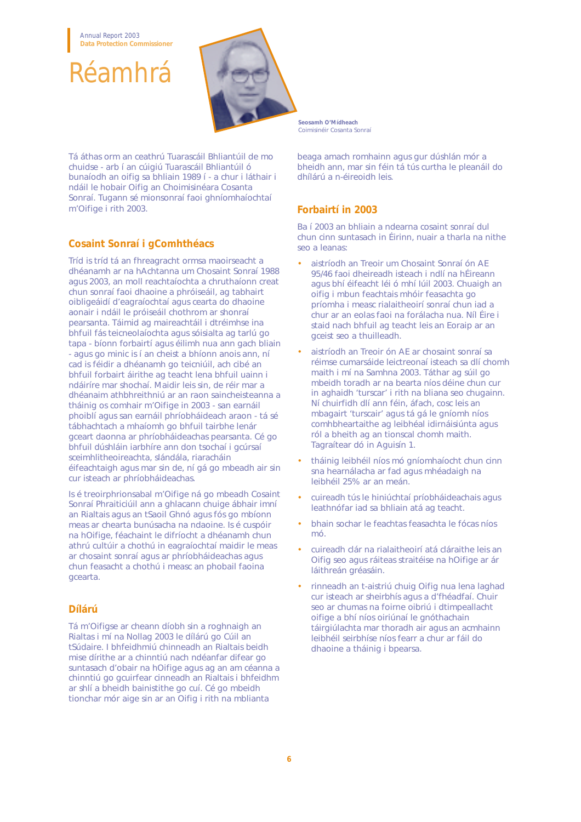#### *Annual Report 2003 Data Protection Commissioner*

Réamhrá



**Seosamh O'Mídheach** *Coimisinéir Cosanta Sonraí*

Tá áthas orm an ceathrú Tuarascáil Bhliantúil de mo chuidse - arb í an cúigiú Tuarascáil Bhliantúil ó bunaíodh an oifig sa bhliain 1989 í - a chur i láthair i ndáil le hobair Oifig an Choimisinéara Cosanta Sonraí. Tugann sé mionsonraí faoi ghníomhaíochtaí m'Oifige i rith 2003.

#### **Cosaint Sonraí i gComhthéacs**

Tríd is tríd tá an fhreagracht ormsa maoirseacht a dhéanamh ar na hAchtanna um Chosaint Sonraí 1988 agus 2003, an moll reachtaíochta a chruthaíonn creat chun sonraí faoi dhaoine a phróiseáil, ag tabhairt oibligeáidí d'eagraíochtaí agus cearta do dhaoine aonair i ndáil le próiseáil chothrom ar shonraí pearsanta. Táimid ag maireachtáil i dtréimhse ina bhfuil fás teicneolaíochta agus sóisialta ag tarlú go tapa - bíonn forbairtí agus éilimh nua ann gach bliain - agus go minic is í an cheist a bhíonn anois ann, ní cad is féidir a dhéanamh go teicniúil, ach cibé an bhfuil forbairt áirithe ag teacht lena bhfuil uainn i ndáiríre mar shochaí. Maidir leis sin, de réir mar a dhéanaim athbhreithniú ar an raon saincheisteanna a tháinig os comhair m'Oifige in 2003 - san earnáil phoiblí agus san earnáil phríobháideach araon - tá sé tábhachtach a mhaíomh go bhfuil tairbhe lenár gceart daonna ar phríobháideachas pearsanta. Cé go bhfuil dúshláin iarbhíre ann don tsochaí i gcúrsaí sceimhlitheoireachta, slándála, riaracháin éifeachtaigh agus mar sin de, ní gá go mbeadh air sin cur isteach ar phríobháideachas.

Is é treoirphrionsabal m'Oifige ná go mbeadh Cosaint Sonraí Phraiticiúil ann a ghlacann chuige ábhair imní an Rialtais agus an tSaoil Ghnó agus fós go mbíonn meas ar chearta bunúsacha na ndaoine. Is é cuspóir na hOifige, féachaint le difríocht a dhéanamh chun athrú cultúir a chothú in eagraíochtaí maidir le meas ar chosaint sonraí agus ar phríobháideachas agus chun feasacht a chothú i measc an phobail faoina gcearta.

#### **Dílárú**

Tá m'Oifigse ar cheann díobh sin a roghnaigh an Rialtas i mí na Nollag 2003 le dílárú go Cúil an tSúdaire. I bhfeidhmiú chinneadh an Rialtais beidh mise dírithe ar a chinntiú nach ndéanfar difear go suntasach d'obair na hOifige agus ag an am céanna a chinntiú go gcuirfear cinneadh an Rialtais i bhfeidhm ar shlí a bheidh bainistithe go cuí. Cé go mbeidh tionchar mór aige sin ar an Oifig i rith na mblianta

beaga amach romhainn agus gur dúshlán mór a bheidh ann, mar sin féin tá tús curtha le pleanáil do dhílárú a n-éireoidh leis.

#### **Forbairtí in 2003**

Ba í 2003 an bhliain a ndearna cosaint sonraí dul chun cinn suntasach in Éirinn, nuair a tharla na nithe seo a leanas:

- aistríodh an Treoir um Chosaint Sonraí ón AE 95/46 faoi dheireadh isteach i ndlí na hÉireann agus bhí éifeacht léi ó mhí Iúil 2003. Chuaigh an oifig i mbun feachtais mhóir feasachta go príomha i measc rialaitheoirí sonraí chun iad a chur ar an eolas faoi na forálacha nua. Níl Éire i staid nach bhfuil ag teacht leis an Eoraip ar an gceist seo a thuilleadh.
- aistríodh an Treoir ón AE ar chosaint sonraí sa réimse cumarsáide leictreonaí isteach sa dlí chomh maith i mí na Samhna 2003. Táthar ag súil go mbeidh toradh ar na bearta níos déine chun cur in aghaidh 'turscar' i rith na bliana seo chugainn. Ní chuirfidh dlí ann féin, áfach, cosc leis an mbagairt 'turscair' agus tá gá le gníomh níos comhbheartaithe ag leibhéal idirnáisiúnta agus ról a bheith ag an tionscal chomh maith. Tagraítear dó in Aguisín 1.
- tháinig leibhéil níos mó gníomhaíocht chun cinn sna hearnálacha ar fad agus mhéadaigh na leibhéil 25% ar an meán.
- cuireadh tús le hiniúchtaí príobháideachais agus leathnófar iad sa bhliain atá ag teacht.
- bhain sochar le feachtas feasachta le fócas níos mó.
- cuireadh clár na rialaitheoirí atá cláraithe leis an Oifig seo agus ráiteas straitéise na hOifige ar ár láithreán gréasáin.
- rinneadh an t-aistriú chuig Oifig nua lena laghad cur isteach ar sheirbhís agus a d'fhéadfaí. Chuir seo ar chumas na foirne oibriú i dtimpeallacht oifige a bhí níos oiriúnaí le gnóthachain táirgiúlachta mar thoradh air agus an acmhainn leibhéil seirbhíse níos fearr a chur ar fáil do dhaoine a tháinig i bpearsa.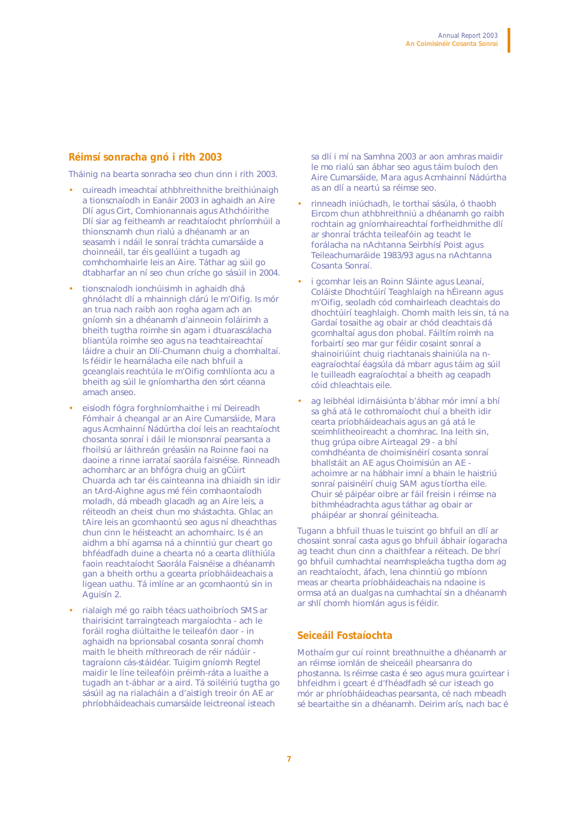#### **Réimsí sonracha gnó i rith 2003**

Tháinig na bearta sonracha seo chun cinn i rith 2003.

- cuireadh imeachtaí athbhreithnithe breithiúnaigh a tionscnaíodh in Eanáir 2003 in aghaidh an Aire Dlí agus Cirt, Comhionannais agus Athchóirithe Dlí siar ag feitheamh ar reachtaíocht phríomhúil a thionscnamh chun rialú a dhéanamh ar an seasamh i ndáil le sonraí tráchta cumarsáide a choinneáil, tar éis geallúint a tugadh ag comhchomhairle leis an Aire. Táthar ag súil go dtabharfar an ní seo chun críche go sásúil in 2004.
- tionscnaíodh ionchúisimh in aghaidh dhá ghnólacht dlí a mhainnigh clárú le m'Oifig. Is mór an trua nach raibh aon rogha agam ach an gníomh sin a dhéanamh d'ainneoin foláirimh a bheith tugtha roimhe sin agam i dtuarascálacha bliantúla roimhe seo agus na teachtaireachtaí láidre a chuir an Dlí-Chumann chuig a chomhaltaí. Is féidir le hearnálacha eile nach bhfuil a gceanglais reachtúla le m'Oifig comhlíonta acu a bheith ag súil le gníomhartha den sórt céanna amach anseo.
- eisíodh fógra forghníomhaithe i mí Deireadh Fómhair á cheangal ar an Aire Cumarsáide, Mara agus Acmhainní Nádúrtha cloí leis an reachtaíocht chosanta sonraí i dáil le mionsonraí pearsanta a fhoilsiú ar láithreán gréasáin na Roinne faoi na daoine a rinne iarrataí saorála faisnéise. Rinneadh achomharc ar an bhfógra chuig an gCúirt Chuarda ach tar éis cainteanna ina dhiaidh sin idir an tArd-Aighne agus mé féin comhaontaíodh moladh, dá mbeadh glacadh ag an Aire leis, a réiteodh an cheist chun mo shástachta. Ghlac an tAire leis an gcomhaontú seo agus ní dheachthas chun cinn le héisteacht an achomhairc. Is é an aidhm a bhí agamsa ná a chinntiú gur cheart go bhféadfadh duine a chearta nó a cearta dlíthiúla faoin reachtaíocht Saorála Faisnéise a dhéanamh gan a bheith orthu a gcearta príobháideachais a ligean uathu. Tá imlíne ar an gcomhaontú sin in Aguisín 2.
- rialaigh mé go raibh téacs uathoibríoch SMS ar thairisicint tarraingteach margaíochta - ach le foráil rogha diúltaithe le teileafón daor - in aghaidh na bprionsabal cosanta sonraí chomh maith le bheith míthreorach de réir nádúir tagraíonn cás-stáidéar. Tuigim gníomh Regtel maidir le líne teileafóin préimh-ráta a luaithe a tugadh an t-ábhar ar a aird. Tá soiléiriú tugtha go sásúil ag na rialacháin a d'aistigh treoir ón AE ar phríobháideachais cumarsáide leictreonaí isteach

sa dlí i mí na Samhna 2003 ar aon amhras maidir le mo rialú san ábhar seo agus táim buíoch den Aire Cumarsáide, Mara agus Acmhainní Nádúrtha as an dlí a neartú sa réimse seo.

- rinneadh iniúchadh, le torthaí sásúla, ó thaobh Eircom chun athbhreithniú a dhéanamh go raibh rochtain ag gníomhaireachtaí forfheidhmithe dlí ar shonraí tráchta teileafóin ag teacht le forálacha na nAchtanna Seirbhísí Poist agus Teileachumaráide 1983/93 agus na nAchtanna Cosanta Sonraí.
- i gcomhar leis an Roinn Sláinte agus Leanaí, Coláiste Dhochtúirí Teaghlaigh na hÉireann agus m'Oifig, seoladh cód comhairleach cleachtais do dhochtúirí teaghlaigh. Chomh maith leis sin, tá na Gardaí tosaithe ag obair ar chód cleachtais dá gcomhaltaí agus don phobal. Fáiltím roimh na forbairtí seo mar gur féidir cosaint sonraí a shainoiriúint chuig riachtanais shainiúla na neagraíochtaí éagsúla dá mbarr agus táim ag súil le tuilleadh eagraíochtaí a bheith ag ceapadh cóid chleachtais eile.
- ag leibhéal idirnáisiúnta b'ábhar mór imní a bhí sa ghá atá le cothromaíocht chuí a bheith idir cearta príobháideachais agus an gá atá le sceimhlitheoireacht a chomhrac. Ina leith sin, thug grúpa oibre Airteagal 29 - a bhí comhdhéanta de choimisinéirí cosanta sonraí bhallstáit an AE agus Choimisiún an AE achoimre ar na hábhair imní a bhain le haistriú sonraí paisinéirí chuig SAM agus tíortha eile. Chuir sé páipéar oibre ar fáil freisin i réimse na bithmhéadrachta agus táthar ag obair ar pháipéar ar shonraí géiniteacha.

Tugann a bhfuil thuas le tuiscint go bhfuil an dlí ar chosaint sonraí casta agus go bhfuil ábhair íogaracha ag teacht chun cinn a chaithfear a réiteach. De bhrí go bhfuil cumhachtaí neamhspleácha tugtha dom ag an reachtaíocht, áfach, lena chinntiú go mbíonn meas ar chearta príobháideachais na ndaoine is ormsa atá an dualgas na cumhachtaí sin a dhéanamh ar shlí chomh hiomlán agus is féidir.

#### **Seiceáil Fostaíochta**

Mothaím gur cuí roinnt breathnuithe a dhéanamh ar an réimse iomlán de sheiceáil phearsanra do phostanna. Is réimse casta é seo agus mura gcuirtear i bhfeidhm i gceart é d'fhéadfadh sé cur isteach go mór ar phríobháideachas pearsanta, cé nach mbeadh sé beartaithe sin a dhéanamh. Deirim arís, nach bac é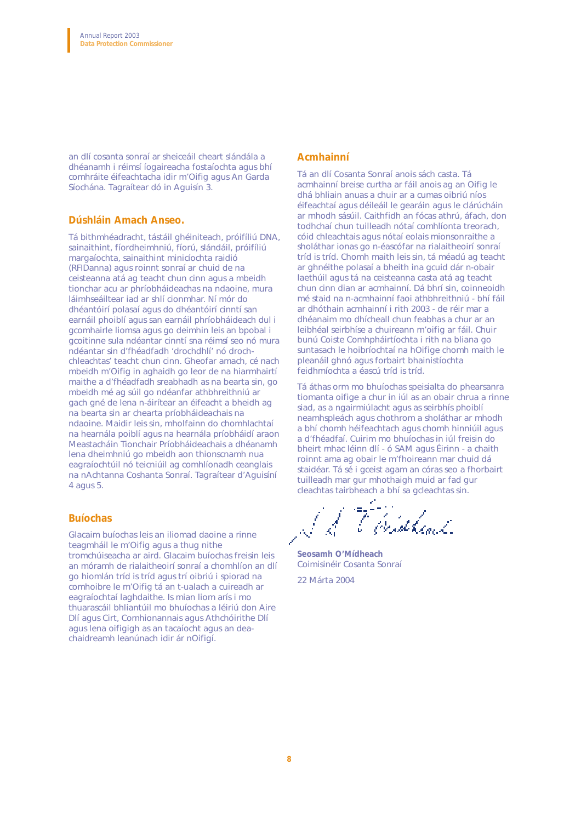an dlí cosanta sonraí ar sheiceáil cheart slándála a dhéanamh i réimsí íogaireacha fostaíochta agus bhí comhráite éifeachtacha idir m'Oifig agus An Garda Síochána. Tagraítear dó in Aguisín 3.

#### **Dúshláin Amach Anseo.**

Tá bithmhéadracht, tástáil ghéiniteach, próifíliú DNA, sainaithint, fíordheimhniú, fíorú, slándáil, próifíliú margaíochta, sainaithint minicíochta raidió (RFIDanna) agus roinnt sonraí ar chuid de na ceisteanna atá ag teacht chun cinn agus a mbeidh tionchar acu ar phríobháideachas na ndaoine, mura láimhseáiltear iad ar shlí cionmhar. Ní mór do dhéantóirí polasaí agus do dhéantóirí cinntí san earnáil phoiblí agus san earnáil phríobháideach dul i gcomhairle liomsa agus go deimhin leis an bpobal i gcoitinne sula ndéantar cinntí sna réimsí seo nó mura ndéantar sin d'fhéadfadh 'drochdhlí' nó drochchleachtas' teacht chun cinn. Gheofar amach, cé nach mbeidh m'Oifig in aghaidh go leor de na hiarmhairtí maithe a d'fhéadfadh sreabhadh as na bearta sin, go mbeidh mé ag súil go ndéanfar athbhreithniú ar gach gné de lena n-áirítear an éifeacht a bheidh ag na bearta sin ar chearta príobháideachais na ndaoine. Maidir leis sin, mholfainn do chomhlachtaí na hearnála poiblí agus na hearnála príobháidí araon Meastacháin Tionchair Príobháideachais a dhéanamh lena dheimhniú go mbeidh aon thionscnamh nua eagraíochtúil nó teicniúil ag comhlíonadh ceanglais na nAchtanna Coshanta Sonraí. Tagraítear d'Aguisíní 4 agus 5.

#### **Buíochas**

Glacaim buíochas leis an iliomad daoine a rinne teagmháil le m'Oifig agus a thug nithe tromchúiseacha ar aird. Glacaim buíochas freisin leis an móramh de rialaitheoirí sonraí a chomhlíon an dlí go hiomlán tríd is tríd agus trí oibriú i spiorad na comhoibre le m'Oifig tá an t-ualach a cuireadh ar eagraíochtaí laghdaithe. Is mian liom arís i mo thuarascáil bhliantúil mo bhuíochas a léiriú don Aire Dlí agus Cirt, Comhionannais agus Athchóirithe Dlí agus lena oifigigh as an tacaíocht agus an deachaidreamh leanúnach idir ár nOifigí.

#### **Acmhainní**

Tá an dlí Cosanta Sonraí anois sách casta. Tá acmhainní breise curtha ar fáil anois ag an Oifig le dhá bhliain anuas a chuir ar a cumas oibriú níos éifeachtaí agus déileáil le gearáin agus le clárúcháin ar mhodh sásúil. Caithfidh an fócas athrú, áfach, don todhchaí chun tuilleadh nótaí comhlíonta treorach, cóid chleachtais agus nótaí eolais mionsonraithe a sholáthar ionas go n-éascófar na rialaitheoirí sonraí tríd is tríd. Chomh maith leis sin, tá méadú ag teacht ar ghnéithe polasaí a bheith ina gcuid dár n-obair laethúil agus tá na ceisteanna casta atá ag teacht chun cinn dian ar acmhainní. Dá bhrí sin, coinneoidh mé staid na n-acmhainní faoi athbhreithniú - bhí fáil ar dhóthain acmhainní i rith 2003 - de réir mar a dhéanaim mo dhícheall chun feabhas a chur ar an leibhéal seirbhíse a chuireann m'oifig ar fáil. Chuir bunú Coiste Comhpháirtíochta i rith na bliana go suntasach le hoibríochtaí na hOifige chomh maith le pleanáil ghnó agus forbairt bhainistíochta feidhmíochta a éascú tríd is tríd.

Tá áthas orm mo bhuíochas speisialta do phearsanra tiomanta oifige a chur in iúl as an obair chrua a rinne siad, as a ngairmiúlacht agus as seirbhís phoiblí neamhspleách agus chothrom a sholáthar ar mhodh a bhí chomh héifeachtach agus chomh hinniúil agus a d'fhéadfaí. Cuirim mo bhuíochas in iúl freisin do bheirt mhac léinn dlí - ó SAM agus Éirinn - a chaith roinnt ama ag obair le m'fhoireann mar chuid dá staidéar. Tá sé i gceist agam an córas seo a fhorbairt tuilleadh mar gur mhothaigh muid ar fad gur cleachtas tairbheach a bhí sa gcleachtas sin.

frikkend.

**Seosamh O'Mídheach** *Coimisinéir Cosanta Sonraí*

22 Márta 2004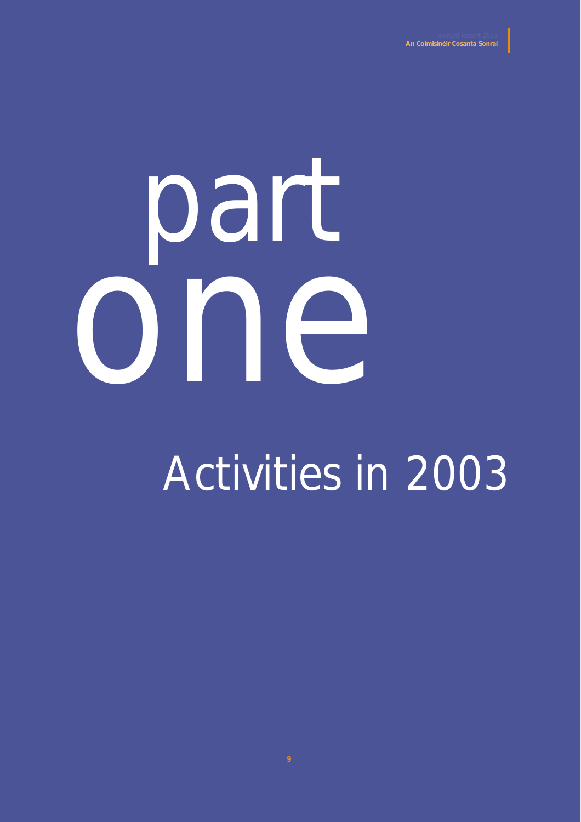

## part one

## Activities in 2003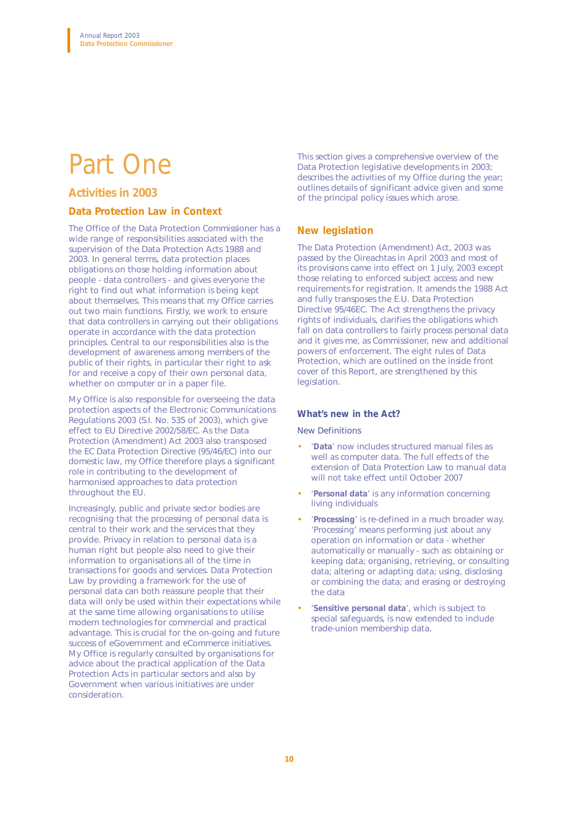## Part One

#### *Activities in 2003*

#### **Data Protection Law in Context**

The Office of the Data Protection Commissioner has a wide range of responsibilities associated with the supervision of the Data Protection Acts 1988 and 2003. In general terms, data protection places obligations on those holding information about people - data controllers - and gives everyone the right to find out what information is being kept about themselves. This means that my Office carries out two main functions. Firstly, we work to ensure that data controllers in carrying out their obligations operate in accordance with the data protection principles. Central to our responsibilities also is the development of awareness among members of the public of their rights, in particular their right to ask for and receive a copy of their own personal data, whether on computer or in a paper file.

My Office is also responsible for overseeing the data protection aspects of the Electronic Communications Regulations 2003 (S.I. No. 535 of 2003), which give effect to EU Directive 2002/58/EC. As the Data Protection (Amendment) Act 2003 also transposed the EC Data Protection Directive (95/46/EC) into our domestic law, my Office therefore plays a significant role in contributing to the development of harmonised approaches to data protection throughout the EU.

Increasingly, public and private sector bodies are recognising that the processing of personal data is central to their work and the services that they provide. Privacy in relation to personal data is a human right but people also need to give their information to organisations all of the time in transactions for goods and services. Data Protection Law by providing a framework for the use of personal data can both reassure people that their data will only be used within their expectations while at the same time allowing organisations to utilise modern technologies for commercial and practical advantage. This is crucial for the on-going and future success of eGovernment and eCommerce initiatives. My Office is regularly consulted by organisations for advice about the practical application of the Data Protection Acts in particular sectors and also by Government when various initiatives are under consideration.

This section gives a comprehensive overview of the Data Protection legislative developments in 2003; describes the activities of my Office during the year; outlines details of significant advice given and some of the principal policy issues which arose.

#### **New legislation**

The Data Protection (Amendment) Act, 2003 was passed by the Oireachtas in April 2003 and most of its provisions came into effect on 1 July, 2003 except those relating to enforced subject access and new requirements for registration. It amends the 1988 Act and fully transposes the E.U. Data Protection Directive 95/46EC. The Act strengthens the privacy rights of individuals, clarifies the obligations which fall on data controllers to fairly process personal data and it gives me, as Commissioner, new and additional powers of enforcement. The eight rules of Data Protection, which are outlined on the inside front cover of this Report, are strengthened by this legislation.

#### *What's new in the Act?*

#### New Definitions

- '**Data**' now includes structured manual files as well as computer data. The full effects of the extension of Data Protection Law to manual data will not take effect until October 2007
- '**Personal data**' is any information concerning living individuals
- '**Processing**' is re-defined in a much broader way. 'Processing' means performing just about any operation on information or data - whether automatically or manually - such as: obtaining or keeping data; organising, retrieving, or consulting data; altering or adapting data; using, disclosing or combining the data; and erasing or destroying the data
- '**Sensitive personal data**', which is subject to special safeguards, is now extended to include trade-union membership data.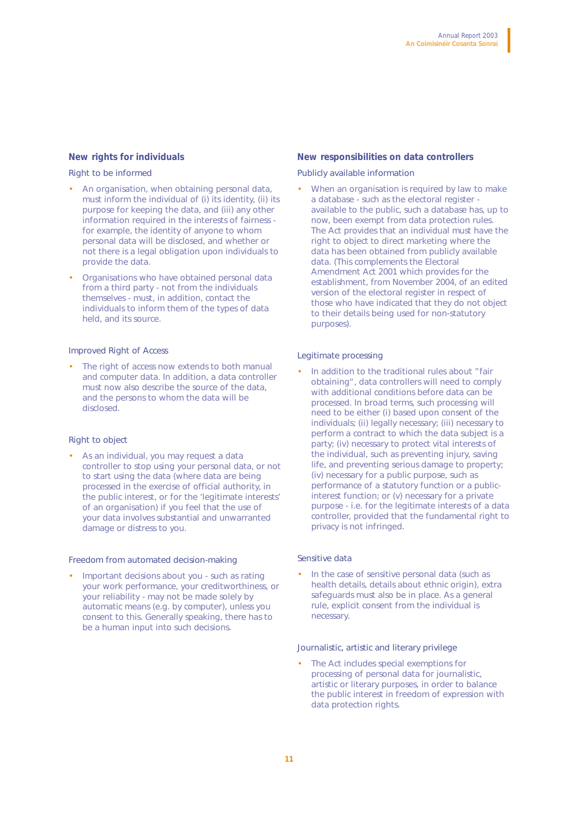#### *New rights for individuals*

#### Right to be informed

- An organisation, when obtaining personal data, must inform the individual of (i) its identity, (ii) its purpose for keeping the data, and (iii) any other information required in the interests of fairness for example, the identity of anyone to whom personal data will be disclosed, and whether or not there is a legal obligation upon individuals to provide the data.
- Organisations who have obtained personal data from a third party - not from the individuals themselves - must, in addition, contact the individuals to inform them of the types of data held, and its source.

#### Improved Right of Access

• The right of access now extends to both manual and computer data. In addition, a data controller must now also describe the source of the data, and the persons to whom the data will be disclosed.

#### Right to object

As an individual, you may request a data controller to stop using your personal data, or not to start using the data (where data are being processed in the exercise of official authority, in the public interest, or for the 'legitimate interests' of an organisation) if you feel that the use of your data involves substantial and unwarranted damage or distress to you.

#### Freedom from automated decision-making

• Important decisions about you - such as rating your work performance, your creditworthiness, or your reliability - may not be made solely by automatic means (e.g. by computer), unless you consent to this. Generally speaking, there has to be a human input into such decisions.

#### *New responsibilities on data controllers*

#### Publicly available information

When an organisation is required by law to make a database - such as the electoral register available to the public, such a database has, up to now, been exempt from data protection rules. The Act provides that an individual must have the right to object to direct marketing where the data has been obtained from publicly available data. (This complements the Electoral Amendment Act 2001 which provides for the establishment, from November 2004, of an edited version of the electoral register in respect of those who have indicated that they do not object to their details being used for non-statutory purposes).

#### Legitimate processing

In addition to the traditional rules about "fair obtaining", data controllers will need to comply with additional conditions before data can be processed. In broad terms, such processing will need to be either (i) based upon consent of the individuals; (ii) legally necessary; (iii) necessary to perform a contract to which the data subject is a party; (iv) necessary to protect vital interests of the individual, such as preventing injury, saving life, and preventing serious damage to property; (iv) necessary for a public purpose, such as performance of a statutory function or a publicinterest function; or (v) necessary for a private purpose - i.e. for the legitimate interests of a data controller, provided that the fundamental right to privacy is not infringed.

#### Sensitive data

• In the case of sensitive personal data (such as health details, details about ethnic origin), extra safeguards must also be in place. As a general rule, explicit consent from the individual is necessary.

#### Journalistic, artistic and literary privilege

• The Act includes special exemptions for processing of personal data for journalistic, artistic or literary purposes, in order to balance the public interest in freedom of expression with data protection rights.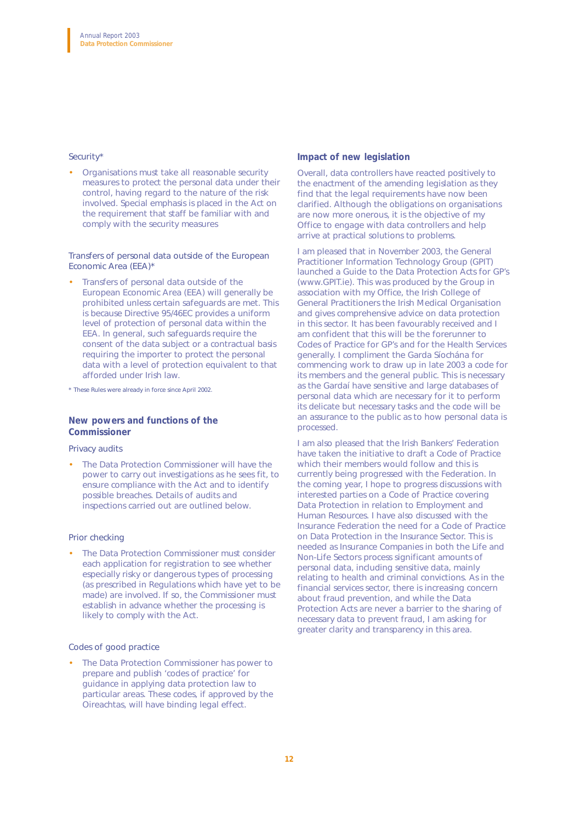#### Security\*

• Organisations must take all reasonable security measures to protect the personal data under their control, having regard to the nature of the risk involved. Special emphasis is placed in the Act on the requirement that staff be familiar with and comply with the security measures

#### Transfers of personal data outside of the European Economic Area (EEA)\*

• Transfers of personal data outside of the European Economic Area (EEA) will generally be prohibited unless certain safeguards are met. This is because Directive 95/46EC provides a uniform level of protection of personal data within the EEA. In general, such safeguards require the consent of the data subject or a contractual basis requiring the importer to protect the personal data with a level of protection equivalent to that afforded under Irish law.

*\* These Rules were already in force since April 2002.*

#### *New powers and functions of the Commissioner*

#### Privacy audits

• The Data Protection Commissioner will have the power to carry out investigations as he sees fit, to ensure compliance with the Act and to identify possible breaches. Details of audits and inspections carried out are outlined below.

#### Prior checking

• The Data Protection Commissioner must consider each application for registration to see whether especially risky or dangerous types of processing (as prescribed in Regulations which have yet to be made) are involved. If so, the Commissioner must establish in advance whether the processing is likely to comply with the Act.

#### Codes of good practice

• The Data Protection Commissioner has power to prepare and publish 'codes of practice' for guidance in applying data protection law to particular areas. These codes, if approved by the Oireachtas, will have binding legal effect.

#### *Impact of new legislation*

Overall, data controllers have reacted positively to the enactment of the amending legislation as they find that the legal requirements have now been clarified. Although the obligations on organisations are now more onerous, it is the objective of my Office to engage with data controllers and help arrive at practical solutions to problems.

I am pleased that in November 2003, the General Practitioner Information Technology Group (GPIT) launched a Guide to the Data Protection Acts for GP's (www.GPIT.ie). This was produced by the Group in association with my Office, the Irish College of General Practitioners the Irish Medical Organisation and gives comprehensive advice on data protection in this sector. It has been favourably received and I am confident that this will be the forerunner to Codes of Practice for GP's and for the Health Services generally. I compliment the Garda Síochána for commencing work to draw up in late 2003 a code for its members and the general public. This is necessary as the Gardaí have sensitive and large databases of personal data which are necessary for it to perform its delicate but necessary tasks and the code will be an assurance to the public as to how personal data is processed.

I am also pleased that the Irish Bankers' Federation have taken the initiative to draft a Code of Practice which their members would follow and this is currently being progressed with the Federation. In the coming year, I hope to progress discussions with interested parties on a Code of Practice covering Data Protection in relation to Employment and Human Resources. I have also discussed with the Insurance Federation the need for a Code of Practice on Data Protection in the Insurance Sector. This is needed as Insurance Companies in both the Life and Non-Life Sectors process significant amounts of personal data, including sensitive data, mainly relating to health and criminal convictions. As in the financial services sector, there is increasing concern about fraud prevention, and while the Data Protection Acts are never a barrier to the sharing of necessary data to prevent fraud, I am asking for greater clarity and transparency in this area.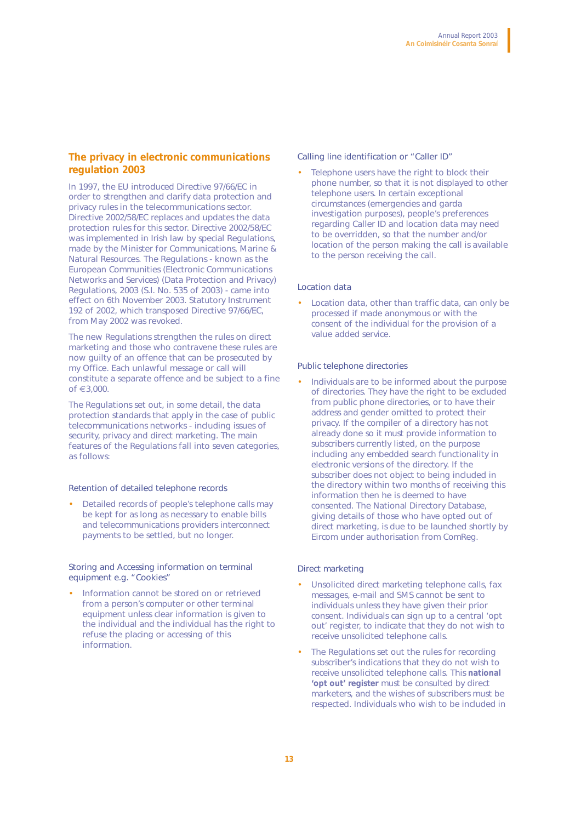#### **The privacy in electronic communications regulation 2003**

In 1997, the EU introduced Directive 97/66/EC in order to strengthen and clarify data protection and privacy rules in the telecommunications sector. Directive 2002/58/EC replaces and updates the data protection rules for this sector. Directive 2002/58/EC was implemented in Irish law by special Regulations, made by the Minister for Communications, Marine & Natural Resources. The Regulations - known as the European Communities (Electronic Communications Networks and Services) (Data Protection and Privacy) Regulations, 2003 (S.I. No. 535 of 2003) - came into effect on 6th November 2003. Statutory Instrument 192 of 2002, which transposed Directive 97/66/EC, from May 2002 was revoked.

The new Regulations strengthen the rules on direct marketing and those who contravene these rules are now guilty of an offence that can be prosecuted by my Office. Each unlawful message or call will constitute a separate offence and be subject to a fine of €3,000.

The Regulations set out, in some detail, the data protection standards that apply in the case of public telecommunications networks - including issues of security, privacy and direct marketing. The main features of the Regulations fall into seven categories, as follows:

#### Retention of detailed telephone records

• Detailed records of people's telephone calls may be kept for as long as necessary to enable bills and telecommunications providers interconnect payments to be settled, but no longer.

#### Storing and Accessing information on terminal equipment e.g. "Cookies"

• Information cannot be stored on or retrieved from a person's computer or other terminal equipment unless clear information is given to the individual and the individual has the right to refuse the placing or accessing of this information.

#### Calling line identification or "Caller ID"

Telephone users have the right to block their phone number, so that it is not displayed to other telephone users. In certain exceptional circumstances (emergencies and garda investigation purposes), people's preferences regarding Caller ID and location data may need to be overridden, so that the number and/or location of the person making the call is available to the person receiving the call.

#### Location data

• Location data, other than traffic data, can only be processed if made anonymous or with the consent of the individual for the provision of a value added service.

#### Public telephone directories

• Individuals are to be informed about the purpose of directories. They have the right to be excluded from public phone directories, or to have their address and gender omitted to protect their privacy. If the compiler of a directory has not already done so it must provide information to subscribers currently listed, on the purpose including any embedded search functionality in electronic versions of the directory. If the subscriber does not object to being included in the directory within two months of receiving this information then he is deemed to have consented. The National Directory Database, giving details of those who have opted out of direct marketing, is due to be launched shortly by Eircom under authorisation from ComReg.

#### Direct marketing

- Unsolicited direct marketing telephone calls, fax messages, e-mail and SMS cannot be sent to individuals unless they have given their prior consent. Individuals can sign up to a central 'opt out' register, to indicate that they do not wish to receive unsolicited telephone calls.
- The Regulations set out the rules for recording subscriber's indications that they do not wish to receive unsolicited telephone calls. This *national 'opt out' register* must be consulted by direct marketers, and the wishes of subscribers must be respected. Individuals who wish to be included in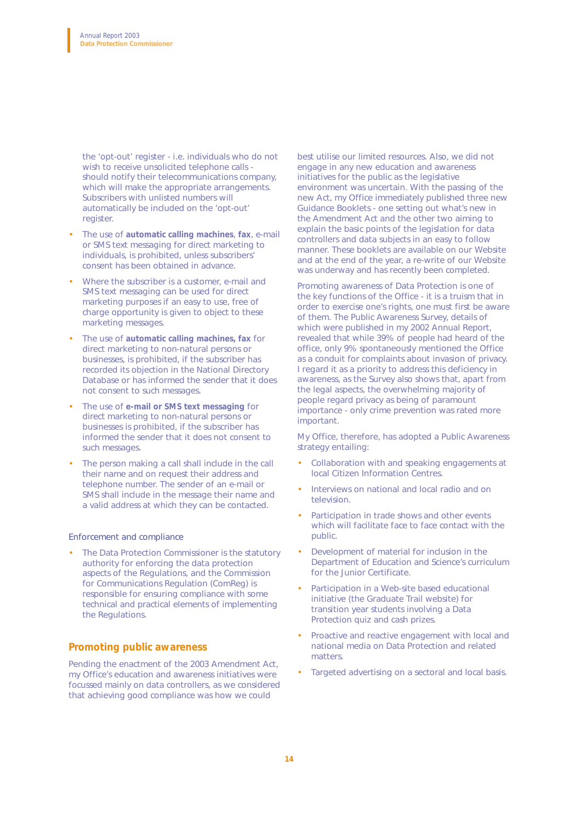the 'opt-out' register - i.e. individuals who do not wish to receive unsolicited telephone calls should notify their telecommunications company, which will make the appropriate arrangements. Subscribers with unlisted numbers will automatically be included on the 'opt-out' register.

- The use of *automatic calling machines*, *fax*, e-mail or SMS text messaging for direct marketing to individuals, is prohibited, unless subscribers' consent has been obtained in advance.
- Where the subscriber is a customer, e-mail and SMS text messaging can be used for direct marketing purposes if an easy to use, free of charge opportunity is given to object to these marketing messages.
- The use of *automatic calling machines, fax* for direct marketing to non-natural persons or businesses, is prohibited, if the subscriber has recorded its objection in the National Directory Database or has informed the sender that it does not consent to such messages.
- The use of *e-mail or SMS text messaging* for direct marketing to non-natural persons or businesses is prohibited, if the subscriber has informed the sender that it does not consent to such messages.
- The person making a call shall include in the call their name and on request their address and telephone number. The sender of an e-mail or SMS shall include in the message their name and a valid address at which they can be contacted.

#### Enforcement and compliance

The Data Protection Commissioner is the statutory authority for enforcing the data protection aspects of the Regulations, and the Commission for Communications Regulation (ComReg) is responsible for ensuring compliance with some technical and practical elements of implementing the Regulations.

#### **Promoting public awareness**

Pending the enactment of the 2003 Amendment Act, my Office's education and awareness initiatives were focussed mainly on data controllers, as we considered that achieving good compliance was how we could

best utilise our limited resources. Also, we did not engage in any new education and awareness initiatives for the public as the legislative environment was uncertain. With the passing of the new Act, my Office immediately published three new Guidance Booklets - one setting out what's new in the Amendment Act and the other two aiming to explain the basic points of the legislation for data controllers and data subjects in an easy to follow manner. These booklets are available on our Website and at the end of the year, a re-write of our Website was underway and has recently been completed.

Promoting awareness of Data Protection is one of the key functions of the Office - it is a truism that in order to exercise one's rights, one must first be aware of them. The Public Awareness Survey, details of which were published in my 2002 Annual Report, revealed that while 39% of people had heard of the office, only 9% spontaneously mentioned the Office as a conduit for complaints about invasion of privacy. I regard it as a priority to address this deficiency in awareness, as the Survey also shows that, apart from the legal aspects, the overwhelming majority of people regard privacy as being of paramount importance - only crime prevention was rated more important.

My Office, therefore, has adopted a Public Awareness strategy entailing:

- Collaboration with and speaking engagements at local Citizen Information Centres.
- Interviews on national and local radio and on television.
- Participation in trade shows and other events which will facilitate face to face contact with the public.
- Development of material for inclusion in the Department of Education and Science's curriculum for the Junior Certificate.
- Participation in a Web-site based educational initiative (the Graduate Trail website) for transition year students involving a Data Protection quiz and cash prizes.
- Proactive and reactive engagement with local and national media on Data Protection and related matters.
- Targeted advertising on a sectoral and local basis.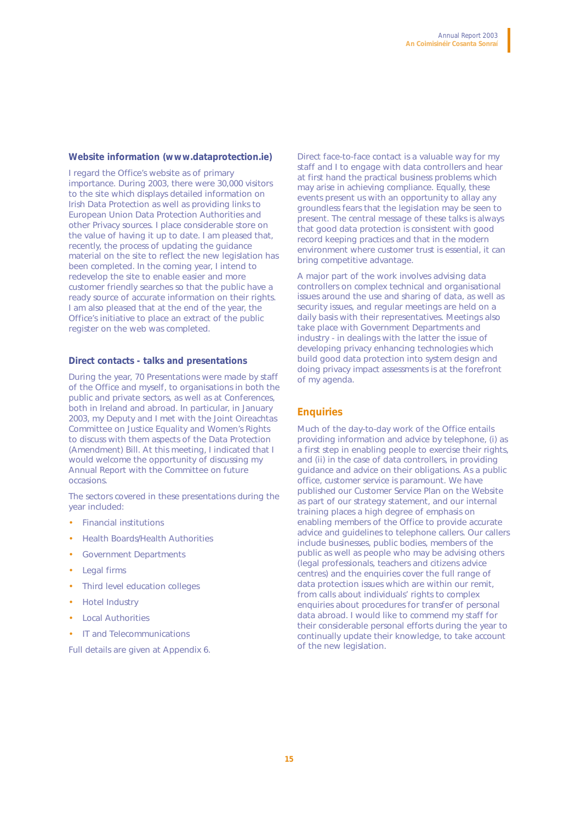#### *Website information (www.dataprotection.ie)*

I regard the Office's website as of primary importance. During 2003, there were 30,000 visitors to the site which displays detailed information on Irish Data Protection as well as providing links to European Union Data Protection Authorities and other Privacy sources. I place considerable store on the value of having it up to date. I am pleased that, recently, the process of updating the guidance material on the site to reflect the new legislation has been completed. In the coming year, I intend to redevelop the site to enable easier and more customer friendly searches so that the public have a ready source of accurate information on their rights. I am also pleased that at the end of the year, the Office's initiative to place an extract of the public register on the web was completed.

#### *Direct contacts - talks and presentations*

During the year, 70 Presentations were made by staff of the Office and myself, to organisations in both the public and private sectors, as well as at Conferences, both in Ireland and abroad. In particular, in January 2003, my Deputy and I met with the Joint Oireachtas Committee on Justice Equality and Women's Rights to discuss with them aspects of the Data Protection (Amendment) Bill. At this meeting, I indicated that I would welcome the opportunity of discussing my Annual Report with the Committee on future occasions.

The sectors covered in these presentations during the year included:

- Financial institutions
- Health Boards/Health Authorities
- Government Departments
- Legal firms
- Third level education colleges
- Hotel Industry
- **Local Authorities**
- IT and Telecommunications

Full details are given at Appendix 6.

Direct face-to-face contact is a valuable way for my staff and I to engage with data controllers and hear at first hand the practical business problems which may arise in achieving compliance. Equally, these events present us with an opportunity to allay any groundless fears that the legislation may be seen to present. The central message of these talks is always that good data protection is consistent with good record keeping practices and that in the modern environment where customer trust is essential, it can bring competitive advantage.

A major part of the work involves advising data controllers on complex technical and organisational issues around the use and sharing of data, as well as security issues, and regular meetings are held on a daily basis with their representatives. Meetings also take place with Government Departments and industry - in dealings with the latter the issue of developing privacy enhancing technologies which build good data protection into system design and doing privacy impact assessments is at the forefront of my agenda.

#### **Enquiries**

Much of the day-to-day work of the Office entails providing information and advice by telephone, (i) as a first step in enabling people to exercise their rights, and (ii) in the case of data controllers, in providing guidance and advice on their obligations. As a public office, customer service is paramount. We have published our Customer Service Plan on the Website as part of our strategy statement, and our internal training places a high degree of emphasis on enabling members of the Office to provide accurate advice and guidelines to telephone callers. Our callers include businesses, public bodies, members of the public as well as people who may be advising others (legal professionals, teachers and citizens advice centres) and the enquiries cover the full range of data protection issues which are within our remit, from calls about individuals' rights to complex enquiries about procedures for transfer of personal data abroad. I would like to commend my staff for their considerable personal efforts during the year to continually update their knowledge, to take account of the new legislation.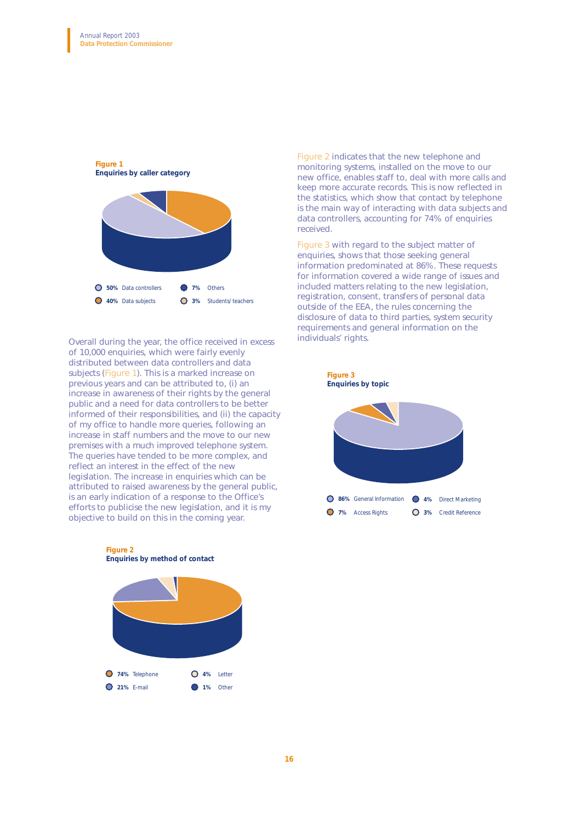

Overall during the year, the office received in excess of 10,000 enquiries, which were fairly evenly distributed between data controllers and data subjects (Figure 1). This is a marked increase on previous years and can be attributed to, (i) an increase in awareness of their rights by the general public and a need for data controllers to be better informed of their responsibilities, and (ii) the capacity of my office to handle more queries, following an increase in staff numbers and the move to our new premises with a much improved telephone system. The queries have tended to be more complex, and reflect an interest in the effect of the new legislation. The increase in enquiries which can be attributed to raised awareness by the general public, is an early indication of a response to the Office's efforts to publicise the new legislation, and it is my objective to build on this in the coming year.





Figure 2 indicates that the new telephone and monitoring systems, installed on the move to our new office, enables staff to, deal with more calls and keep more accurate records. This is now reflected in the statistics, which show that contact by telephone is the main way of interacting with data subjects and data controllers, accounting for 74% of enquiries received.

Figure 3 with regard to the subject matter of enquiries, shows that those seeking general information predominated at 86%. These requests for information covered a wide range of issues and included matters relating to the new legislation, registration, consent, transfers of personal data outside of the EEA, the rules concerning the disclosure of data to third parties, system security requirements and general information on the individuals' rights.

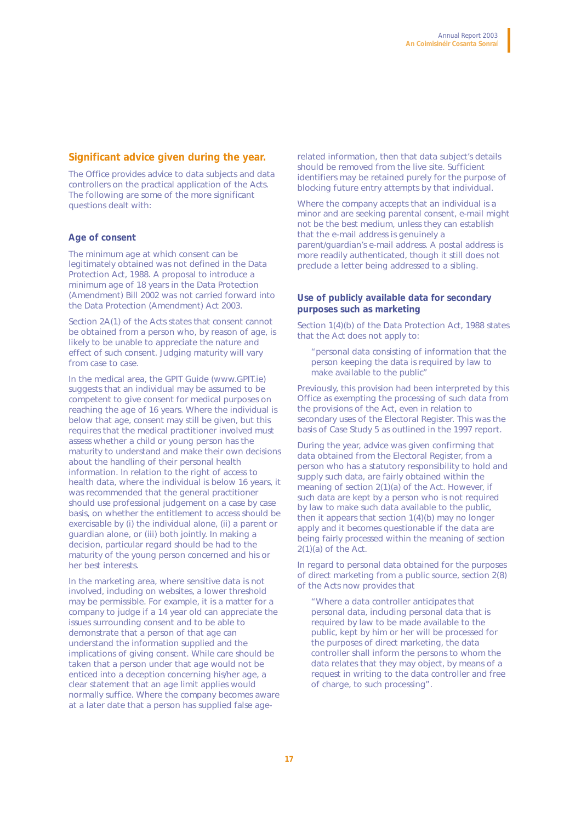#### **Significant advice given during the year.**

The Office provides advice to data subjects and data controllers on the practical application of the Acts. The following are some of the more significant questions dealt with:

#### *Age of consent*

The minimum age at which consent can be legitimately obtained was not defined in the Data Protection Act, 1988. A proposal to introduce a minimum age of 18 years in the Data Protection (Amendment) Bill 2002 was not carried forward into the Data Protection (Amendment) Act 2003.

Section 2A(1) of the Acts states that consent cannot be obtained from a person who, by reason of age, is likely to be unable to appreciate the nature and effect of such consent. Judging maturity will vary from case to case.

In the medical area, the GPIT Guide (www.GPIT.ie) suggests that an individual may be assumed to be competent to give consent for medical purposes on reaching the age of 16 years. Where the individual is below that age, consent may still be given, but this requires that the medical practitioner involved must assess whether a child or young person has the maturity to understand and make their own decisions about the handling of their personal health information. In relation to the right of access to health data, where the individual is below 16 years, it was recommended that the general practitioner should use professional judgement on a case by case basis, on whether the entitlement to access should be exercisable by (i) the individual alone, (ii) a parent or guardian alone, or (iii) both jointly. In making a decision, particular regard should be had to the maturity of the young person concerned and his or her best interests.

In the marketing area, where sensitive data is not involved, including on websites, a lower threshold may be permissible. For example, it is a matter for a company to judge if a 14 year old can appreciate the issues surrounding consent and to be able to demonstrate that a person of that age can understand the information supplied and the implications of giving consent. While care should be taken that a person under that age would not be enticed into a deception concerning his/her age, a clear statement that an age limit applies would normally suffice. Where the company becomes aware at a later date that a person has supplied false agerelated information, then that data subject's details should be removed from the live site. Sufficient identifiers may be retained purely for the purpose of blocking future entry attempts by that individual.

Where the company accepts that an individual is a minor and are seeking parental consent, e-mail might not be the best medium, unless they can establish that the e-mail address is genuinely a parent/guardian's e-mail address. A postal address is more readily authenticated, though it still does not preclude a letter being addressed to a sibling.

#### *Use of publicly available data for secondary purposes such as marketing*

Section 1(4)(b) of the Data Protection Act, 1988 states that the Act does not apply to:

"personal data consisting of information that the person keeping the data is required by law to make available to the public"

Previously, this provision had been interpreted by this Office as exempting the processing of such data from the provisions of the Act, even in relation to secondary uses of the Electoral Register. This was the basis of Case Study 5 as outlined in the 1997 report.

During the year, advice was given confirming that data obtained from the Electoral Register, from a person who has a statutory responsibility to hold and supply such data, are fairly obtained within the meaning of section 2(1)(a) of the Act. However, if such data are kept by a person who is not required by law to make such data available to the public, then it appears that section 1(4)(b) may no longer apply and it becomes questionable if the data are being fairly processed within the meaning of section  $2(1)(a)$  of the Act.

In regard to personal data obtained for the purposes of direct marketing from a public source, section 2(8) of the Acts now provides that

"Where a data controller anticipates that personal data, including personal data that is required by law to be made available to the public, kept by him or her will be processed for the purposes of direct marketing, the data controller shall inform the persons to whom the data relates that they may object, by means of a request in writing to the data controller and free of charge, to such processing".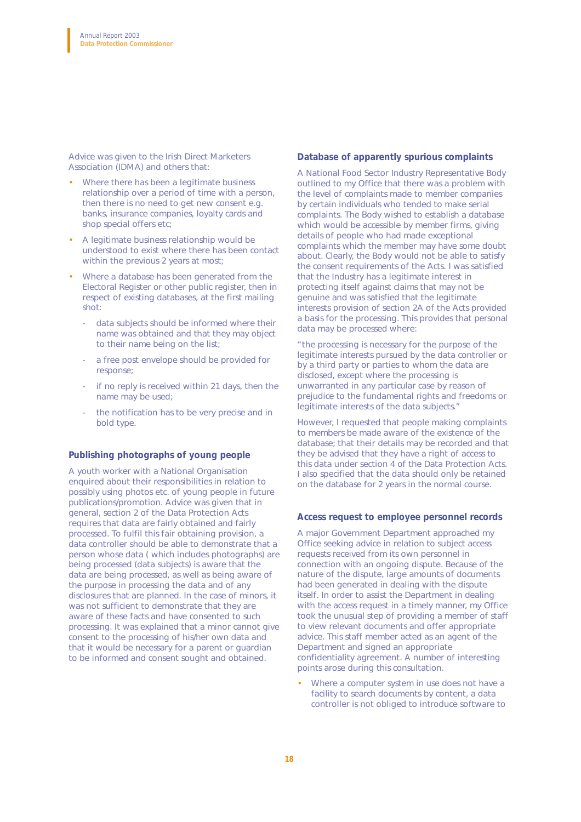Advice was given to the Irish Direct Marketers Association (IDMA) and others that:

- Where there has been a legitimate business relationship over a period of time with a person, then there is no need to get new consent e.g. banks, insurance companies, loyalty cards and shop special offers etc;
- A legitimate business relationship would be understood to exist where there has been contact within the previous 2 years at most;
- Where a database has been generated from the Electoral Register or other public register, then in respect of existing databases, at the first mailing shot:
	- data subjects should be informed where their name was obtained and that they may object to their name being on the list;
	- a free post envelope should be provided for response;
	- if no reply is received within 21 days, then the name may be used;
	- the notification has to be very precise and in bold type.

#### *Publishing photographs of young people*

A youth worker with a National Organisation enquired about their responsibilities in relation to possibly using photos etc. of young people in future publications/promotion. Advice was given that in general, section 2 of the Data Protection Acts requires that data are fairly obtained and fairly processed. To fulfil this fair obtaining provision, a data controller should be able to demonstrate that a person whose data ( which includes photographs) are being processed (data subjects) is aware that the data are being processed, as well as being aware of the purpose in processing the data and of any disclosures that are planned. In the case of minors, it was not sufficient to demonstrate that they are aware of these facts and have consented to such processing. It was explained that a minor cannot give consent to the processing of his/her own data and that it would be necessary for a parent or guardian to be informed and consent sought and obtained.

#### *Database of apparently spurious complaints*

A National Food Sector Industry Representative Body outlined to my Office that there was a problem with the level of complaints made to member companies by certain individuals who tended to make serial complaints. The Body wished to establish a database which would be accessible by member firms, giving details of people who had made exceptional complaints which the member may have some doubt about. Clearly, the Body would not be able to satisfy the consent requirements of the Acts. I was satisfied that the Industry has a legitimate interest in protecting itself against claims that may not be genuine and was satisfied that the legitimate interests provision of section 2A of the Acts provided a basis for the processing. This provides that personal data may be processed where:

"the processing is necessary for the purpose of the legitimate interests pursued by the data controller or by a third party or parties to whom the data are disclosed, except where the processing is unwarranted in any particular case by reason of prejudice to the fundamental rights and freedoms or legitimate interests of the data subjects."

However, I requested that people making complaints to members be made aware of the existence of the database; that their details may be recorded and that they be advised that they have a right of access to this data under section 4 of the Data Protection Acts. I also specified that the data should only be retained on the database for 2 years in the normal course.

#### *Access request to employee personnel records*

A major Government Department approached my Office seeking advice in relation to subject access requests received from its own personnel in connection with an ongoing dispute. Because of the nature of the dispute, large amounts of documents had been generated in dealing with the dispute itself. In order to assist the Department in dealing with the access request in a timely manner, my Office took the unusual step of providing a member of staff to view relevant documents and offer appropriate advice. This staff member acted as an agent of the Department and signed an appropriate confidentiality agreement. A number of interesting points arose during this consultation.

• Where a computer system in use does not have a facility to search documents by content, a data controller is not obliged to introduce software to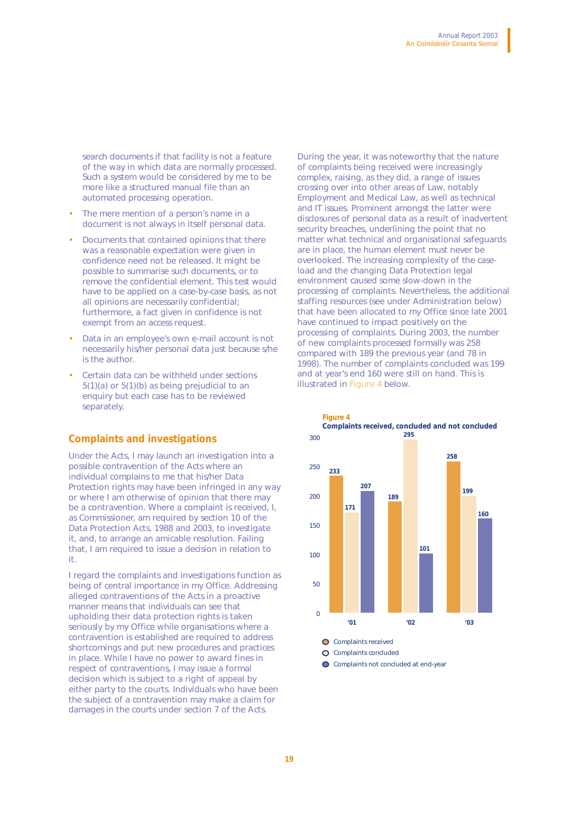search documents if that facility is not a feature of the way in which data are normally processed. Such a system would be considered by me to be more like a structured manual file than an automated processing operation.

- The mere mention of a person's name in a document is not always in itself personal data.
- Documents that contained opinions that there was a reasonable expectation were given in confidence need not be released. It might be possible to summarise such documents, or to remove the confidential element. This test would have to be applied on a case-by-case basis, as not all opinions are necessarily confidential; furthermore, a fact given in confidence is not exempt from an access request.
- Data in an employee's own e-mail account is not necessarily his/her personal data just because s/he is the author.
- Certain data can be withheld under sections 5(1)(a) or 5(1)(b) as being prejudicial to an enquiry but each case has to be reviewed separately.

#### **Complaints and investigations**

Under the Acts, I may launch an investigation into a possible contravention of the Acts where an individual complains to me that his/her Data Protection rights may have been infringed in any way or where I am otherwise of opinion that there may be a contravention. Where a complaint is received, I, as Commissioner, am required by section 10 of the Data Protection Acts, 1988 and 2003, to investigate it, and, to arrange an amicable resolution. Failing that, I am required to issue a decision in relation to it.

I regard the complaints and investigations function as being of central importance in my Office. Addressing alleged contraventions of the Acts in a proactive manner means that individuals can see that upholding their data protection rights is taken seriously by my Office while organisations where a contravention is established are required to address shortcomings and put new procedures and practices in place. While I have no power to award fines in respect of contraventions, I may issue a formal decision which is subject to a right of appeal by either party to the courts. Individuals who have been the subject of a contravention may make a claim for damages in the courts under section 7 of the Acts.

During the year, it was noteworthy that the nature of complaints being received were increasingly complex, raising, as they did, a range of issues crossing over into other areas of Law, notably Employment and Medical Law, as well as technical and IT issues. Prominent amongst the latter were disclosures of personal data as a result of inadvertent security breaches, underlining the point that no matter what technical and organisational safeguards are in place, the human element must never be overlooked. The increasing complexity of the caseload and the changing Data Protection legal environment caused some slow-down in the processing of complaints. Nevertheless, the additional staffing resources (see under Administration below) that have been allocated to my Office since late 2001 have continued to impact positively on the processing of complaints. During 2003, the number of new complaints processed formally was 258 compared with 189 the previous year (and 78 in 1998). The number of complaints concluded was 199 and at year's end 160 were still on hand. This is illustrated in Figure 4 below.



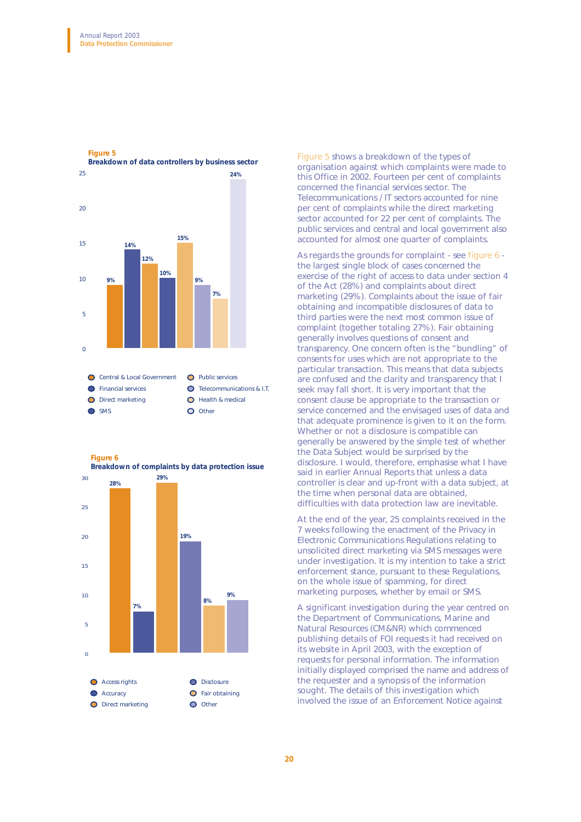

**Figure 5 Breakdown of data controllers by business sector**

**Figure 6 Breakdown of complaints by data protection issue**



Figure 5 shows a breakdown of the types of organisation against which complaints were made to this Office in 2002. Fourteen per cent of complaints concerned the financial services sector. The Telecommunications / IT sectors accounted for nine per cent of complaints while the direct marketing sector accounted for 22 per cent of complaints. The public services and central and local government also accounted for almost one quarter of complaints.

As regards the grounds for complaint - see figure 6 the largest single block of cases concerned the exercise of the right of access to data under section 4 of the Act (28%) and complaints about direct marketing (29%). Complaints about the issue of fair obtaining and incompatible disclosures of data to third parties were the next most common issue of complaint (together totaling 27%). Fair obtaining generally involves questions of consent and transparency. One concern often is the "bundling" of consents for uses which are not appropriate to the particular transaction. This means that data subjects are confused and the clarity and transparency that I seek may fall short. It is very important that the consent clause be appropriate to the transaction or service concerned and the envisaged uses of data and that adequate prominence is given to it on the form. Whether or not a disclosure is compatible can generally be answered by the simple test of whether the Data Subject would be surprised by the disclosure. I would, therefore, emphasise what I have said in earlier Annual Reports that unless a data controller is clear and up-front with a data subject, at the time when personal data are obtained, difficulties with data protection law are inevitable.

At the end of the year, 25 complaints received in the 7 weeks following the enactment of the Privacy in Electronic Communications Regulations relating to unsolicited direct marketing via SMS messages were under investigation. It is my intention to take a strict enforcement stance, pursuant to these Regulations, on the whole issue of spamming, for direct marketing purposes, whether by email or SMS.

A significant investigation during the year centred on the Department of Communications, Marine and Natural Resources (CM&NR) which commenced publishing details of FOI requests it had received on its website in April 2003, with the exception of requests for personal information. The information initially displayed comprised the name and address of the requester and a synopsis of the information sought. The details of this investigation which involved the issue of an Enforcement Notice against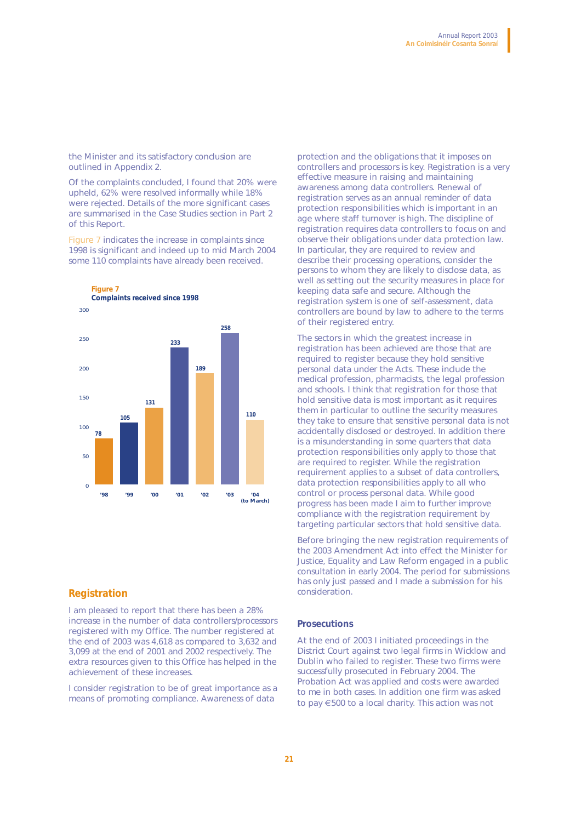the Minister and its satisfactory conclusion are outlined in Appendix 2.

Of the complaints concluded, I found that 20% were upheld, 62% were resolved informally while 18% were rejected. Details of the more significant cases are summarised in the Case Studies section in Part 2 of this Report.

Figure 7 indicates the increase in complaints since 1998 is significant and indeed up to mid March 2004 some 110 complaints have already been received.



#### **Registration**

I am pleased to report that there has been a 28% increase in the number of data controllers/processors registered with my Office. The number registered at the end of 2003 was 4,618 as compared to 3,632 and 3,099 at the end of 2001 and 2002 respectively. The extra resources given to this Office has helped in the achievement of these increases.

I consider registration to be of great importance as a means of promoting compliance. Awareness of data

protection and the obligations that it imposes on controllers and processors is key. Registration is a very effective measure in raising and maintaining awareness among data controllers. Renewal of registration serves as an annual reminder of data protection responsibilities which is important in an age where staff turnover is high. The discipline of registration requires data controllers to focus on and observe their obligations under data protection law. In particular, they are required to review and describe their processing operations, consider the persons to whom they are likely to disclose data, as well as setting out the security measures in place for keeping data safe and secure. Although the registration system is one of self-assessment, data controllers are bound by law to adhere to the terms of their registered entry.

The sectors in which the greatest increase in registration has been achieved are those that are required to register because they hold sensitive personal data under the Acts. These include the medical profession, pharmacists, the legal profession and schools. I think that registration for those that hold sensitive data is most important as it requires them in particular to outline the security measures they take to ensure that sensitive personal data is not accidentally disclosed or destroyed. In addition there is a misunderstanding in some quarters that data protection responsibilities only apply to those that are required to register. While the registration requirement applies to a subset of data controllers, data protection responsibilities apply to all who control or process personal data. While good progress has been made I aim to further improve compliance with the registration requirement by targeting particular sectors that hold sensitive data.

Before bringing the new registration requirements of the 2003 Amendment Act into effect the Minister for Justice, Equality and Law Reform engaged in a public consultation in early 2004. The period for submissions has only just passed and I made a submission for his consideration.

#### *Prosecutions*

At the end of 2003 I initiated proceedings in the District Court against two legal firms in Wicklow and Dublin who failed to register. These two firms were successfully prosecuted in February 2004. The Probation Act was applied and costs were awarded to me in both cases. In addition one firm was asked to pay €500 to a local charity. This action was not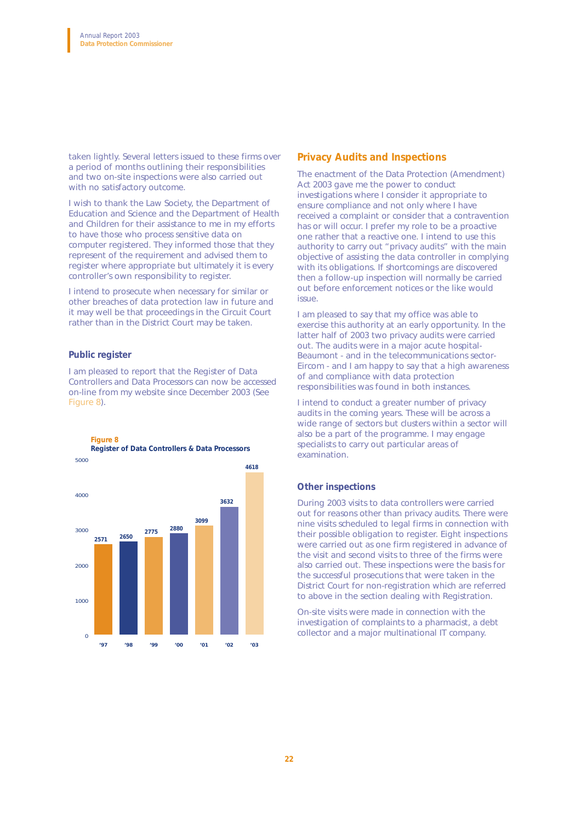taken lightly. Several letters issued to these firms over a period of months outlining their responsibilities and two on-site inspections were also carried out with no satisfactory outcome.

I wish to thank the Law Society, the Department of Education and Science and the Department of Health and Children for their assistance to me in my efforts to have those who process sensitive data on computer registered. They informed those that they represent of the requirement and advised them to register where appropriate but ultimately it is every controller's own responsibility to register.

I intend to prosecute when necessary for similar or other breaches of data protection law in future and it may well be that proceedings in the Circuit Court rather than in the District Court may be taken.

#### *Public register*

I am pleased to report that the Register of Data Controllers and Data Processors can now be accessed on-line from my website since December 2003 (See Figure 8).



#### **Privacy Audits and Inspections**

The enactment of the Data Protection (Amendment) Act 2003 gave me the power to conduct investigations where I consider it appropriate to ensure compliance and not only where I have received a complaint or consider that a contravention has or will occur. I prefer my role to be a proactive one rather that a reactive one. I intend to use this authority to carry out "privacy audits" with the main objective of assisting the data controller in complying with its obligations. If shortcomings are discovered then a follow-up inspection will normally be carried out before enforcement notices or the like would issue.

I am pleased to say that my office was able to exercise this authority at an early opportunity. In the latter half of 2003 two privacy audits were carried out. The audits were in a major acute hospital-Beaumont - and in the telecommunications sector-Eircom - and I am happy to say that a high awareness of and compliance with data protection responsibilities was found in both instances.

I intend to conduct a greater number of privacy audits in the coming years. These will be across a wide range of sectors but clusters within a sector will also be a part of the programme. I may engage specialists to carry out particular areas of examination.

#### *Other inspections*

During 2003 visits to data controllers were carried out for reasons other than privacy audits. There were nine visits scheduled to legal firms in connection with their possible obligation to register. Eight inspections were carried out as one firm registered in advance of the visit and second visits to three of the firms were also carried out. These inspections were the basis for the successful prosecutions that were taken in the District Court for non-registration which are referred to above in the section dealing with Registration.

On-site visits were made in connection with the investigation of complaints to a pharmacist, a debt collector and a major multinational IT company.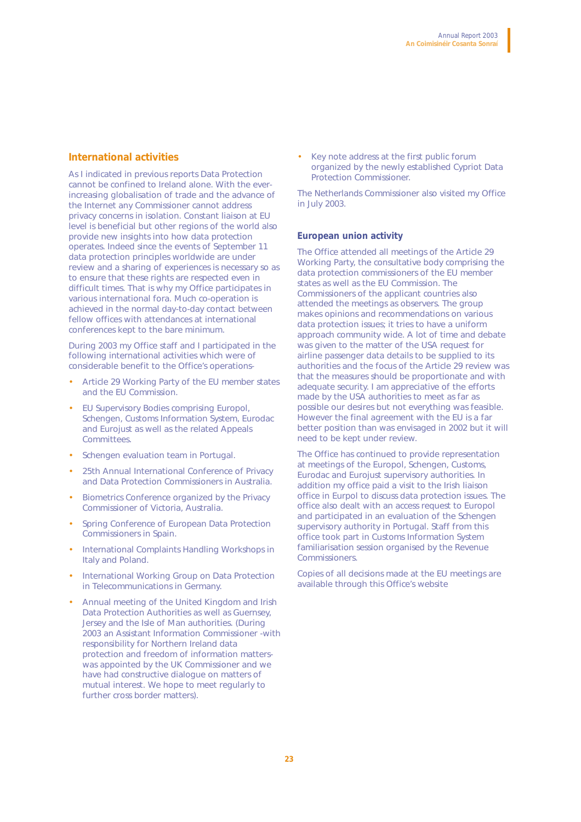#### **International activities**

As I indicated in previous reports Data Protection cannot be confined to Ireland alone. With the everincreasing globalisation of trade and the advance of the Internet any Commissioner cannot address privacy concerns in isolation. Constant liaison at EU level is beneficial but other regions of the world also provide new insights into how data protection operates. Indeed since the events of September 11 data protection principles worldwide are under review and a sharing of experiences is necessary so as to ensure that these rights are respected even in difficult times. That is why my Office participates in various international fora. Much co-operation is achieved in the normal day-to-day contact between fellow offices with attendances at international conferences kept to the bare minimum.

During 2003 my Office staff and I participated in the following international activities which were of considerable benefit to the Office's operations-

- Article 29 Working Party of the EU member states and the EU Commission.
- EU Supervisory Bodies comprising Europol, Schengen, Customs Information System, Eurodac and Eurojust as well as the related Appeals Committees.
- Schengen evaluation team in Portugal.
- 25th Annual International Conference of Privacy and Data Protection Commissioners in Australia.
- Biometrics Conference organized by the Privacy Commissioner of Victoria, Australia.
- Spring Conference of European Data Protection Commissioners in Spain.
- International Complaints Handling Workshops in Italy and Poland.
- International Working Group on Data Protection in Telecommunications in Germany.
- Annual meeting of the United Kingdom and Irish Data Protection Authorities as well as Guernsey, Jersey and the Isle of Man authorities. (During 2003 an Assistant Information Commissioner -with responsibility for Northern Ireland data protection and freedom of information matterswas appointed by the UK Commissioner and we have had constructive dialogue on matters of mutual interest. We hope to meet regularly to further cross border matters).

• Key note address at the first public forum organized by the newly established Cypriot Data Protection Commissioner.

The Netherlands Commissioner also visited my Office in July 2003.

#### *European union activity*

The Office attended all meetings of the Article 29 Working Party, the consultative body comprising the data protection commissioners of the EU member states as well as the EU Commission. The Commissioners of the applicant countries also attended the meetings as observers. The group makes opinions and recommendations on various data protection issues; it tries to have a uniform approach community wide. A lot of time and debate was given to the matter of the USA request for airline passenger data details to be supplied to its authorities and the focus of the Article 29 review was that the measures should be proportionate and with adequate security. I am appreciative of the efforts made by the USA authorities to meet as far as possible our desires but not everything was feasible. However the final agreement with the EU is a far better position than was envisaged in 2002 but it will need to be kept under review.

The Office has continued to provide representation at meetings of the Europol, Schengen, Customs, Eurodac and Eurojust supervisory authorities. In addition my office paid a visit to the Irish liaison office in Eurpol to discuss data protection issues. The office also dealt with an access request to Europol and participated in an evaluation of the Schengen supervisory authority in Portugal. Staff from this office took part in Customs Information System familiarisation session organised by the Revenue Commissioners.

Copies of all decisions made at the EU meetings are available through this Office's website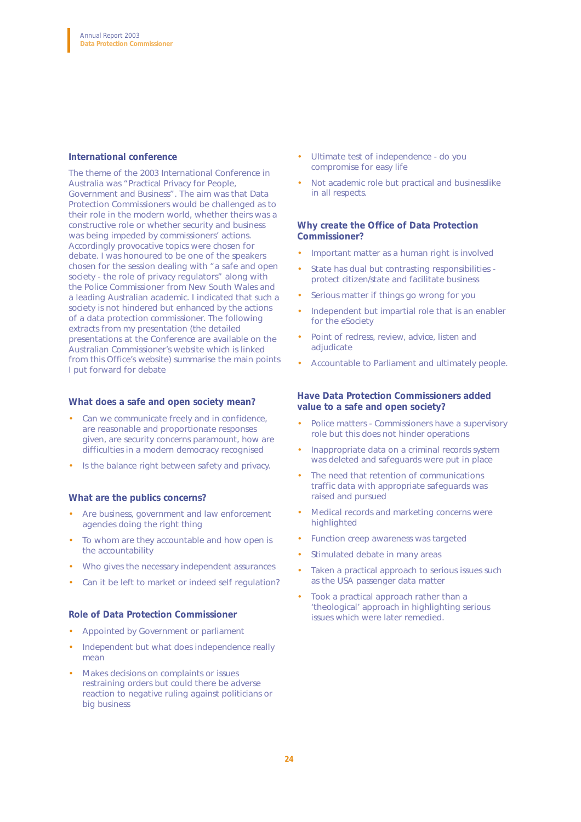#### *International conference*

The theme of the 2003 International Conference in Australia was "Practical Privacy for People, Government and Business". The aim was that Data Protection Commissioners would be challenged as to their role in the modern world, whether theirs was a constructive role or whether security and business was being impeded by commissioners' actions. Accordingly provocative topics were chosen for debate. I was honoured to be one of the speakers chosen for the session dealing with "a safe and open society - the role of privacy regulators" along with the Police Commissioner from New South Wales and a leading Australian academic. I indicated that such a society is not hindered but enhanced by the actions of a data protection commissioner. The following extracts from my presentation (the detailed presentations at the Conference are available on the Australian Commissioner's website which is linked from this Office's website) summarise the main points I put forward for debate

#### *What does a safe and open society mean?*

- Can we communicate freely and in confidence, are reasonable and proportionate responses given, are security concerns paramount, how are difficulties in a modern democracy recognised
- Is the balance right between safety and privacy.

#### *What are the publics concerns?*

- Are business, government and law enforcement agencies doing the right thing
- To whom are they accountable and how open is the accountability
- Who gives the necessary independent assurances
- Can it be left to market or indeed self regulation?

#### *Role of Data Protection Commissioner*

- Appointed by Government or parliament
- Independent but what does independence really mean
- Makes decisions on complaints or issues restraining orders but could there be adverse reaction to negative ruling against politicians or big business
- Ultimate test of independence do you compromise for easy life
- Not academic role but practical and businesslike in all respects.

#### *Why create the Office of Data Protection Commissioner?*

- Important matter as a human right is involved
- State has dual but contrasting responsibilities protect citizen/state and facilitate business
- Serious matter if things go wrong for you
- Independent but impartial role that is an enabler for the eSociety
- Point of redress, review, advice, listen and adjudicate
- Accountable to Parliament and ultimately people.

#### *Have Data Protection Commissioners added value to a safe and open society?*

- Police matters Commissioners have a supervisory role but this does not hinder operations
- Inappropriate data on a criminal records system was deleted and safeguards were put in place
- The need that retention of communications traffic data with appropriate safeguards was raised and pursued
- Medical records and marketing concerns were highlighted
- Function creep awareness was targeted
- Stimulated debate in many areas
- Taken a practical approach to serious issues such as the USA passenger data matter
- Took a practical approach rather than a 'theological' approach in highlighting serious issues which were later remedied.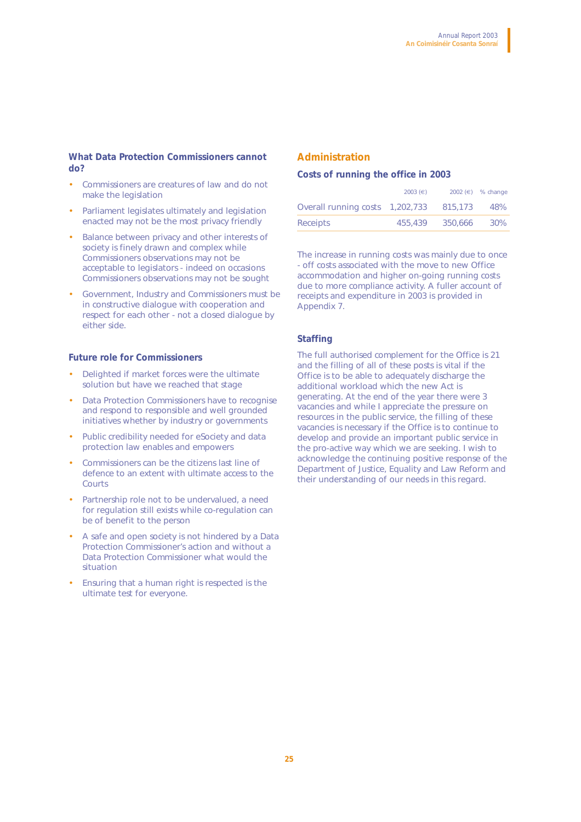#### *What Data Protection Commissioners cannot do?*

- Commissioners are creatures of law and do not make the legislation
- Parliament legislates ultimately and legislation enacted may not be the most privacy friendly
- Balance between privacy and other interests of society is finely drawn and complex while Commissioners observations may not be acceptable to legislators - indeed on occasions Commissioners observations may not be sought
- Government, Industry and Commissioners must be in constructive dialogue with cooperation and respect for each other - not a closed dialogue by either side.

#### *Future role for Commissioners*

- Delighted if market forces were the ultimate solution but have we reached that stage
- Data Protection Commissioners have to recognise and respond to responsible and well grounded initiatives whether by industry or governments
- Public credibility needed for eSociety and data protection law enables and empowers
- Commissioners can be the citizens last line of defence to an extent with ultimate access to the Courts
- Partnership role not to be undervalued, a need for regulation still exists while co-regulation can be of benefit to the person
- A safe and open society is not hindered by a Data Protection Commissioner's action and without a Data Protection Commissioner what would the situation
- Ensuring that a human right is respected is the ultimate test for everyone.

#### **Administration**

#### *Costs of running the office in 2003*

|                                         | $2003 \; (\in)$ |         | 2002 (€) % change |
|-----------------------------------------|-----------------|---------|-------------------|
| Overall running costs 1,202,733 815,173 |                 |         | 48%               |
| Receipts                                | 455.439         | 350,666 | 30%               |

The increase in running costs was mainly due to once - off costs associated with the move to new Office accommodation and higher on-going running costs due to more compliance activity. A fuller account of receipts and expenditure in 2003 is provided in Appendix 7.

#### *Staffing*

The full authorised complement for the Office is 21 and the filling of all of these posts is vital if the Office is to be able to adequately discharge the additional workload which the new Act is generating. At the end of the year there were 3 vacancies and while I appreciate the pressure on resources in the public service, the filling of these vacancies is necessary if the Office is to continue to develop and provide an important public service in the pro-active way which we are seeking. I wish to acknowledge the continuing positive response of the Department of Justice, Equality and Law Reform and their understanding of our needs in this regard.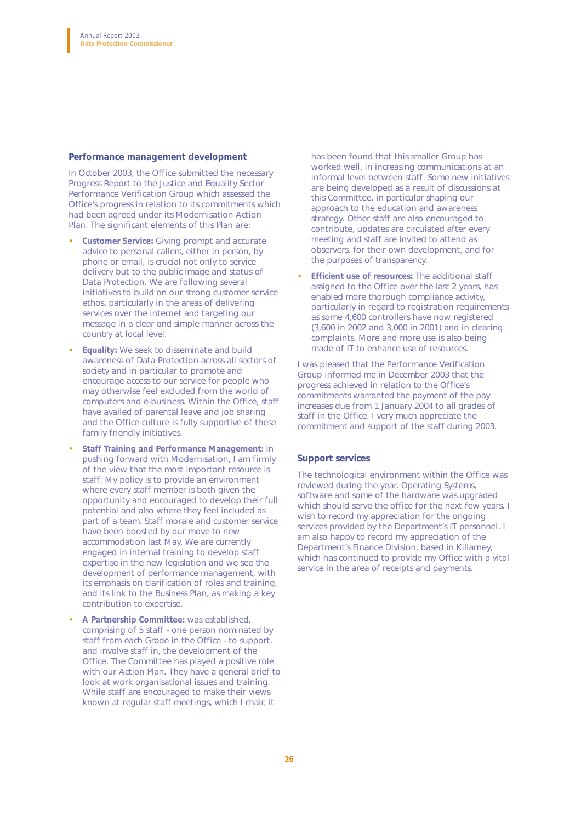#### *Performance management development*

In October 2003, the Office submitted the necessary Progress Report to the Justice and Equality Sector Performance Verification Group which assessed the Office's progress in relation to its commitments which had been agreed under its Modernisation Action Plan. The significant elements of this Plan are:

- **Customer Service:** Giving prompt and accurate advice to personal callers, either in person, by phone or email, is crucial not only to service delivery but to the public image and status of Data Protection. We are following several initiatives to build on our strong customer service ethos, particularly in the areas of delivering services over the internet and targeting our message in a clear and simple manner across the country at local level.
- **Equality:** We seek to disseminate and build awareness of Data Protection across all sectors of society and in particular to promote and encourage access to our service for people who may otherwise feel excluded from the world of computers and e-business. Within the Office, staff have availed of parental leave and job sharing and the Office culture is fully supportive of these family friendly initiatives.
- **Staff Training and Performance Management:** In pushing forward with Modernisation, I am firmly of the view that the most important resource is staff. My policy is to provide an environment where every staff member is both given the opportunity and encouraged to develop their full potential and also where they feel included as part of a team. Staff morale and customer service have been boosted by our move to new accommodation last May. We are currently engaged in internal training to develop staff expertise in the new legislation and we see the development of performance management, with its emphasis on clarification of roles and training, and its link to the Business Plan, as making a key contribution to expertise.
- **A Partnership Committee:** was established, comprising of 5 staff - one person nominated by staff from each Grade in the Office - to support, and involve staff in, the development of the Office. The Committee has played a positive role with our Action Plan. They have a general brief to look at work organisational issues and training. While staff are encouraged to make their views known at regular staff meetings, which I chair, it

has been found that this smaller Group has worked well, in increasing communications at an informal level between staff. Some new initiatives are being developed as a result of discussions at this Committee, in particular shaping our approach to the education and awareness strategy. Other staff are also encouraged to contribute, updates are circulated after every meeting and staff are invited to attend as observers, for their own development, and for the purposes of transparency.

• **Efficient use of resources:** The additional staff assigned to the Office over the last 2 years, has enabled more thorough compliance activity, particularly in regard to registration requirements as some 4,600 controllers have now registered (3,600 in 2002 and 3,000 in 2001) and in clearing complaints. More and more use is also being made of IT to enhance use of resources.

I was pleased that the Performance Verification Group informed me in December 2003 that the progress achieved in relation to the Office's commitments warranted the payment of the pay increases due from 1 January 2004 to all grades of staff in the Office. I very much appreciate the commitment and support of the staff during 2003.

#### *Support services*

The technological environment within the Office was reviewed during the year. Operating Systems, software and some of the hardware was upgraded which should serve the office for the next few years. I wish to record my appreciation for the ongoing services provided by the Department's IT personnel. I am also happy to record my appreciation of the Department's Finance Division, based in Killarney, which has continued to provide my Office with a vital service in the area of receipts and payments.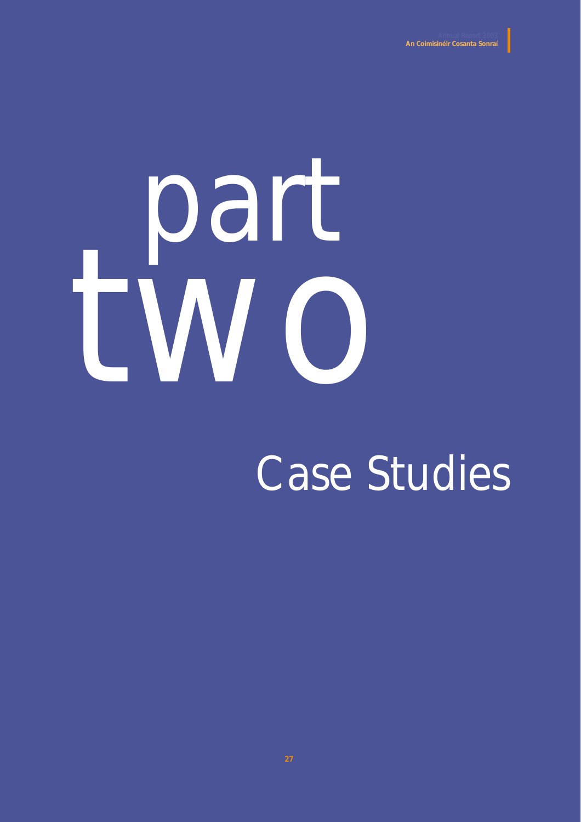

# part two

## Case Studies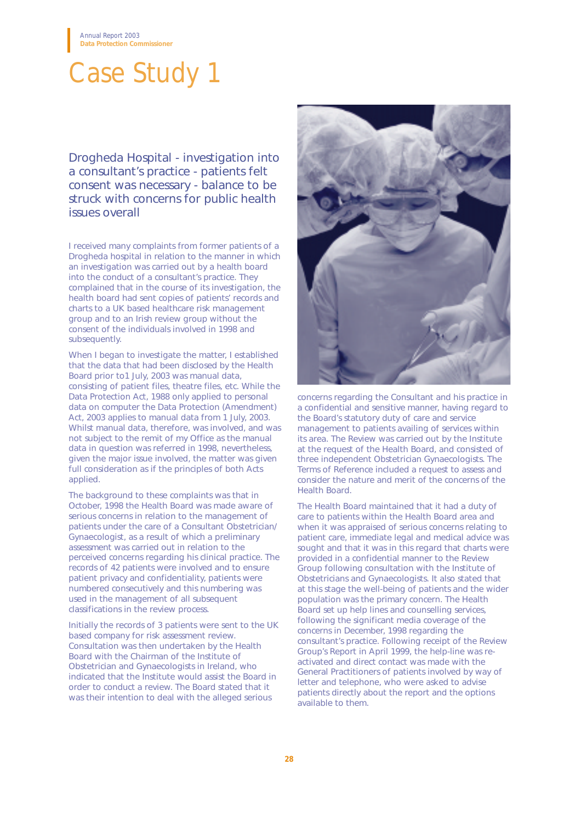Drogheda Hospital - investigation into a consultant's practice - patients felt consent was necessary - balance to be struck with concerns for public health issues overall

I received many complaints from former patients of a Drogheda hospital in relation to the manner in which an investigation was carried out by a health board into the conduct of a consultant's practice. They complained that in the course of its investigation, the health board had sent copies of patients' records and charts to a UK based healthcare risk management group and to an Irish review group without the consent of the individuals involved in 1998 and subsequently.

When I began to investigate the matter, I established that the data that had been disclosed by the Health Board prior to1 July, 2003 was manual data, consisting of patient files, theatre files, etc. While the Data Protection Act, 1988 only applied to personal data on computer the Data Protection (Amendment) Act, 2003 applies to manual data from 1 July, 2003. Whilst manual data, therefore, was involved, and was not subject to the remit of my Office as the manual data in question was referred in 1998, nevertheless, given the major issue involved, the matter was given full consideration as if the principles of both Acts applied.

The background to these complaints was that in October, 1998 the Health Board was made aware of serious concerns in relation to the management of patients under the care of a Consultant Obstetrician/ Gynaecologist, as a result of which a preliminary assessment was carried out in relation to the perceived concerns regarding his clinical practice. The records of 42 patients were involved and to ensure patient privacy and confidentiality, patients were numbered consecutively and this numbering was used in the management of all subsequent classifications in the review process.

Initially the records of 3 patients were sent to the UK based company for risk assessment review. Consultation was then undertaken by the Health Board with the Chairman of the Institute of Obstetrician and Gynaecologists in Ireland, who indicated that the Institute would assist the Board in order to conduct a review. The Board stated that it was their intention to deal with the alleged serious



concerns regarding the Consultant and his practice in a confidential and sensitive manner, having regard to the Board's statutory duty of care and service management to patients availing of services within its area. The Review was carried out by the Institute at the request of the Health Board, and consisted of three independent Obstetrician Gynaecologists. The Terms of Reference included a request to assess and consider the nature and merit of the concerns of the Health Board.

The Health Board maintained that it had a duty of care to patients within the Health Board area and when it was appraised of serious concerns relating to patient care, immediate legal and medical advice was sought and that it was in this regard that charts were provided in a confidential manner to the Review Group following consultation with the Institute of Obstetricians and Gynaecologists. It also stated that at this stage the well-being of patients and the wider population was the primary concern. The Health Board set up help lines and counselling services, following the significant media coverage of the concerns in December, 1998 regarding the consultant's practice. Following receipt of the Review Group's Report in April 1999, the help-line was reactivated and direct contact was made with the General Practitioners of patients involved by way of letter and telephone, who were asked to advise patients directly about the report and the options available to them.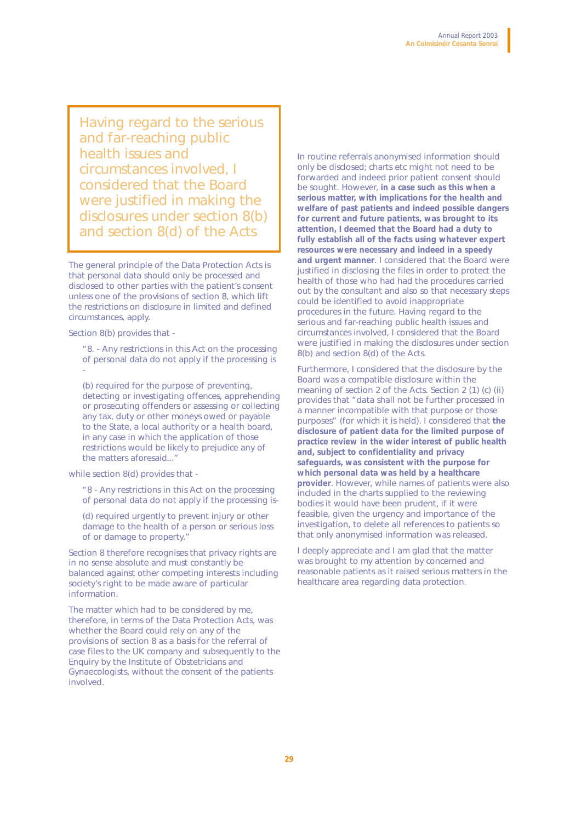Having regard to the serious and far-reaching public health issues and circumstances involved, I considered that the Board were justified in making the disclosures under section 8(b) and section 8(d) of the Acts

The general principle of the Data Protection Acts is that personal data should only be processed and disclosed to other parties with the patient's consent unless one of the provisions of section 8, which lift the restrictions on disclosure in limited and defined circumstances, apply.

Section 8(b) provides that -

*"8. - Any restrictions in this Act on the processing of personal data do not apply if the processing is -*

*(b) required for the purpose of preventing, detecting or investigating offences, apprehending or prosecuting offenders or assessing or collecting any tax, duty or other moneys owed or payable to the State, a local authority or a health board, in any case in which the application of those restrictions would be likely to prejudice any of the matters aforesaid...*"

while section 8(d) provides that -

*"8 - Any restrictions in this Act on the processing of personal data do not apply if the processing is-*

*(d) required urgently to prevent injury or other damage to the health of a person or serious loss of or damage to property."*

Section 8 therefore recognises that privacy rights are in no sense absolute and must constantly be balanced against other competing interests including society's right to be made aware of particular information.

The matter which had to be considered by me, therefore, in terms of the Data Protection Acts, was whether the Board could rely on any of the provisions of section 8 as a basis for the referral of case files to the UK company and subsequently to the Enquiry by the Institute of Obstetricians and Gynaecologists, without the consent of the patients involved.

In routine referrals anonymised information should only be disclosed; charts etc might not need to be forwarded and indeed prior patient consent should be sought. However, **in a case such as this when a serious matter, with implications for the health and welfare of past patients and indeed possible dangers for current and future patients, was brought to its attention, I deemed that the Board had a duty to fully establish all of the facts using whatever expert resources were necessary and indeed in a speedy and urgent manner**. I considered that the Board were justified in disclosing the files in order to protect the health of those who had had the procedures carried out by the consultant and also so that necessary steps could be identified to avoid inappropriate procedures in the future. Having regard to the serious and far-reaching public health issues and circumstances involved, I considered that the Board were justified in making the disclosures under section 8(b) and section 8(d) of the Acts.

Furthermore, I considered that the disclosure by the Board was a compatible disclosure within the meaning of section 2 of the Acts. Section 2 (1) (c) (ii) provides that "data shall not be further processed in a manner incompatible with that purpose or those purposes" (for which it is held). I considered that **the disclosure of patient data for the limited purpose of practice review in the wider interest of public health and, subject to confidentiality and privacy safeguards, was consistent with the purpose for which personal data was held by a healthcare provider**. However, while names of patients were also included in the charts supplied to the reviewing bodies it would have been prudent, if it were feasible, given the urgency and importance of the investigation, to delete all references to patients so that only anonymised information was released.

I deeply appreciate and I am glad that the matter was brought to my attention by concerned and reasonable patients as it raised serious matters in the healthcare area regarding data protection.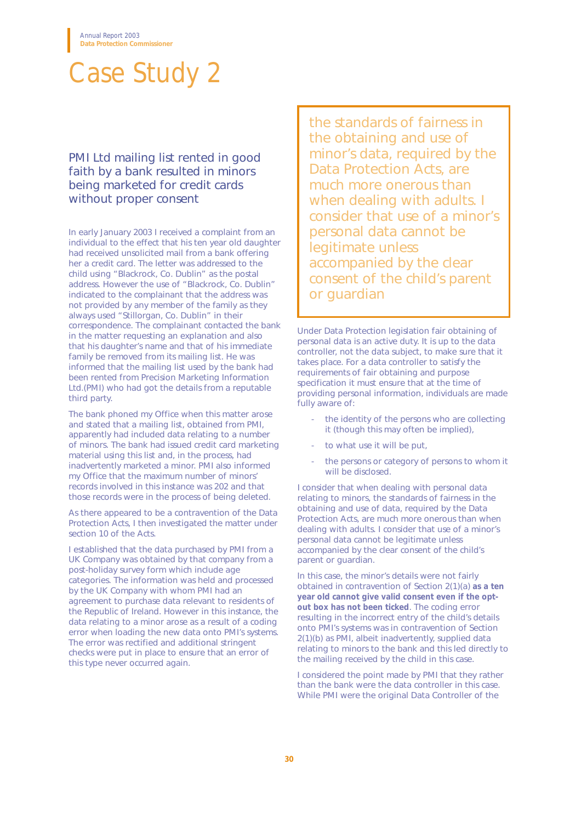#### PMI Ltd mailing list rented in good faith by a bank resulted in minors being marketed for credit cards without proper consent

In early January 2003 I received a complaint from an individual to the effect that his ten year old daughter had received unsolicited mail from a bank offering her a credit card. The letter was addressed to the child using "Blackrock, Co. Dublin" as the postal address. However the use of "Blackrock, Co. Dublin" indicated to the complainant that the address was not provided by any member of the family as they always used "Stillorgan, Co. Dublin" in their correspondence. The complainant contacted the bank in the matter requesting an explanation and also that his daughter's name and that of his immediate family be removed from its mailing list. He was informed that the mailing list used by the bank had been rented from Precision Marketing Information Ltd.(PMI) who had got the details from a reputable third party.

The bank phoned my Office when this matter arose and stated that a mailing list, obtained from PMI, apparently had included data relating to a number of minors. The bank had issued credit card marketing material using this list and, in the process, had inadvertently marketed a minor. PMI also informed my Office that the maximum number of minors' records involved in this instance was 202 and that those records were in the process of being deleted.

As there appeared to be a contravention of the Data Protection Acts, I then investigated the matter under section 10 of the Acts.

I established that the data purchased by PMI from a UK Company was obtained by that company from a post-holiday survey form which include age categories. The information was held and processed by the UK Company with whom PMI had an agreement to purchase data relevant to residents of the Republic of Ireland. However in this instance, the data relating to a minor arose as a result of a coding error when loading the new data onto PMI's systems. The error was rectified and additional stringent checks were put in place to ensure that an error of this type never occurred again.

the standards of fairness in the obtaining and use of minor's data, required by the Data Protection Acts, are much more onerous than when dealing with adults. I consider that use of a minor's personal data cannot be legitimate unless accompanied by the clear consent of the child's parent or guardian

Under Data Protection legislation fair obtaining of personal data is an active duty. It is up to the data controller, not the data subject, to make sure that it takes place. For a data controller to satisfy the requirements of fair obtaining and purpose specification it must ensure that at the time of providing personal information, individuals are made fully aware of:

- the identity of the persons who are collecting it (though this may often be implied),
- to what use it will be put,
- the persons or category of persons to whom it will be disclosed.

I consider that when dealing with personal data relating to minors, the standards of fairness in the obtaining and use of data, required by the Data Protection Acts, are much more onerous than when dealing with adults. I consider that use of a minor's personal data cannot be legitimate unless accompanied by the clear consent of the child's parent or guardian.

In this case, the minor's details were not fairly obtained in contravention of Section 2(1)(a) **as a ten year old cannot give valid consent even if the optout box has not been ticked**. The coding error resulting in the incorrect entry of the child's details onto PMI's systems was in contravention of Section 2(1)(b) as PMI, albeit inadvertently, supplied data relating to minors to the bank and this led directly to the mailing received by the child in this case.

I considered the point made by PMI that they rather than the bank were the data controller in this case. While PMI were the original Data Controller of the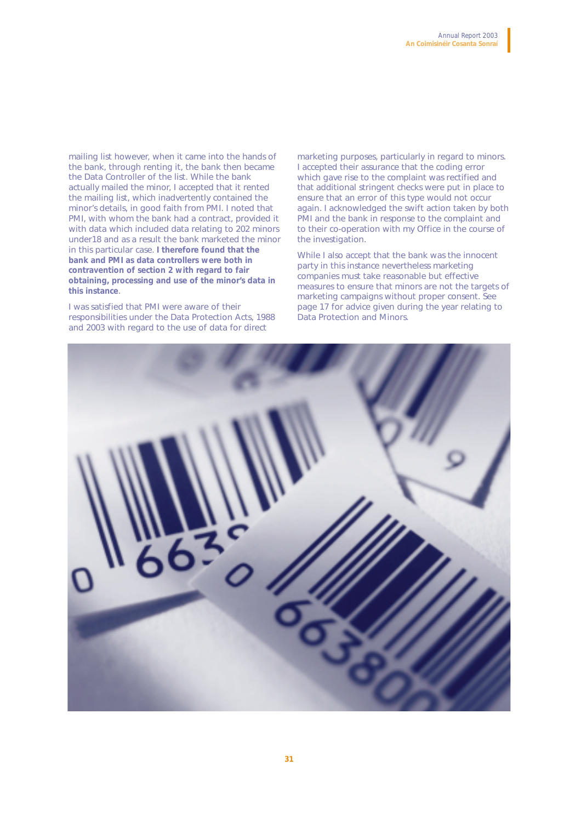mailing list however, when it came into the hands of the bank, through renting it, the bank then became the Data Controller of the list. While the bank actually mailed the minor, I accepted that it rented the mailing list, which inadvertently contained the minor's details, in good faith from PMI. I noted that PMI, with whom the bank had a contract, provided it with data which included data relating to 202 minors under18 and as a result the bank marketed the minor in this particular case. **I therefore found that the bank and PMI as data controllers were both in contravention of section 2 with regard to fair obtaining, processing and use of the minor's data in this instance**.

I was satisfied that PMI were aware of their responsibilities under the Data Protection Acts, 1988 and 2003 with regard to the use of data for direct

marketing purposes, particularly in regard to minors. I accepted their assurance that the coding error which gave rise to the complaint was rectified and that additional stringent checks were put in place to ensure that an error of this type would not occur again. I acknowledged the swift action taken by both PMI and the bank in response to the complaint and to their co-operation with my Office in the course of the investigation.

While I also accept that the bank was the innocent party in this instance nevertheless marketing companies must take reasonable but effective measures to ensure that minors are not the targets of marketing campaigns without proper consent. See page 17 for advice given during the year relating to Data Protection and Minors.

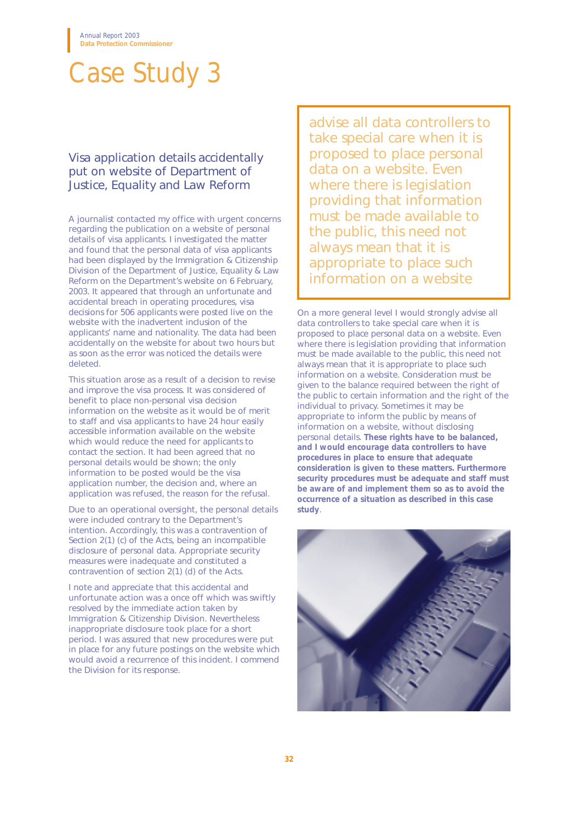#### Visa application details accidentally put on website of Department of Justice, Equality and Law Reform

A journalist contacted my office with urgent concerns regarding the publication on a website of personal details of visa applicants. I investigated the matter and found that the personal data of visa applicants had been displayed by the Immigration & Citizenship Division of the Department of Justice, Equality & Law Reform on the Department's website on 6 February, 2003. It appeared that through an unfortunate and accidental breach in operating procedures, visa decisions for 506 applicants were posted live on the website with the inadvertent inclusion of the applicants' name and nationality. The data had been accidentally on the website for about two hours but as soon as the error was noticed the details were deleted.

This situation arose as a result of a decision to revise and improve the visa process. It was considered of benefit to place non-personal visa decision information on the website as it would be of merit to staff and visa applicants to have 24 hour easily accessible information available on the website which would reduce the need for applicants to contact the section. It had been agreed that no personal details would be shown; the only information to be posted would be the visa application number, the decision and, where an application was refused, the reason for the refusal.

Due to an operational oversight, the personal details were included contrary to the Department's intention. Accordingly, this was a contravention of Section 2(1) (c) of the Acts, being an incompatible disclosure of personal data. Appropriate security measures were inadequate and constituted a contravention of section 2(1) (d) of the Acts.

I note and appreciate that this accidental and unfortunate action was a once off which was swiftly resolved by the immediate action taken by Immigration & Citizenship Division. Nevertheless inappropriate disclosure took place for a short period. I was assured that new procedures were put in place for any future postings on the website which would avoid a recurrence of this incident. I commend the Division for its response.

advise all data controllers to take special care when it is proposed to place personal data on a website. Even where there is legislation providing that information must be made available to the public, this need not always mean that it is appropriate to place such information on a website

On a more general level I would strongly advise all data controllers to take special care when it is proposed to place personal data on a website. Even where there is legislation providing that information must be made available to the public, this need not always mean that it is appropriate to place such information on a website. Consideration must be given to the balance required between the right of the public to certain information and the right of the individual to privacy. Sometimes it may be appropriate to inform the public by means of information on a website, without disclosing personal details. **These rights have to be balanced, and I would encourage data controllers to have procedures in place to ensure that adequate consideration is given to these matters. Furthermore security procedures must be adequate and staff must be aware of and implement them so as to avoid the occurrence of a situation as described in this case study**.

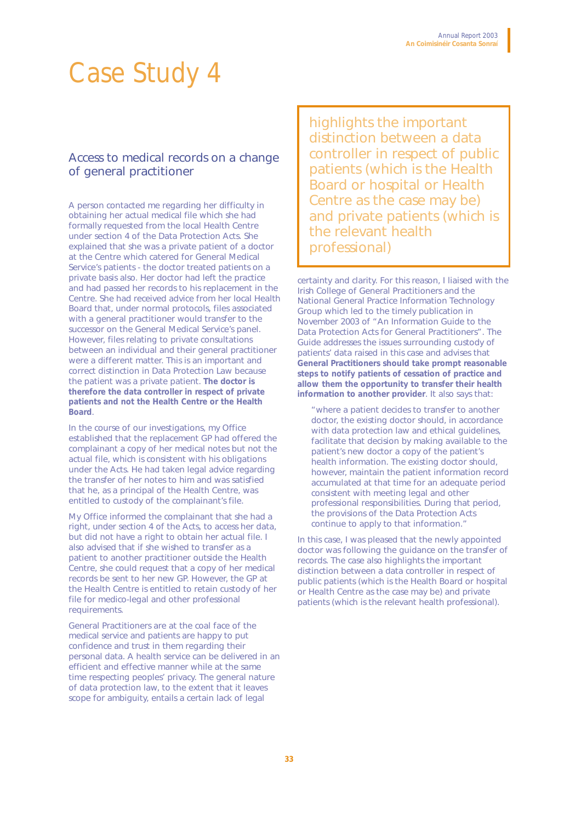#### Access to medical records on a change of general practitioner

A person contacted me regarding her difficulty in obtaining her actual medical file which she had formally requested from the local Health Centre under section 4 of the Data Protection Acts. She explained that she was a private patient of a doctor at the Centre which catered for General Medical Service's patients - the doctor treated patients on a private basis also. Her doctor had left the practice and had passed her records to his replacement in the Centre. She had received advice from her local Health Board that, under normal protocols, files associated with a general practitioner would transfer to the successor on the General Medical Service's panel. However, files relating to private consultations between an individual and their general practitioner were a different matter. This is an important and correct distinction in Data Protection Law because the patient was a private patient. **The doctor is therefore the data controller in respect of private patients and not the Health Centre or the Health Board**.

In the course of our investigations, my Office established that the replacement GP had offered the complainant a copy of her medical notes but not the actual file, which is consistent with his obligations under the Acts. He had taken legal advice regarding the transfer of her notes to him and was satisfied that he, as a principal of the Health Centre, was entitled to custody of the complainant's file.

My Office informed the complainant that she had a right, under section 4 of the Acts, to access her data, but did not have a right to obtain her actual file. I also advised that if she wished to transfer as a patient to another practitioner outside the Health Centre, she could request that a copy of her medical records be sent to her new GP. However, the GP at the Health Centre is entitled to retain custody of her file for medico-legal and other professional requirements.

General Practitioners are at the coal face of the medical service and patients are happy to put confidence and trust in them regarding their personal data. A health service can be delivered in an efficient and effective manner while at the same time respecting peoples' privacy. The general nature of data protection law, to the extent that it leaves scope for ambiguity, entails a certain lack of legal

highlights the important distinction between a data controller in respect of public patients (which is the Health Board or hospital or Health Centre as the case may be) and private patients (which is the relevant health professional)

certainty and clarity. For this reason, I liaised with the Irish College of General Practitioners and the National General Practice Information Technology Group which led to the timely publication in November 2003 of "An Information Guide to the Data Protection Acts for General Practitioners". The Guide addresses the issues surrounding custody of patients' data raised in this case and advises that **General Practitioners should take prompt reasonable steps to notify patients of cessation of practice and allow them the opportunity to transfer their health information to another provider**. It also says that:

"where a patient decides to transfer to another doctor, the existing doctor should, in accordance with data protection law and ethical guidelines, facilitate that decision by making available to the patient's new doctor a copy of the patient's health information. The existing doctor should, however, maintain the patient information record accumulated at that time for an adequate period consistent with meeting legal and other professional responsibilities. During that period, the provisions of the Data Protection Acts continue to apply to that information."

In this case, I was pleased that the newly appointed doctor was following the guidance on the transfer of records. The case also highlights the important distinction between a data controller in respect of public patients (which is the Health Board or hospital or Health Centre as the case may be) and private patients (which is the relevant health professional).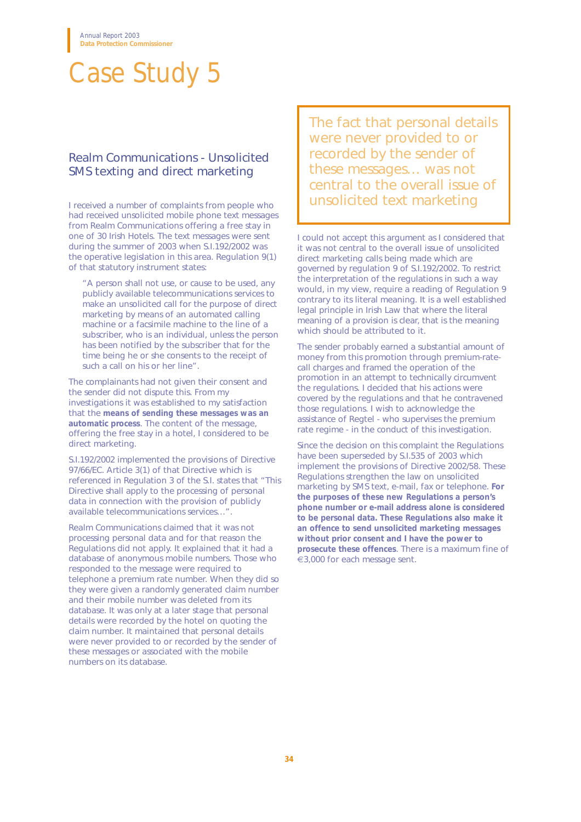#### Realm Communications - Unsolicited SMS texting and direct marketing

I received a number of complaints from people who had received unsolicited mobile phone text messages from Realm Communications offering a free stay in one of 30 Irish Hotels. The text messages were sent during the summer of 2003 when S.I.192/2002 was the operative legislation in this area. Regulation 9(1) of that statutory instrument states:

"A person shall not use, or cause to be used, any publicly available telecommunications services to make an unsolicited call for the purpose of direct marketing by means of an automated calling machine or a facsimile machine to the line of a subscriber, who is an individual, unless the person has been notified by the subscriber that for the time being he or she consents to the receipt of such a call on his or her line".

The complainants had not given their consent and the sender did not dispute this. From my investigations it was established to my satisfaction that the **means of sending these messages was an automatic process**. The content of the message, offering the free stay in a hotel, I considered to be direct marketing.

S.I.192/2002 implemented the provisions of Directive 97/66/EC. Article 3(1) of that Directive which is referenced in Regulation 3 of the S.I. states that "This Directive shall apply to the processing of personal data in connection with the provision of publicly available telecommunications services..."

Realm Communications claimed that it was not processing personal data and for that reason the Regulations did not apply. It explained that it had a database of anonymous mobile numbers. Those who responded to the message were required to telephone a premium rate number. When they did so they were given a randomly generated claim number and their mobile number was deleted from its database. It was only at a later stage that personal details were recorded by the hotel on quoting the claim number. It maintained that personal details were never provided to or recorded by the sender of these messages or associated with the mobile numbers on its database.

The fact that personal details were never provided to or recorded by the sender of these messages… was not central to the overall issue of unsolicited text marketing

I could not accept this argument as I considered that it was not central to the overall issue of unsolicited direct marketing calls being made which are governed by regulation 9 of S.I.192/2002. To restrict the interpretation of the regulations in such a way would, in my view, require a reading of Regulation 9 contrary to its literal meaning. It is a well established legal principle in Irish Law that where the literal meaning of a provision is clear, that is the meaning which should be attributed to it.

The sender probably earned a substantial amount of money from this promotion through premium-ratecall charges and framed the operation of the promotion in an attempt to technically circumvent the regulations. I decided that his actions were covered by the regulations and that he contravened those regulations. I wish to acknowledge the assistance of Regtel - who supervises the premium rate regime - in the conduct of this investigation.

Since the decision on this complaint the Regulations have been superseded by S.I.535 of 2003 which implement the provisions of Directive 2002/58. These Regulations strengthen the law on unsolicited marketing by SMS text, e-mail, fax or telephone. **For the purposes of these new Regulations a person's phone number or e-mail address alone is considered to be personal data. These Regulations also make it an offence to send unsolicited marketing messages without prior consent and I have the power to prosecute these offences**. There is a maximum fine of €3,000 for each message sent.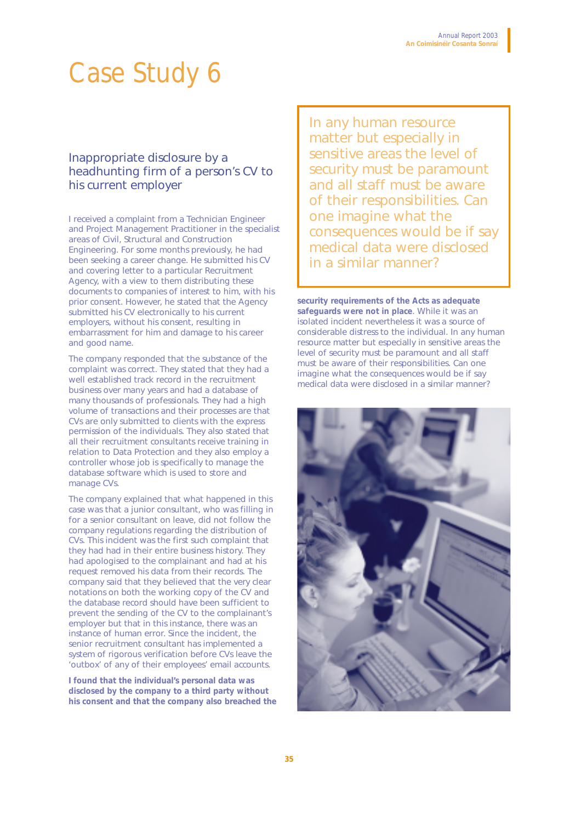#### Inappropriate disclosure by a headhunting firm of a person's CV to his current employer

I received a complaint from a Technician Engineer and Project Management Practitioner in the specialist areas of Civil, Structural and Construction Engineering. For some months previously, he had been seeking a career change. He submitted his CV and covering letter to a particular Recruitment Agency, with a view to them distributing these documents to companies of interest to him, with his prior consent. However, he stated that the Agency submitted his CV electronically to his current employers, without his consent, resulting in embarrassment for him and damage to his career and good name.

The company responded that the substance of the complaint was correct. They stated that they had a well established track record in the recruitment business over many years and had a database of many thousands of professionals. They had a high volume of transactions and their processes are that CVs are only submitted to clients with the express permission of the individuals. They also stated that all their recruitment consultants receive training in relation to Data Protection and they also employ a controller whose job is specifically to manage the database software which is used to store and manage CVs.

The company explained that what happened in this case was that a junior consultant, who was filling in for a senior consultant on leave, did not follow the company regulations regarding the distribution of CVs. This incident was the first such complaint that they had had in their entire business history. They had apologised to the complainant and had at his request removed his data from their records. The company said that they believed that the very clear notations on both the working copy of the CV and the database record should have been sufficient to prevent the sending of the CV to the complainant's employer but that in this instance, there was an instance of human error. Since the incident, the senior recruitment consultant has implemented a system of rigorous verification before CVs leave the 'outbox' of any of their employees' email accounts.

**I found that the individual's personal data was disclosed by the company to a third party without his consent and that the company also breached the**

In any human resource matter but especially in sensitive areas the level of security must be paramount and all staff must be aware of their responsibilities. Can one imagine what the consequences would be if say medical data were disclosed in a similar manner?

**security requirements of the Acts as adequate safeguards were not in place**. While it was an isolated incident nevertheless it was a source of considerable distress to the individual. In any human resource matter but especially in sensitive areas the level of security must be paramount and all staff must be aware of their responsibilities. Can one imagine what the consequences would be if say medical data were disclosed in a similar manner?

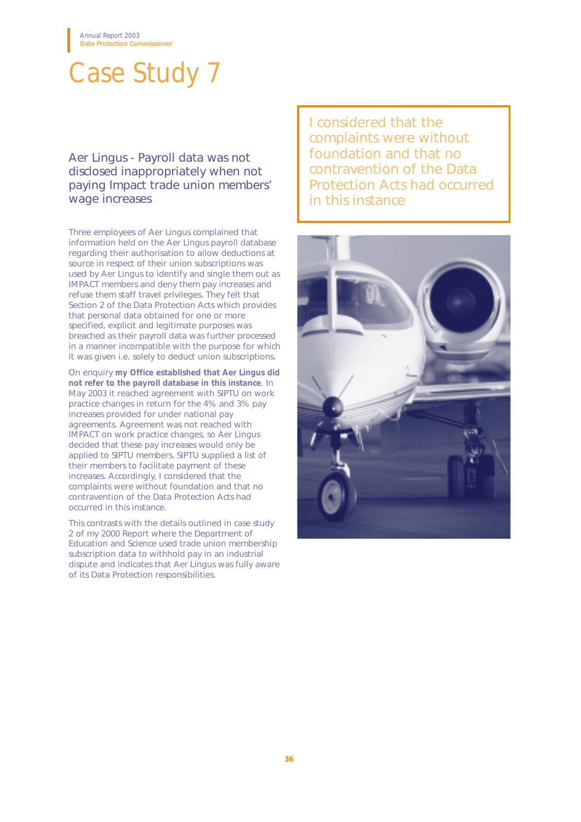Aer Lingus - Payroll data was not disclosed inappropriately when not paying Impact trade union members' wage increases

Three employees of Aer Lingus complained that information held on the Aer Lingus payroll database regarding their authorisation to allow deductions at source in respect of their union subscriptions was used by Aer Lingus to identify and single them out as IMPACT members and deny them pay increases and refuse them staff travel privileges. They felt that Section 2 of the Data Protection Acts which provides that personal data obtained for one or more specified, explicit and legitimate purposes was breached as their payroll data was further processed in a manner incompatible with the purpose for which it was given i.e. solely to deduct union subscriptions.

On enquiry **my Office established that Aer Lingus did not refer to the payroll database in this instance**. In May 2003 it reached agreement with SIPTU on work practice changes in return for the 4% and 3% pay increases provided for under national pay agreements. Agreement was not reached with IMPACT on work practice changes, so Aer Lingus decided that these pay increases would only be applied to SIPTU members. SIPTU supplied a list of their members to facilitate payment of these increases. Accordingly, I considered that the complaints were without foundation and that no contravention of the Data Protection Acts had occurred in this instance.

This contrasts with the details outlined in case study 2 of my 2000 Report where the Department of Education and Science used trade union membership subscription data to withhold pay in an industrial dispute and indicates that Aer Lingus was fully aware of its Data Protection responsibilities.

I considered that the complaints were without foundation and that no contravention of the Data Protection Acts had occurred in this instance

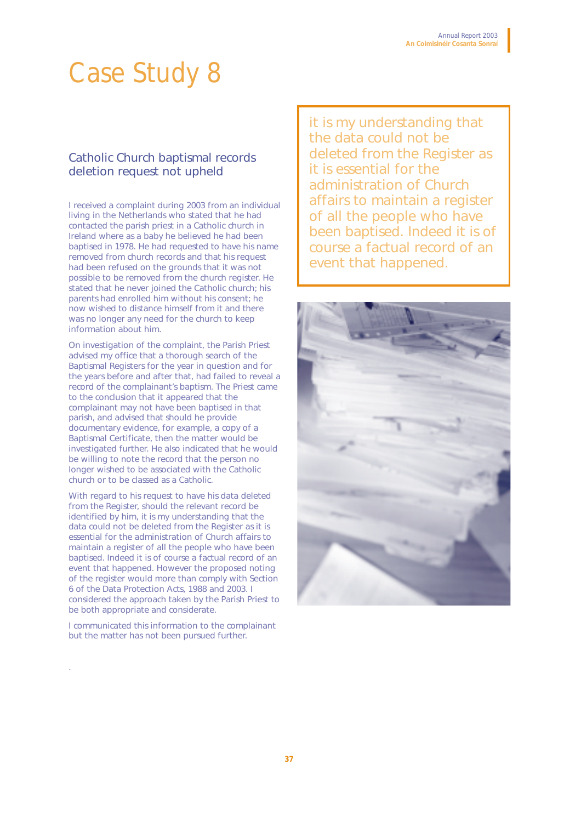#### Catholic Church baptismal records deletion request not upheld

I received a complaint during 2003 from an individual living in the Netherlands who stated that he had contacted the parish priest in a Catholic church in Ireland where as a baby he believed he had been baptised in 1978. He had requested to have his name removed from church records and that his request had been refused on the grounds that it was not possible to be removed from the church register. He stated that he never joined the Catholic church; his parents had enrolled him without his consent; he now wished to distance himself from it and there was no longer any need for the church to keep information about him.

On investigation of the complaint, the Parish Priest advised my office that a thorough search of the Baptismal Registers for the year in question and for the years before and after that, had failed to reveal a record of the complainant's baptism. The Priest came to the conclusion that it appeared that the complainant may not have been baptised in that parish, and advised that should he provide documentary evidence, for example, a copy of a Baptismal Certificate, then the matter would be investigated further. He also indicated that he would be willing to note the record that the person no longer wished to be associated with the Catholic church or to be classed as a Catholic.

With regard to his request to have his data deleted from the Register, should the relevant record be identified by him, it is my understanding that the data could not be deleted from the Register as it is essential for the administration of Church affairs to maintain a register of all the people who have been baptised. Indeed it is of course a factual record of an event that happened. However the proposed noting of the register would more than comply with Section 6 of the Data Protection Acts, 1988 and 2003. I considered the approach taken by the Parish Priest to be both appropriate and considerate.

I communicated this information to the complainant but the matter has not been pursued further.

.

it is my understanding that the data could not be deleted from the Register as it is essential for the administration of Church affairs to maintain a register of all the people who have been baptised. Indeed it is of course a factual record of an event that happened.

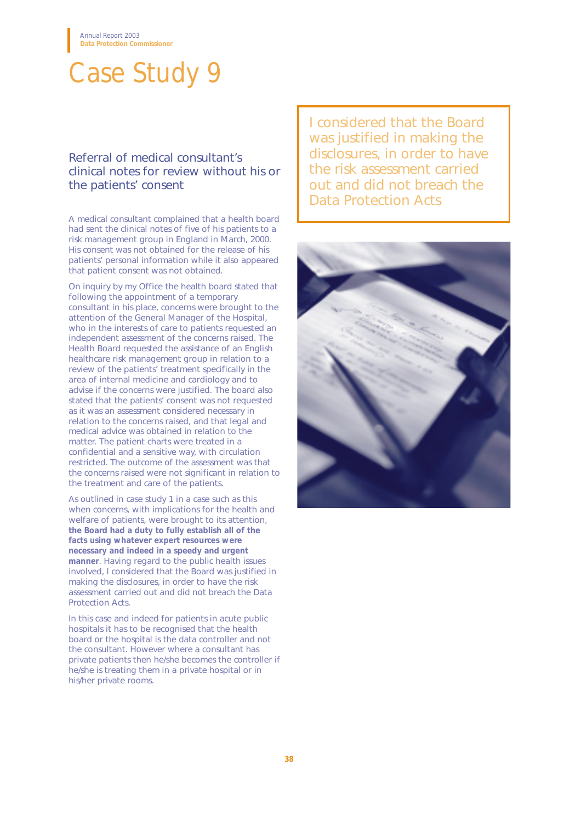#### Referral of medical consultant's clinical notes for review without his or the patients' consent

A medical consultant complained that a health board had sent the clinical notes of five of his patients to a risk management group in England in March, 2000. His consent was not obtained for the release of his patients' personal information while it also appeared that patient consent was not obtained.

On inquiry by my Office the health board stated that following the appointment of a temporary consultant in his place, concerns were brought to the attention of the General Manager of the Hospital, who in the interests of care to patients requested an independent assessment of the concerns raised. The Health Board requested the assistance of an English healthcare risk management group in relation to a review of the patients' treatment specifically in the area of internal medicine and cardiology and to advise if the concerns were justified. The board also stated that the patients' consent was not requested as it was an assessment considered necessary in relation to the concerns raised, and that legal and medical advice was obtained in relation to the matter. The patient charts were treated in a confidential and a sensitive way, with circulation restricted. The outcome of the assessment was that the concerns raised were not significant in relation to the treatment and care of the patients.

As outlined in case study 1 in a case such as this when concerns, with implications for the health and welfare of patients, were brought to its attention, **the Board had a duty to fully establish all of the facts using whatever expert resources were necessary and indeed in a speedy and urgent manner**. Having regard to the public health issues involved, I considered that the Board was justified in making the disclosures, in order to have the risk assessment carried out and did not breach the Data Protection Acts.

In this case and indeed for patients in acute public hospitals it has to be recognised that the health board or the hospital is the data controller and not the consultant. However where a consultant has private patients then he/she becomes the controller if he/she is treating them in a private hospital or in his/her private rooms.

I considered that the Board was justified in making the disclosures, in order to have the risk assessment carried out and did not breach the Data Protection Acts

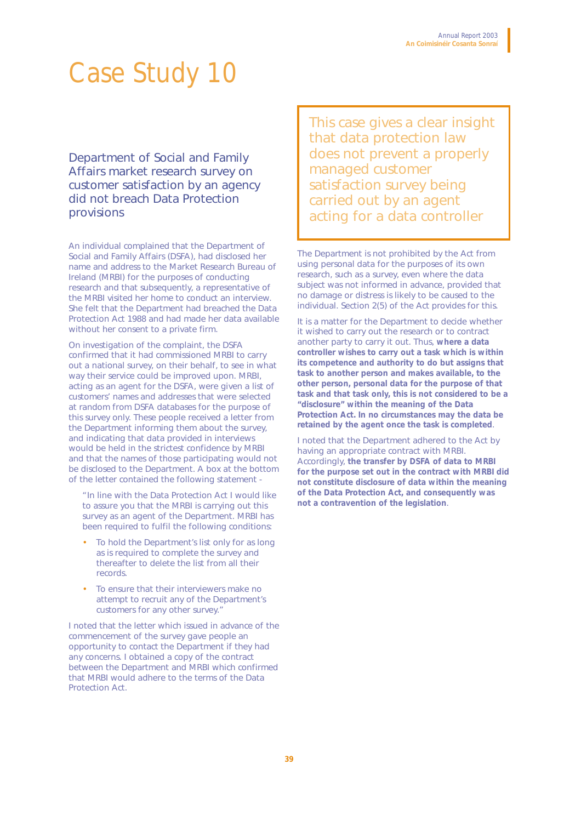Department of Social and Family Affairs market research survey on customer satisfaction by an agency did not breach Data Protection provisions

An individual complained that the Department of Social and Family Affairs (DSFA), had disclosed her name and address to the Market Research Bureau of Ireland (MRBI) for the purposes of conducting research and that subsequently, a representative of the MRBI visited her home to conduct an interview. She felt that the Department had breached the Data Protection Act 1988 and had made her data available without her consent to a private firm.

On investigation of the complaint, the DSFA confirmed that it had commissioned MRBI to carry out a national survey, on their behalf, to see in what way their service could be improved upon. MRBI, acting as an agent for the DSFA, were given a list of customers' names and addresses that were selected at random from DSFA databases for the purpose of this survey only. These people received a letter from the Department informing them about the survey, and indicating that data provided in interviews would be held in the strictest confidence by MRBI and that the names of those participating would not be disclosed to the Department. A box at the bottom of the letter contained the following statement -

"In line with the Data Protection Act I would like to assure you that the MRBI is carrying out this survey as an agent of the Department. MRBI has been required to fulfil the following conditions:

- To hold the Department's list only for as long as is required to complete the survey and thereafter to delete the list from all their records.
- To ensure that their interviewers make no attempt to recruit any of the Department's customers for any other survey."

I noted that the letter which issued in advance of the commencement of the survey gave people an opportunity to contact the Department if they had any concerns. I obtained a copy of the contract between the Department and MRBI which confirmed that MRBI would adhere to the terms of the Data Protection Act.

This case gives a clear insight that data protection law does not prevent a properly managed customer satisfaction survey being carried out by an agent acting for a data controller

The Department is not prohibited by the Act from using personal data for the purposes of its own research, such as a survey, even where the data subject was not informed in advance, provided that no damage or distress is likely to be caused to the individual. Section 2(5) of the Act provides for this.

It is a matter for the Department to decide whether it wished to carry out the research or to contract another party to carry it out. Thus, **where a data controller wishes to carry out a task which is within its competence and authority to do but assigns that task to another person and makes available, to the other person, personal data for the purpose of that task and that task only, this is not considered to be a "disclosure" within the meaning of the Data Protection Act. In no circumstances may the data be retained by the agent once the task is completed**.

I noted that the Department adhered to the Act by having an appropriate contract with MRBI. Accordingly, **the transfer by DSFA of data to MRBI for the purpose set out in the contract with MRBI did not constitute disclosure of data within the meaning of the Data Protection Act, and consequently was not a contravention of the legislation**.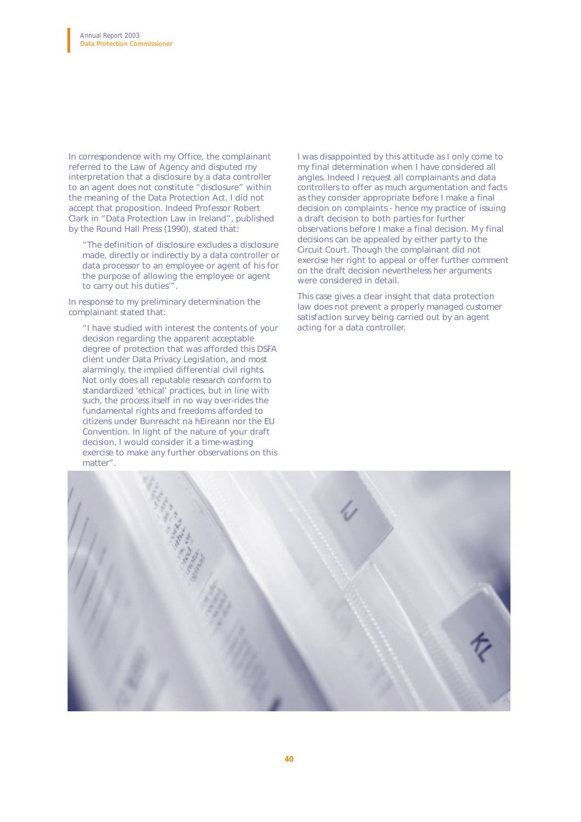In correspondence with my Office, the complainant referred to the Law of Agency and disputed my interpretation that a disclosure by a data controller to an agent does not constitute "disclosure" within the meaning of the Data Protection Act. I did not accept that proposition. Indeed Professor Robert Clark in "Data Protection Law in Ireland", published by the Round Hall Press (1990), stated that:

"The definition of disclosure excludes a disclosure made, directly or indirectly by a data controller or data processor to an employee or agent of his for the purpose of allowing the employee or agent to carry out his duties'".

In response to my preliminary determination the complainant stated that:

"I have studied with interest the contents of your decision regarding the apparent acceptable degree of protection that was afforded this DSFA client under Data Privacy Legislation, and most alarmingly, the implied differential civil rights. Not only does all reputable research conform to standardized 'ethical' practices, but in line with such, the process itself in no way over-rides the fundamental rights and freedoms afforded to citizens under Bunreacht na hEireann nor the EU Convention. In light of the nature of your draft decision, I would consider it a time-wasting exercise to make any further observations on this matter".

I was disappointed by this attitude as I only come to my final determination when I have considered all angles. Indeed I request all complainants and data controllers to offer as much argumentation and facts as they consider appropriate before I make a final decision on complaints - hence my practice of issuing a draft decision to both parties for further observations before I make a final decision. My final decisions can be appealed by either party to the Circuit Court. Though the complainant did not exercise her right to appeal or offer further comment on the draft decision nevertheless her arguments were considered in detail.

This case gives a clear insight that data protection law does not prevent a properly managed customer satisfaction survey being carried out by an agent acting for a data controller.

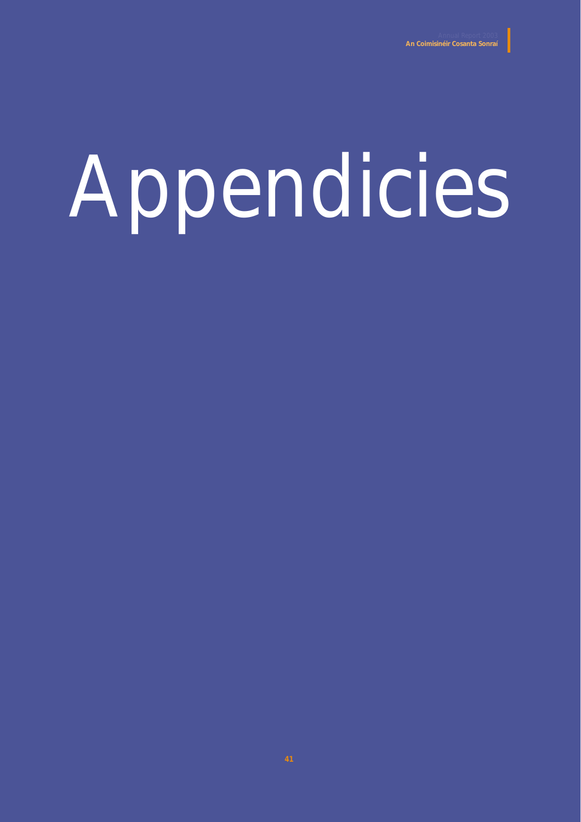## Appendicies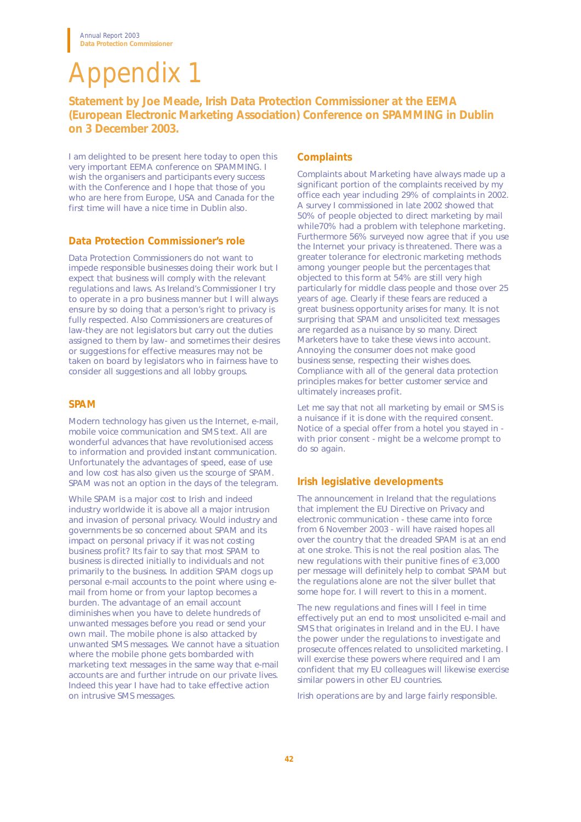## Appendix 1

*Statement by Joe Meade, Irish Data Protection Commissioner at the EEMA (European Electronic Marketing Association) Conference on SPAMMING in Dublin on 3 December 2003.*

I am delighted to be present here today to open this very important EEMA conference on SPAMMING. I wish the organisers and participants every success with the Conference and I hope that those of you who are here from Europe, USA and Canada for the first time will have a nice time in Dublin also.

#### **Data Protection Commissioner's role**

Data Protection Commissioners do not want to impede responsible businesses doing their work but I expect that business will comply with the relevant regulations and laws. As Ireland's Commissioner I try to operate in a pro business manner but I will always ensure by so doing that a person's right to privacy is fully respected. Also Commissioners are creatures of law-they are not legislators but carry out the duties assigned to them by law- and sometimes their desires or suggestions for effective measures may not be taken on board by legislators who in fairness have to consider all suggestions and all lobby groups.

#### **SPAM**

Modern technology has given us the Internet, e-mail, mobile voice communication and SMS text. All are wonderful advances that have revolutionised access to information and provided instant communication. Unfortunately the advantages of speed, ease of use and low cost has also given us the scourge of SPAM. SPAM was not an option in the days of the telegram.

While SPAM is a major cost to Irish and indeed industry worldwide it is above all a major intrusion and invasion of personal privacy. Would industry and governments be so concerned about SPAM and its impact on personal privacy if it was not costing business profit? Its fair to say that most SPAM to business is directed initially to individuals and not primarily to the business. In addition SPAM clogs up personal e-mail accounts to the point where using email from home or from your laptop becomes a burden. The advantage of an email account diminishes when you have to delete hundreds of unwanted messages before you read or send your own mail. The mobile phone is also attacked by unwanted SMS messages. We cannot have a situation where the mobile phone gets bombarded with marketing text messages in the same way that e-mail accounts are and further intrude on our private lives. Indeed this year I have had to take effective action on intrusive SMS messages.

#### **Complaints**

Complaints about Marketing have always made up a significant portion of the complaints received by my office each year including 29% of complaints in 2002. A survey I commissioned in late 2002 showed that 50% of people objected to direct marketing by mail while70% had a problem with telephone marketing. Furthermore 56% surveyed now agree that if you use the Internet your privacy is threatened. There was a greater tolerance for electronic marketing methods among younger people but the percentages that objected to this form at 54% are still very high particularly for middle class people and those over 25 years of age. Clearly if these fears are reduced a great business opportunity arises for many. It is not surprising that SPAM and unsolicited text messages are regarded as a nuisance by so many. Direct Marketers have to take these views into account. Annoying the consumer does not make good business sense, respecting their wishes does. Compliance with all of the general data protection principles makes for better customer service and ultimately increases profit.

Let me say that not all marketing by email or SMS is a nuisance if it is done with the required consent. Notice of a special offer from a hotel you stayed in with prior consent - might be a welcome prompt to do so again.

#### **Irish legislative developments**

The announcement in Ireland that the regulations that implement the EU Directive on Privacy and electronic communication - these came into force from 6 November 2003 - will have raised hopes all over the country that the dreaded SPAM is at an end at one stroke. This is not the real position alas. The new regulations with their punitive fines of €3,000 per message will definitely help to combat SPAM but the regulations alone are not the silver bullet that some hope for. I will revert to this in a moment.

The new regulations and fines will I feel in time effectively put an end to most unsolicited e-mail and SMS that originates in Ireland and in the EU. I have the power under the regulations to investigate and prosecute offences related to unsolicited marketing. I will exercise these powers where required and I am confident that my EU colleagues will likewise exercise similar powers in other EU countries.

Irish operations are by and large fairly responsible.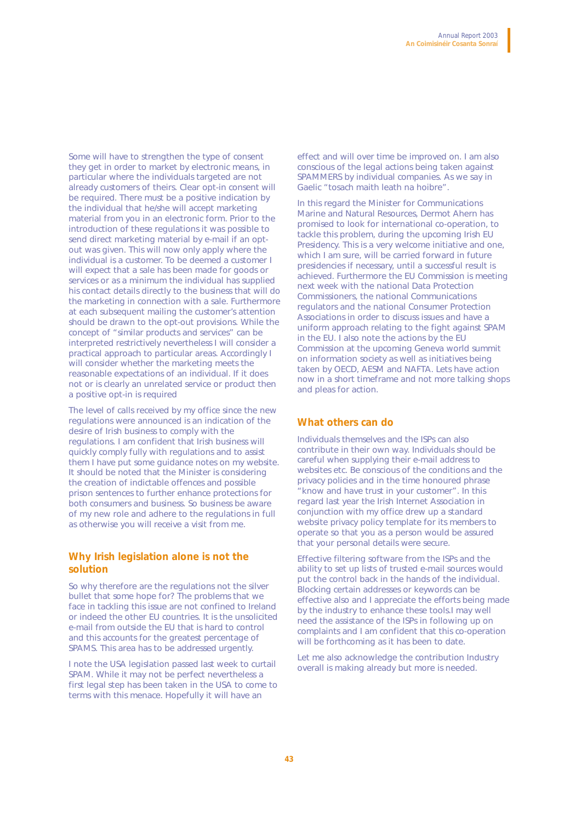Some will have to strengthen the type of consent they get in order to market by electronic means, in particular where the individuals targeted are not already customers of theirs. Clear opt-in consent will be required. There must be a positive indication by the individual that he/she will accept marketing material from you in an electronic form. Prior to the introduction of these regulations it was possible to send direct marketing material by e-mail if an optout was given. This will now only apply where the individual is a customer. To be deemed a customer I will expect that a sale has been made for goods or services or as a minimum the individual has supplied his contact details directly to the business that will do the marketing in connection with a sale. Furthermore at each subsequent mailing the customer's attention should be drawn to the opt-out provisions. While the concept of "similar products and services" can be interpreted restrictively nevertheless I will consider a practical approach to particular areas. Accordingly I will consider whether the marketing meets the reasonable expectations of an individual. If it does not or is clearly an unrelated service or product then a positive opt-in is required

The level of calls received by my office since the new regulations were announced is an indication of the desire of Irish business to comply with the regulations. I am confident that Irish business will quickly comply fully with regulations and to assist them I have put some guidance notes on my website. It should be noted that the Minister is considering the creation of indictable offences and possible prison sentences to further enhance protections for both consumers and business. So business be aware of my new role and adhere to the regulations in full as otherwise you will receive a visit from me.

#### **Why Irish legislation alone is not the solution**

So why therefore are the regulations not the silver bullet that some hope for? The problems that we face in tackling this issue are not confined to Ireland or indeed the other EU countries. It is the unsolicited e-mail from outside the EU that is hard to control and this accounts for the greatest percentage of SPAMS. This area has to be addressed urgently.

I note the USA legislation passed last week to curtail SPAM. While it may not be perfect nevertheless a first legal step has been taken in the USA to come to terms with this menace. Hopefully it will have an

effect and will over time be improved on. I am also conscious of the legal actions being taken against SPAMMERS by individual companies. As we say in Gaelic "tosach maith leath na hoibre".

In this regard the Minister for Communications Marine and Natural Resources, Dermot Ahern has promised to look for international co-operation, to tackle this problem, during the upcoming Irish EU Presidency. This is a very welcome initiative and one, which I am sure, will be carried forward in future presidencies if necessary, until a successful result is achieved. Furthermore the EU Commission is meeting next week with the national Data Protection Commissioners, the national Communications regulators and the national Consumer Protection Associations in order to discuss issues and have a uniform approach relating to the fight against SPAM in the EU. I also note the actions by the EU Commission at the upcoming Geneva world summit on information society as well as initiatives being taken by OECD, AESM and NAFTA. Lets have action now in a short timeframe and not more talking shops and pleas for action.

#### **What others can do**

Individuals themselves and the ISPs can also contribute in their own way. Individuals should be careful when supplying their e-mail address to websites etc. Be conscious of the conditions and the privacy policies and in the time honoured phrase "know and have trust in your customer". In this regard last year the Irish Internet Association in conjunction with my office drew up a standard website privacy policy template for its members to operate so that you as a person would be assured that your personal details were secure.

Effective filtering software from the ISPs and the ability to set up lists of trusted e-mail sources would put the control back in the hands of the individual. Blocking certain addresses or keywords can be effective also and I appreciate the efforts being made by the industry to enhance these tools.I may well need the assistance of the ISPs in following up on complaints and I am confident that this co-operation will be forthcoming as it has been to date.

Let me also acknowledge the contribution Industry overall is making already but more is needed.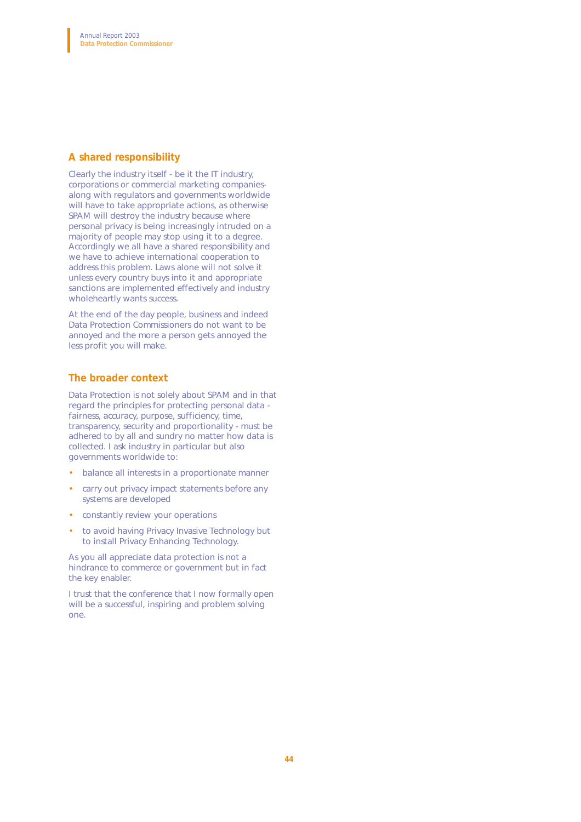#### **A shared responsibility**

Clearly the industry itself - be it the IT industry, corporations or commercial marketing companiesalong with regulators and governments worldwide will have to take appropriate actions, as otherwise SPAM will destroy the industry because where personal privacy is being increasingly intruded on a majority of people may stop using it to a degree. Accordingly we all have a shared responsibility and we have to achieve international cooperation to address this problem. Laws alone will not solve it unless every country buys into it and appropriate sanctions are implemented effectively and industry wholeheartly wants success.

At the end of the day people, business and indeed Data Protection Commissioners do not want to be annoyed and the more a person gets annoyed the less profit you will make.

#### **The broader context**

Data Protection is not solely about SPAM and in that regard the principles for protecting personal data fairness, accuracy, purpose, sufficiency, time, transparency, security and proportionality - must be adhered to by all and sundry no matter how data is collected. I ask industry in particular but also governments worldwide to:

- balance all interests in a proportionate manner
- carry out privacy impact statements before any systems are developed
- constantly review your operations
- to avoid having Privacy Invasive Technology but to install Privacy Enhancing Technology.

As you all appreciate data protection is not a hindrance to commerce or government but in fact the key enabler.

I trust that the conference that I now formally open will be a successful, inspiring and problem solving one.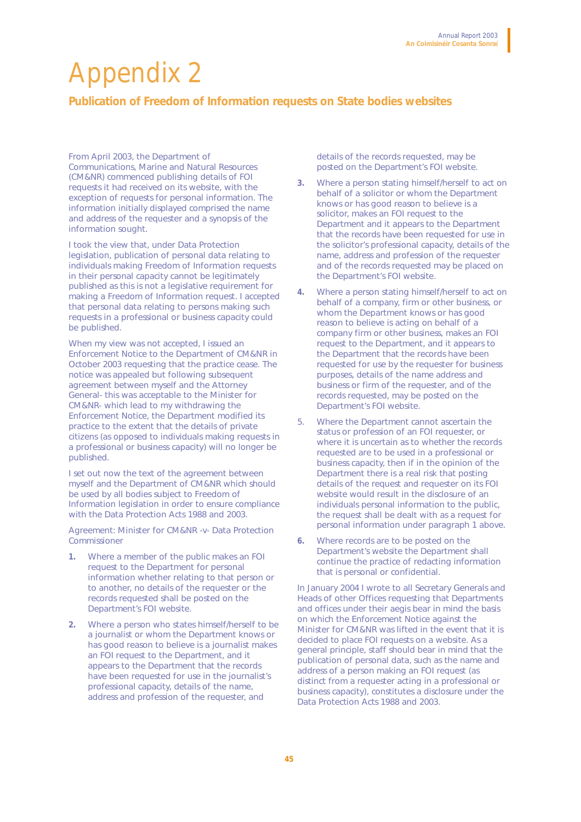## Appendix 2

*Publication of Freedom of Information requests on State bodies websites*

From April 2003, the Department of Communications, Marine and Natural Resources (CM&NR) commenced publishing details of FOI requests it had received on its website, with the exception of requests for personal information. The information initially displayed comprised the name and address of the requester and a synopsis of the information sought.

I took the view that, under Data Protection legislation, publication of personal data relating to individuals making Freedom of Information requests in their personal capacity cannot be legitimately published as this is not a legislative requirement for making a Freedom of Information request. I accepted that personal data relating to persons making such requests in a professional or business capacity could be published.

When my view was not accepted, I issued an Enforcement Notice to the Department of CM&NR in October 2003 requesting that the practice cease. The notice was appealed but following subsequent agreement between myself and the Attorney General- this was acceptable to the Minister for CM&NR- which lead to my withdrawing the Enforcement Notice, the Department modified its practice to the extent that the details of private citizens (as opposed to individuals making requests in a professional or business capacity) will no longer be published.

I set out now the text of the agreement between myself and the Department of CM&NR which should be used by all bodies subject to Freedom of Information legislation in order to ensure compliance with the Data Protection Acts 1988 and 2003.

Agreement: Minister for CM&NR -v- Data Protection Commissioner

- **1.** Where a member of the public makes an FOI request to the Department for personal information whether relating to that person or to another, no details of the requester or the records requested shall be posted on the Department's FOI website.
- **2.** Where a person who states himself/herself to be a journalist or whom the Department knows or has good reason to believe is a journalist makes an FOI request to the Department, and it appears to the Department that the records have been requested for use in the journalist's professional capacity, details of the name, address and profession of the requester, and

details of the records requested, may be posted on the Department's FOI website.

- **3.** Where a person stating himself/herself to act on behalf of a solicitor or whom the Department knows or has good reason to believe is a solicitor, makes an FOI request to the Department and it appears to the Department that the records have been requested for use in the solicitor's professional capacity, details of the name, address and profession of the requester and of the records requested may be placed on the Department's FOI website.
- **4.** Where a person stating himself/herself to act on behalf of a company, firm or other business, or whom the Department knows or has good reason to believe is acting on behalf of a company firm or other business, makes an FOI request to the Department, and it appears to the Department that the records have been requested for use by the requester for business purposes, details of the name address and business or firm of the requester, and of the records requested, may be posted on the Department's FOI website.
- 5. Where the Department cannot ascertain the status or profession of an FOI requester, or where it is uncertain as to whether the records requested are to be used in a professional or business capacity, then if in the opinion of the Department there is a real risk that posting details of the request and requester on its FOI website would result in the disclosure of an individuals personal information to the public, the request shall be dealt with as a request for personal information under paragraph 1 above.
- **6.** Where records are to be posted on the Department's website the Department shall continue the practice of redacting information that is personal or confidential.

In January 2004 I wrote to all Secretary Generals and Heads of other Offices requesting that Departments and offices under their aegis bear in mind the basis on which the Enforcement Notice against the Minister for CM&NR was lifted in the event that it is decided to place FOI requests on a website. As a general principle, staff should bear in mind that the publication of personal data, such as the name and address of a person making an FOI request (as distinct from a requester acting in a professional or business capacity), constitutes a disclosure under the Data Protection Acts 1988 and 2003.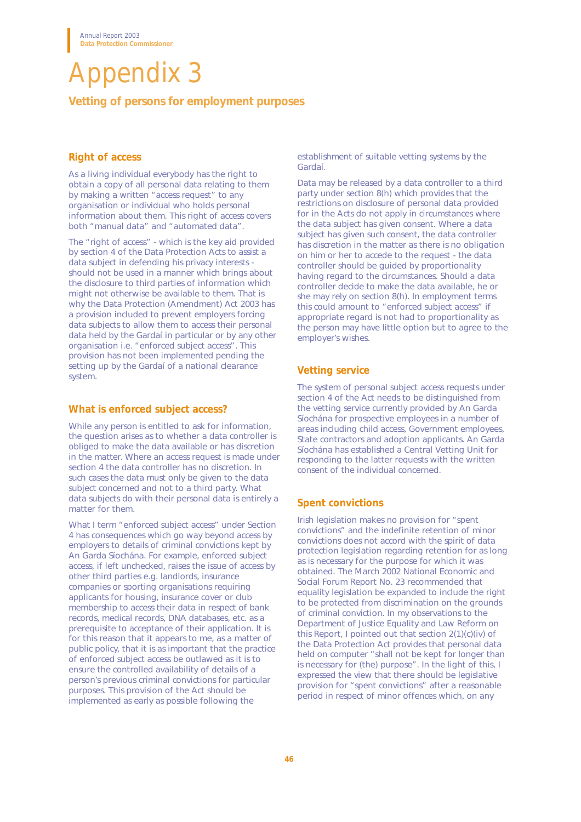### Appendix 3 *Vetting of persons for employment purposes*

#### **Right of access**

As a living individual everybody has the right to obtain a copy of all personal data relating to them by making a written "access request" to any organisation or individual who holds personal information about them. This right of access covers both "manual data" and "automated data".

The "right of access" - which is the key aid provided by section 4 of the Data Protection Acts to assist a data subject in defending his privacy interests should not be used in a manner which brings about the disclosure to third parties of information which might not otherwise be available to them. That is why the Data Protection (Amendment) Act 2003 has a provision included to prevent employers forcing data subjects to allow them to access their personal data held by the Gardaí in particular or by any other organisation i.e. "enforced subject access". This provision has not been implemented pending the setting up by the Gardaí of a national clearance system.

#### **What is enforced subject access?**

While any person is entitled to ask for information, the question arises as to whether a data controller is obliged to make the data available or has discretion in the matter. Where an access request is made under section 4 the data controller has no discretion. In such cases the data must only be given to the data subject concerned and not to a third party. What data subjects do with their personal data is entirely a matter for them.

What I term "enforced subject access" under Section 4 has consequences which go way beyond access by employers to details of criminal convictions kept by An Garda Síochána. For example, enforced subject access, if left unchecked, raises the issue of access by other third parties e.g. landlords, insurance companies or sporting organisations requiring applicants for housing, insurance cover or club membership to access their data in respect of bank records, medical records, DNA databases, etc. as a prerequisite to acceptance of their application. It is for this reason that it appears to me, as a matter of public policy, that it is as important that the practice of enforced subject access be outlawed as it is to ensure the controlled availability of details of a person's previous criminal convictions for particular purposes. This provision of the Act should be implemented as early as possible following the

establishment of suitable vetting systems by the Gardaí.

Data may be released by a data controller to a third party under section 8(h) which provides that the restrictions on disclosure of personal data provided for in the Acts do not apply in circumstances where the data subject has given consent. Where a data subject has given such consent, the data controller has discretion in the matter as there is no obligation on him or her to accede to the request - the data controller should be guided by proportionality having regard to the circumstances. Should a data controller decide to make the data available, he or she may rely on section 8(h). In employment terms this could amount to "enforced subject access" if appropriate regard is not had to proportionality as the person may have little option but to agree to the employer's wishes.

#### **Vetting service**

The system of personal subject access requests under section 4 of the Act needs to be distinguished from the vetting service currently provided by An Garda Síochána for prospective employees in a number of areas including child access, Government employees, State contractors and adoption applicants. An Garda Síochána has established a Central Vetting Unit for responding to the latter requests with the written consent of the individual concerned.

#### **Spent convictions**

Irish legislation makes no provision for "spent convictions" and the indefinite retention of minor convictions does not accord with the spirit of data protection legislation regarding retention for as long as is necessary for the purpose for which it was obtained. The March 2002 National Economic and Social Forum Report No. 23 recommended that equality legislation be expanded to include the right to be protected from discrimination on the grounds of criminal conviction. In my observations to the Department of Justice Equality and Law Reform on this Report, I pointed out that section 2(1)(c)(iv) of the Data Protection Act provides that personal data held on computer "shall not be kept for longer than is necessary for (the) purpose". In the light of this, I expressed the view that there should be legislative provision for "spent convictions" after a reasonable period in respect of minor offences which, on any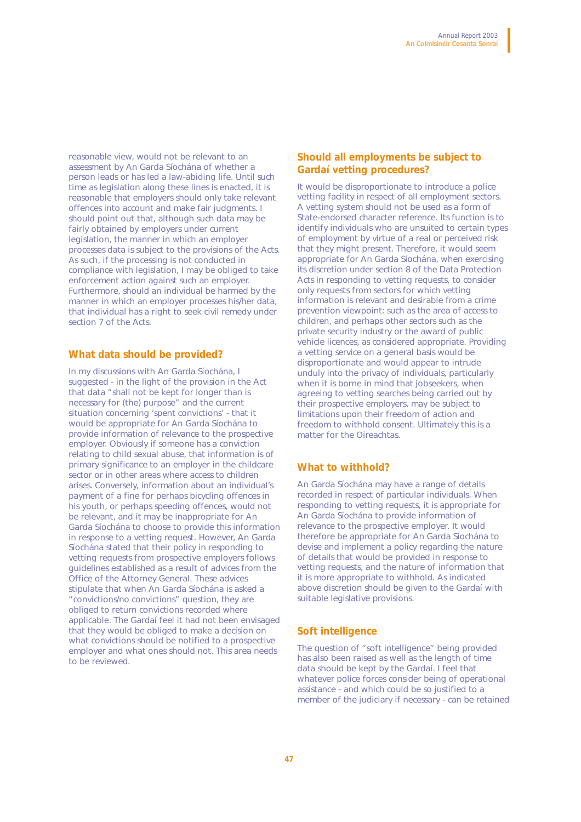reasonable view, would not be relevant to an assessment by An Garda Síochána of whether a person leads or has led a law-abiding life. Until such time as legislation along these lines is enacted, it is reasonable that employers should only take relevant offences into account and make fair judgments. I should point out that, although such data may be fairly obtained by employers under current legislation, the manner in which an employer processes data is subject to the provisions of the Acts. As such, if the processing is not conducted in compliance with legislation, I may be obliged to take enforcement action against such an employer. Furthermore, should an individual be harmed by the manner in which an employer processes his/her data, that individual has a right to seek civil remedy under section 7 of the Acts.

#### **What data should be provided?**

In my discussions with An Garda Síochána, I suggested - in the light of the provision in the Act that data "shall not be kept for longer than is necessary for (the) purpose" and the current situation concerning 'spent convictions' - that it would be appropriate for An Garda Síochána to provide information of relevance to the prospective employer. Obviously if someone has a conviction relating to child sexual abuse, that information is of primary significance to an employer in the childcare sector or in other areas where access to children arises. Conversely, information about an individual's payment of a fine for perhaps bicycling offences in his youth, or perhaps speeding offences, would not be relevant, and it may be inappropriate for An Garda Síochána to choose to provide this information in response to a vetting request. However, An Garda Síochána stated that their policy in responding to vetting requests from prospective employers follows guidelines established as a result of advices from the Office of the Attorney General. These advices stipulate that when An Garda Síochána is asked a "convictions/no convictions" question, they are obliged to return convictions recorded where applicable. The Gardaí feel it had not been envisaged that they would be obliged to make a decision on what convictions should be notified to a prospective employer and what ones should not. This area needs to be reviewed.

#### **Should all employments be subject to Gardaí vetting procedures?**

It would be disproportionate to introduce a police vetting facility in respect of all employment sectors. A vetting system should not be used as a form of State-endorsed character reference. Its function is to identify individuals who are unsuited to certain types of employment by virtue of a real or perceived risk that they might present. Therefore, it would seem appropriate for An Garda Síochána, when exercising its discretion under section 8 of the Data Protection Acts in responding to vetting requests, to consider only requests from sectors for which vetting information is relevant and desirable from a crime prevention viewpoint: such as the area of access to children, and perhaps other sectors such as the private security industry or the award of public vehicle licences, as considered appropriate. Providing a vetting service on a general basis would be disproportionate and would appear to intrude unduly into the privacy of individuals, particularly when it is borne in mind that jobseekers, when agreeing to vetting searches being carried out by their prospective employers, may be subject to limitations upon their freedom of action and freedom to withhold consent. Ultimately this is a matter for the Oireachtas.

#### **What to withhold?**

An Garda Síochána may have a range of details recorded in respect of particular individuals. When responding to vetting requests, it is appropriate for An Garda Síochána to provide information of relevance to the prospective employer. It would therefore be appropriate for An Garda Síochána to devise and implement a policy regarding the nature of details that would be provided in response to vetting requests, and the nature of information that it is more appropriate to withhold. As indicated above discretion should be given to the Gardaí with suitable legislative provisions.

#### **Soft intelligence**

The question of "soft intelligence" being provided has also been raised as well as the length of time data should be kept by the Gardaí. I feel that whatever police forces consider being of operational assistance - and which could be so justified to a member of the judiciary if necessary - can be retained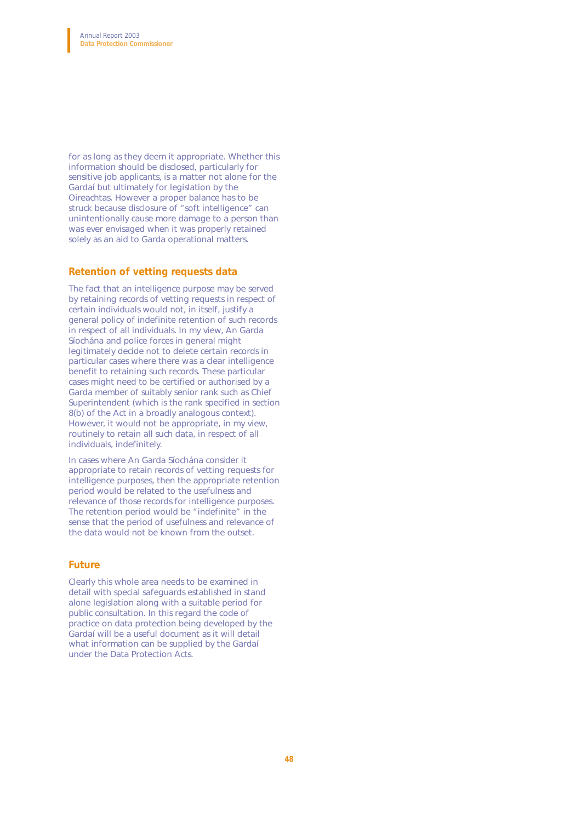for as long as they deem it appropriate. Whether this information should be disclosed, particularly for sensitive job applicants, is a matter not alone for the Gardaí but ultimately for legislation by the Oireachtas. However a proper balance has to be struck because disclosure of "soft intelligence" can unintentionally cause more damage to a person than was ever envisaged when it was properly retained solely as an aid to Garda operational matters.

#### **Retention of vetting requests data**

The fact that an intelligence purpose may be served by retaining records of vetting requests in respect of certain individuals would not, in itself, justify a general policy of indefinite retention of such records in respect of all individuals. In my view, An Garda Síochána and police forces in general might legitimately decide not to delete certain records in particular cases where there was a clear intelligence benefit to retaining such records. These particular cases might need to be certified or authorised by a Garda member of suitably senior rank such as Chief Superintendent (which is the rank specified in section 8(b) of the Act in a broadly analogous context). However, it would not be appropriate, in my view, routinely to retain all such data, in respect of all individuals, indefinitely.

In cases where An Garda Síochána consider it appropriate to retain records of vetting requests for intelligence purposes, then the appropriate retention period would be related to the usefulness and relevance of those records for intelligence purposes. The retention period would be "indefinite" in the sense that the period of usefulness and relevance of the data would not be known from the outset.

#### **Future**

Clearly this whole area needs to be examined in detail with special safeguards established in stand alone legislation along with a suitable period for public consultation. In this regard the code of practice on data protection being developed by the Gardaí will be a useful document as it will detail what information can be supplied by the Gardaí under the Data Protection Acts.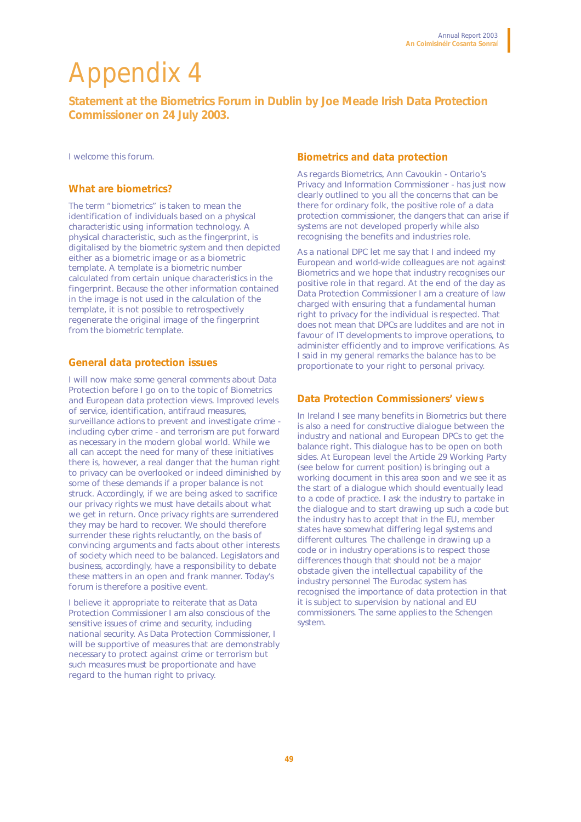## Appendix 4

*Statement at the Biometrics Forum in Dublin by Joe Meade Irish Data Protection Commissioner on 24 July 2003.* 

I welcome this forum.

#### **What are biometrics?**

The term "biometrics" is taken to mean the identification of individuals based on a physical characteristic using information technology. A physical characteristic, such as the fingerprint, is digitalised by the biometric system and then depicted either as a biometric image or as a biometric template. A template is a biometric number calculated from certain unique characteristics in the fingerprint. Because the other information contained in the image is not used in the calculation of the template, it is not possible to retrospectively regenerate the original image of the fingerprint from the biometric template.

#### **General data protection issues**

I will now make some general comments about Data Protection before I go on to the topic of Biometrics and European data protection views. Improved levels of service, identification, antifraud measures, surveillance actions to prevent and investigate crime including cyber crime - and terrorism are put forward as necessary in the modern global world. While we all can accept the need for many of these initiatives there is, however, a real danger that the human right to privacy can be overlooked or indeed diminished by some of these demands if a proper balance is not struck. Accordingly, if we are being asked to sacrifice our privacy rights we must have details about what we get in return. Once privacy rights are surrendered they may be hard to recover. We should therefore surrender these rights reluctantly, on the basis of convincing arguments and facts about other interests of society which need to be balanced. Legislators and business, accordingly, have a responsibility to debate these matters in an open and frank manner. Today's forum is therefore a positive event.

I believe it appropriate to reiterate that as Data Protection Commissioner I am also conscious of the sensitive issues of crime and security, including national security. As Data Protection Commissioner, I will be supportive of measures that are demonstrably necessary to protect against crime or terrorism but such measures must be proportionate and have regard to the human right to privacy.

#### **Biometrics and data protection**

As regards Biometrics, Ann Cavoukin - Ontario's Privacy and Information Commissioner - has just now clearly outlined to you all the concerns that can be there for ordinary folk, the positive role of a data protection commissioner, the dangers that can arise if systems are not developed properly while also recognising the benefits and industries role.

As a national DPC let me say that I and indeed my European and world-wide colleagues are not against Biometrics and we hope that industry recognises our positive role in that regard. At the end of the day as Data Protection Commissioner I am a creature of law charged with ensuring that a fundamental human right to privacy for the individual is respected. That does not mean that DPCs are luddites and are not in favour of IT developments to improve operations, to administer efficiently and to improve verifications. As I said in my general remarks the balance has to be proportionate to your right to personal privacy.

#### **Data Protection Commissioners' views**

In Ireland I see many benefits in Biometrics but there is also a need for constructive dialogue between the industry and national and European DPCs to get the balance right. This dialogue has to be open on both sides. At European level the Article 29 Working Party (see below for current position) is bringing out a working document in this area soon and we see it as the start of a dialogue which should eventually lead to a code of practice. I ask the industry to partake in the dialogue and to start drawing up such a code but the industry has to accept that in the EU, member states have somewhat differing legal systems and different cultures. The challenge in drawing up a code or in industry operations is to respect those differences though that should not be a major obstacle given the intellectual capability of the industry personnel The Eurodac system has recognised the importance of data protection in that it is subject to supervision by national and EU commissioners. The same applies to the Schengen system.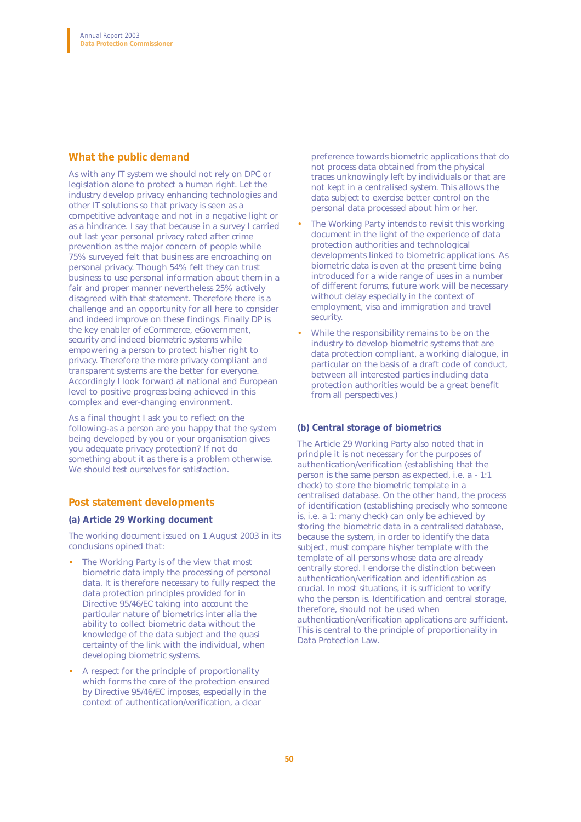#### **What the public demand**

As with any IT system we should not rely on DPC or legislation alone to protect a human right. Let the industry develop privacy enhancing technologies and other IT solutions so that privacy is seen as a competitive advantage and not in a negative light or as a hindrance. I say that because in a survey I carried out last year personal privacy rated after crime prevention as the major concern of people while 75% surveyed felt that business are encroaching on personal privacy. Though 54% felt they can trust business to use personal information about them in a fair and proper manner nevertheless 25% actively disagreed with that statement. Therefore there is a challenge and an opportunity for all here to consider and indeed improve on these findings. Finally DP is the key enabler of eCommerce, eGovernment, security and indeed biometric systems while empowering a person to protect his/her right to privacy. Therefore the more privacy compliant and transparent systems are the better for everyone. Accordingly I look forward at national and European level to positive progress being achieved in this complex and ever-changing environment.

As a final thought I ask you to reflect on the following-as a person are you happy that the system being developed by you or your organisation gives you adequate privacy protection? If not do something about it as there is a problem otherwise. We should test ourselves for satisfaction.

#### **Post statement developments**

#### *(a) Article 29 Working document*

The working document issued on 1 August 2003 in its conclusions opined that:

- The Working Party is of the view that most biometric data imply the processing of personal data. It is therefore necessary to fully respect the data protection principles provided for in Directive 95/46/EC taking into account the particular nature of biometrics inter alia the ability to collect biometric data without the knowledge of the data subject and the quasi certainty of the link with the individual, when developing biometric systems.
- A respect for the principle of proportionality which forms the core of the protection ensured by Directive 95/46/EC imposes, especially in the context of authentication/verification, a clear

preference towards biometric applications that do not process data obtained from the physical traces unknowingly left by individuals or that are not kept in a centralised system. This allows the data subject to exercise better control on the personal data processed about him or her.

- The Working Party intends to revisit this working document in the light of the experience of data protection authorities and technological developments linked to biometric applications. As biometric data is even at the present time being introduced for a wide range of uses in a number of different forums, future work will be necessary without delay especially in the context of employment, visa and immigration and travel security.
- While the responsibility remains to be on the industry to develop biometric systems that are data protection compliant, a working dialogue, in particular on the basis of a draft code of conduct, between all interested parties including data protection authorities would be a great benefit from all perspectives.)

#### *(b) Central storage of biometrics*

The Article 29 Working Party also noted that in principle it is not necessary for the purposes of authentication/verification (establishing that the person is the same person as expected, i.e. a - 1:1 check) to store the biometric template in a centralised database. On the other hand, the process of identification (establishing precisely who someone is, i.e. a 1: many check) can only be achieved by storing the biometric data in a centralised database, because the system, in order to identify the data subject, must compare his/her template with the template of all persons whose data are already centrally stored. I endorse the distinction between authentication/verification and identification as crucial. In most situations, it is sufficient to verify who the person is. Identification and central storage, therefore, should not be used when authentication/verification applications are sufficient. This is central to the principle of proportionality in Data Protection Law.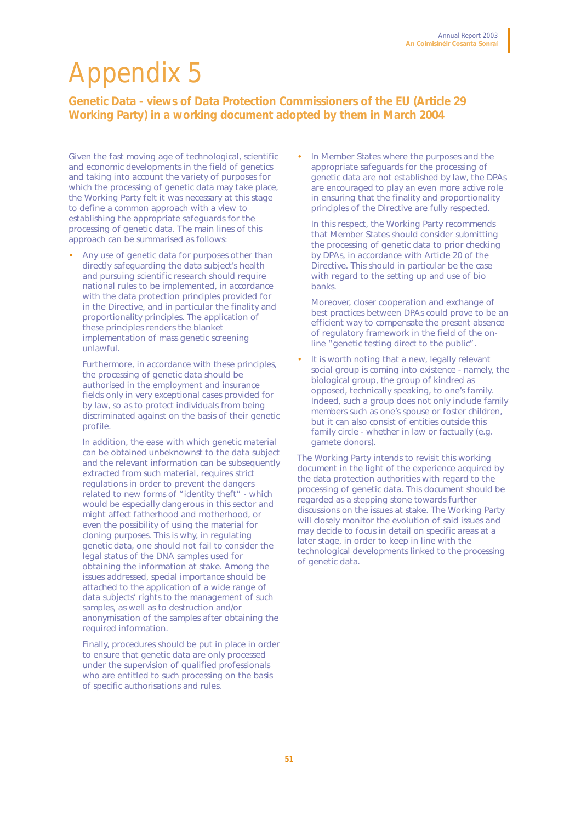## Appendix 5

*Genetic Data - views of Data Protection Commissioners of the EU (Article 29 Working Party) in a working document adopted by them in March 2004*

Given the fast moving age of technological, scientific and economic developments in the field of genetics and taking into account the variety of purposes for which the processing of genetic data may take place, the Working Party felt it was necessary at this stage to define a common approach with a view to establishing the appropriate safeguards for the processing of genetic data. The main lines of this approach can be summarised as follows:

Any use of genetic data for purposes other than directly safeguarding the data subject's health and pursuing scientific research should require national rules to be implemented, in accordance with the data protection principles provided for in the Directive, and in particular the finality and proportionality principles. The application of these principles renders the blanket implementation of mass genetic screening unlawful.

Furthermore, in accordance with these principles, the processing of genetic data should be authorised in the employment and insurance fields only in very exceptional cases provided for by law, so as to protect individuals from being discriminated against on the basis of their genetic profile.

In addition, the ease with which genetic material can be obtained unbeknownst to the data subject and the relevant information can be subsequently extracted from such material, requires strict regulations in order to prevent the dangers related to new forms of "identity theft" - which would be especially dangerous in this sector and might affect fatherhood and motherhood, or even the possibility of using the material for cloning purposes. This is why, in regulating genetic data, one should not fail to consider the legal status of the DNA samples used for obtaining the information at stake. Among the issues addressed, special importance should be attached to the application of a wide range of data subjects' rights to the management of such samples, as well as to destruction and/or anonymisation of the samples after obtaining the required information.

Finally, procedures should be put in place in order to ensure that genetic data are only processed under the supervision of qualified professionals who are entitled to such processing on the basis of specific authorisations and rules.

In Member States where the purposes and the appropriate safeguards for the processing of genetic data are not established by law, the DPAs are encouraged to play an even more active role in ensuring that the finality and proportionality principles of the Directive are fully respected.

In this respect, the Working Party recommends that Member States should consider submitting the processing of genetic data to prior checking by DPAs, in accordance with Article 20 of the Directive. This should in particular be the case with regard to the setting up and use of bio banks.

Moreover, closer cooperation and exchange of best practices between DPAs could prove to be an efficient way to compensate the present absence of regulatory framework in the field of the online "genetic testing direct to the public".

It is worth noting that a new, legally relevant social group is coming into existence - namely, the biological group, the group of kindred as opposed, technically speaking, to one's family. Indeed, such a group does not only include family members such as one's spouse or foster children, but it can also consist of entities outside this family circle - whether in law or factually (e.g. gamete donors).

The Working Party intends to revisit this working document in the light of the experience acquired by the data protection authorities with regard to the processing of genetic data. This document should be regarded as a stepping stone towards further discussions on the issues at stake. The Working Party will closely monitor the evolution of said issues and may decide to focus in detail on specific areas at a later stage, in order to keep in line with the technological developments linked to the processing of genetic data.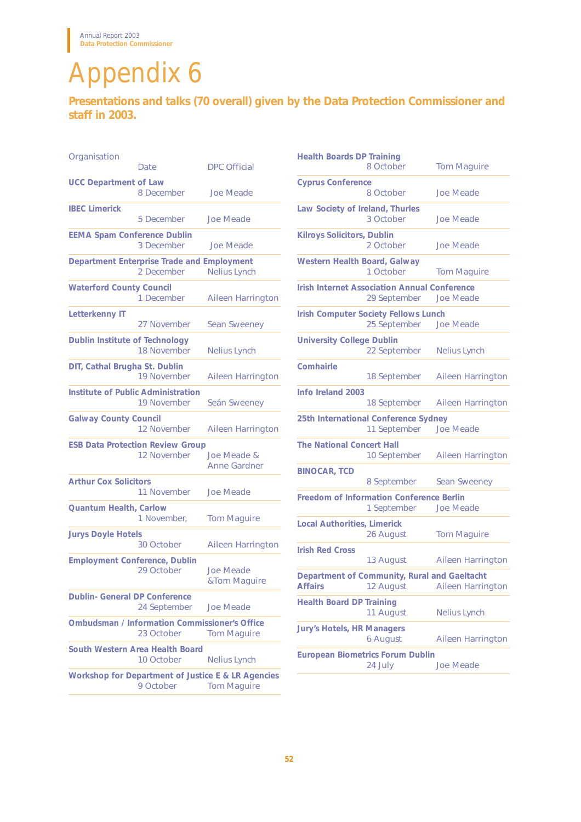## Appendix 6

#### *Presentations and talks (70 overall) given by the Data Protection Commissioner and staff in 2003.*

| Organisation                          | Date                                                               | <b>DPC Official</b>                                                                 |
|---------------------------------------|--------------------------------------------------------------------|-------------------------------------------------------------------------------------|
| <b>UCC Department of Law</b>          | 8 December                                                         | Joe Meade                                                                           |
| <b>IBEC Limerick</b>                  | 5 December                                                         | Joe Meade                                                                           |
| <b>EEMA Spam Conference Dublin</b>    | 3 December                                                         | Joe Meade                                                                           |
|                                       | <b>Department Enterprise Trade and Employment</b><br>2 December    | <b>Nelius Lynch</b>                                                                 |
| <b>Waterford County Council</b>       | 1 December                                                         | <b>Aileen Harrington</b>                                                            |
| Letterkenny IT                        | 27 November                                                        | <b>Sean Sweeney</b>                                                                 |
| <b>Dublin Institute of Technology</b> | 18 November                                                        | <b>Nelius Lynch</b>                                                                 |
| DIT, Cathal Brugha St. Dublin         | 19 November                                                        | <b>Aileen Harrington</b>                                                            |
| Institute of Public Administration    | 19 November                                                        | Seán Sweeney                                                                        |
| <b>Galway County Council</b>          | 12 November                                                        | <b>Aileen Harrington</b>                                                            |
|                                       | <b>ESB Data Protection Review Group</b><br>12 November             | Joe Meade &<br>Anne Gardner                                                         |
| <b>Arthur Cox Solicitors</b>          | 11 November                                                        | Joe Meade                                                                           |
| <b>Quantum Health, Carlow</b>         | 1 November,                                                        | <b>Tom Maguire</b>                                                                  |
| <b>Jurys Doyle Hotels</b>             | 30 October                                                         | Aileen Harrington                                                                   |
| <b>Employment Conference, Dublin</b>  | 29 October                                                         | <b>Joe Meade</b><br>&Tom Maguire                                                    |
| <b>Dublin- General DP Conference</b>  | 24 September                                                       | <b>Joe Meade</b>                                                                    |
|                                       | <b>Ombudsman / Information Commissioner's Office</b><br>23 October | <b>Tom Maguire</b>                                                                  |
|                                       | South Western Area Health Board<br>10 October                      | <b>Nelius Lynch</b>                                                                 |
|                                       | 9 October                                                          | <b>Workshop for Department of Justice E &amp; LR Agencies</b><br><b>Tom Maguire</b> |

| <b>Health Boards DP Training</b>    | 8 October                                                           | <b>Tom Maguire</b>       |
|-------------------------------------|---------------------------------------------------------------------|--------------------------|
| <b>Cyprus Conference</b>            | 8 October                                                           | Joe Meade                |
| Law Society of Ireland, Thurles     | 3 October                                                           | Joe Meade                |
| <b>Kilroys Solicitors, Dublin</b>   | 2 October                                                           | Joe Meade                |
| <b>Western Health Board, Galway</b> | 1 October                                                           | <b>Tom Maguire</b>       |
|                                     | <b>Irish Internet Association Annual Conference</b><br>29 September | Joe Meade                |
|                                     | <b>Irish Computer Society Fellows Lunch</b><br>25 September         | Joe Meade                |
| <b>University College Dublin</b>    | 22 September                                                        | <b>Nelius Lynch</b>      |
| Comhairle                           | 18 September                                                        | <b>Aileen Harrington</b> |
| Info Ireland 2003                   | 18 September                                                        | <b>Aileen Harrington</b> |
|                                     | 25th International Conference Sydney<br>11 September                | Joe Meade                |
| <b>The National Concert Hall</b>    | 10 September                                                        | <b>Aileen Harrington</b> |
| <b>BINOCAR, TCD</b>                 | 8 September                                                         | Sean Sweeney             |
|                                     | <b>Freedom of Information Conference Berlin</b><br>1 September      | Joe Meade                |
| <b>Local Authorities, Limerick</b>  | 26 August                                                           | <b>Tom Maguire</b>       |
| <b>Irish Red Cross</b>              | 13 August                                                           | Aileen Harrington        |
| <b>Affairs</b>                      | Department of Community, Rural and Gaeltacht<br>12 August           | Aileen Harrington        |
| <b>Health Board DP Training</b>     | 11 August                                                           | <b>Nelius Lynch</b>      |
| <b>Jury's Hotels, HR Managers</b>   | 6 August                                                            | Aileen Harrington        |
|                                     | <b>European Biometrics Forum Dublin</b><br>24 July                  | <i>Joe Meade</i>         |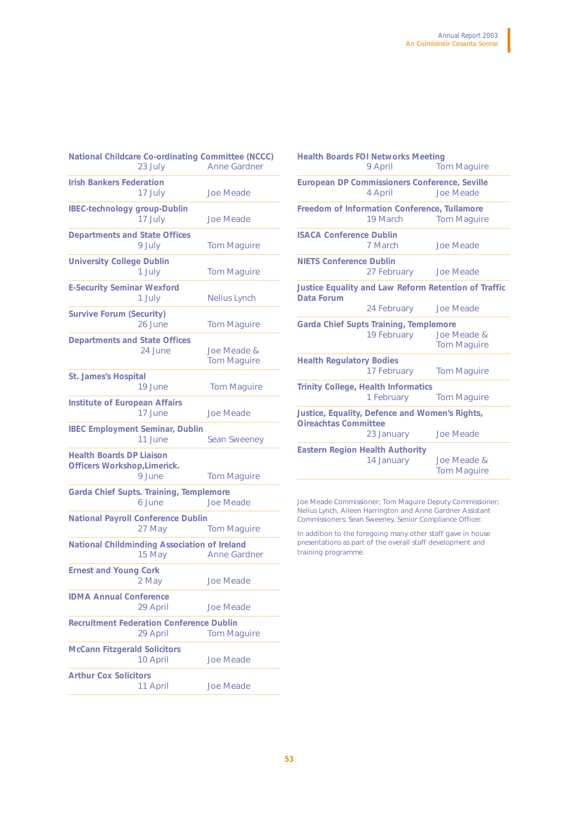| <b>National Childcare Co-ordinating Committee (NCCC)</b><br>23 July              | Anne Gardner                      |
|----------------------------------------------------------------------------------|-----------------------------------|
| <b>Irish Bankers Federation</b><br>17 July                                       | Joe Meade                         |
| <b>IBEC-technology group-Dublin</b><br>17 July                                   | Joe Meade                         |
| <b>Departments and State Offices</b><br>9 July                                   | <b>Tom Maguire</b>                |
| <b>University College Dublin</b><br>1 July                                       | <b>Tom Maguire</b>                |
| <b>E-Security Seminar Wexford</b><br>1 July                                      | <b>Nelius Lynch</b>               |
| <b>Survive Forum (Security)</b><br>26 June                                       | <b>Tom Maguire</b>                |
| <b>Departments and State Offices</b><br>24 June                                  | Joe Meade &<br><b>Tom Maguire</b> |
| <b>St. James's Hospital</b><br>19 June                                           | <b>Tom Maguire</b>                |
| <b>Institute of European Affairs</b><br>17 June                                  | Joe Meade                         |
| <b>IBEC Employment Seminar, Dublin</b><br>11 June                                | <b>Sean Sweeney</b>               |
| <b>Health Boards DP Liaison</b><br><b>Officers Workshop, Limerick.</b><br>9 June | <b>Tom Maguire</b>                |
| Garda Chief Supts. Training, Templemore<br>6 June                                | Joe Meade                         |
| <b>National Payroll Conference Dublin</b><br>27 May                              | <b>Tom Maguire</b>                |
| <b>National Childminding Association of Ireland</b><br>15 May                    | Anne Gardner                      |
| <b>Ernest and Young Cork</b><br>2 May                                            | Joe Meade                         |
| <b>IDMA Annual Conference</b><br>29 April                                        | Joe Meade                         |
| <b>Recruitment Federation Conference Dublin</b><br>29 April                      | <b>Tom Maguire</b>                |
| <b>McCann Fitzgerald Solicitors</b><br>10 April                                  | <b>Joe Meade</b>                  |
| <b>Arthur Cox Solicitors</b><br>11 April                                         | Joe Meade                         |

| <b>Health Boards FOI Networks Meeting</b>                                     |                                                      |                                                             |  |  |
|-------------------------------------------------------------------------------|------------------------------------------------------|-------------------------------------------------------------|--|--|
|                                                                               | 9 April                                              | <b>Tom Maguire</b>                                          |  |  |
|                                                                               | <b>European DP Commissioners Conference, Seville</b> |                                                             |  |  |
|                                                                               | 4 April                                              | Joe Meade                                                   |  |  |
|                                                                               | Freedom of Information Conference, Tullamore         |                                                             |  |  |
|                                                                               | 19 March                                             | <b>Tom Maguire</b>                                          |  |  |
| <b>ISACA Conference Dublin</b>                                                |                                                      |                                                             |  |  |
|                                                                               | 7 March                                              | Joe Meade                                                   |  |  |
| <b>NIETS Conference Dublin</b>                                                |                                                      |                                                             |  |  |
|                                                                               | 27 February                                          | Joe Meade                                                   |  |  |
| <b>Data Forum</b>                                                             |                                                      | <b>Justice Equality and Law Reform Retention of Traffic</b> |  |  |
|                                                                               | 24 February                                          | Joe Meade                                                   |  |  |
|                                                                               | <b>Garda Chief Supts Training, Templemore</b>        |                                                             |  |  |
|                                                                               | 19 February                                          | Joe Meade &                                                 |  |  |
|                                                                               |                                                      | <b>Tom Maguire</b>                                          |  |  |
| <b>Health Regulatory Bodies</b>                                               |                                                      |                                                             |  |  |
|                                                                               | 17 February                                          | <b>Tom Maguire</b>                                          |  |  |
|                                                                               | <b>Trinity College, Health Informatics</b>           |                                                             |  |  |
|                                                                               | 1 February                                           | <b>Tom Maguire</b>                                          |  |  |
| Justice, Equality, Defence and Women's Rights,<br><b>Oireachtas Committee</b> |                                                      |                                                             |  |  |
|                                                                               | 23 January                                           | Joe Meade                                                   |  |  |
| <b>Eastern Region Health Authority</b>                                        |                                                      |                                                             |  |  |
|                                                                               | 14 January                                           | Joe Meade &                                                 |  |  |
|                                                                               |                                                      | <b>Tom Maguire</b>                                          |  |  |

*Joe Meade Commissioner; Tom Maguire Deputy Commissioner; Nelius Lynch, Aileen Harrington and Anne Gardner Assistant Commissioners; Sean Sweeney, Senior Compliance Officer.*

*In addition to the foregoing many other staff gave in house presentations as part of the overall staff development and training programme.*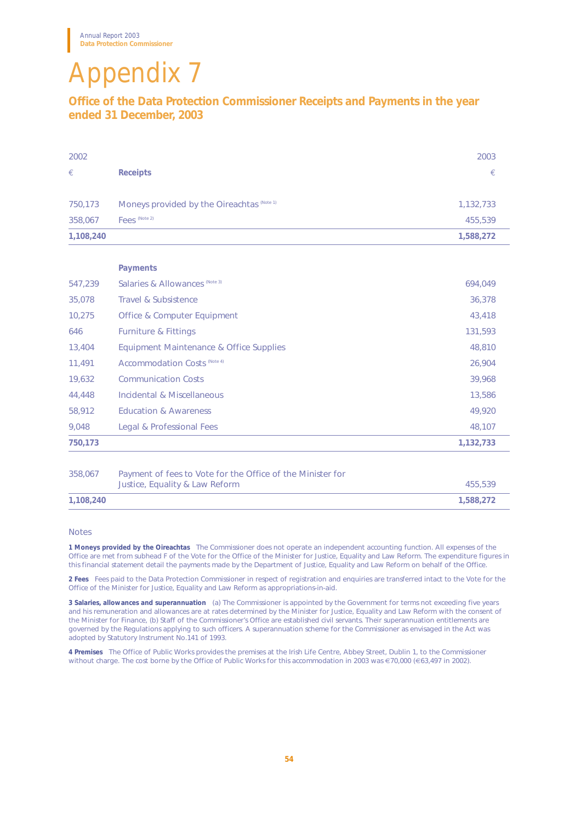## Appendix 7

#### *Office of the Data Protection Commissioner Receipts and Payments in the year ended 31 December, 2003*

| 2002      |                                                                                              | 2003      |
|-----------|----------------------------------------------------------------------------------------------|-----------|
| €         | <b>Receipts</b>                                                                              | €         |
| 750,173   | Moneys provided by the Oireachtas (Note 1)                                                   | 1,132,733 |
| 358,067   | Fees (Note 2)                                                                                | 455,539   |
| 1,108,240 |                                                                                              | 1,588,272 |
|           | <b>Payments</b>                                                                              |           |
| 547,239   | Salaries & Allowances (Note 3)                                                               | 694,049   |
| 35,078    | <b>Travel &amp; Subsistence</b>                                                              | 36,378    |
| 10,275    | <b>Office &amp; Computer Equipment</b>                                                       | 43,418    |
| 646       | <b>Furniture &amp; Fittings</b>                                                              | 131,593   |
| 13,404    | Equipment Maintenance & Office Supplies                                                      | 48,810    |
| 11,491    | Accommodation Costs (Note 4)                                                                 | 26,904    |
| 19,632    | <b>Communication Costs</b>                                                                   | 39,968    |
| 44,448    | Incidental & Miscellaneous                                                                   | 13,586    |
| 58,912    | <b>Education &amp; Awareness</b>                                                             | 49,920    |
| 9,048     | Legal & Professional Fees                                                                    | 48,107    |
| 750,173   |                                                                                              | 1,132,733 |
|           |                                                                                              |           |
| 358,067   | Payment of fees to Vote for the Office of the Minister for<br>Justice, Equality & Law Reform | 455,539   |

|           | $3031100$ , Equality a Eave Rotorin | 700,007   |
|-----------|-------------------------------------|-----------|
| 1,108,240 |                                     | 1,588,272 |
|           |                                     |           |

#### Notes

*1 Moneys provided by the Oireachtas* The Commissioner does not operate an independent accounting function. All expenses of the Office are met from subhead F of the Vote for the Office of the Minister for Justice, Equality and Law Reform. The expenditure figures in this financial statement detail the payments made by the Department of Justice, Equality and Law Reform on behalf of the Office.

*2 Fees* Fees paid to the Data Protection Commissioner in respect of registration and enquiries are transferred intact to the Vote for the Office of the Minister for Justice, Equality and Law Reform as appropriations-in-aid.

*3 Salaries, allowances and superannuation* (a) The Commissioner is appointed by the Government for terms not exceeding five years and his remuneration and allowances are at rates determined by the Minister for Justice, Equality and Law Reform with the consent of the Minister for Finance, (b) Staff of the Commissioner's Office are established civil servants. Their superannuation entitlements are governed by the Regulations applying to such officers. A superannuation scheme for the Commissioner as envisaged in the Act was adopted by Statutory Instrument No.141 of 1993.

*4 Premises* The Office of Public Works provides the premises at the Irish Life Centre, Abbey Street, Dublin 1, to the Commissioner without charge. The cost borne by the Office of Public Works for this accommodation in 2003 was €70,000 (€63,497 in 2002).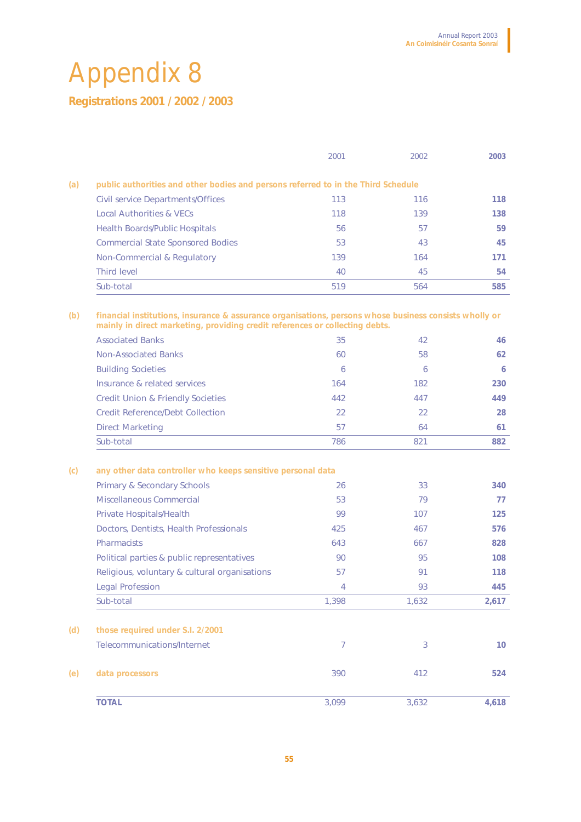### Appendix 8 *Registrations 2001 / 2002 / 2003*

|                                                                                   | 2001 | 2002 | 2003 |
|-----------------------------------------------------------------------------------|------|------|------|
| public authorities and other bodies and persons referred to in the Third Schedule |      |      |      |
| <b>Civil service Departments/Offices</b>                                          | 113  | 116  | 118  |
| <b>Local Authorities &amp; VECs</b>                                               | 118  | 139  | 138  |
| Health Boards/Public Hospitals                                                    | 56   | 57   | 59   |
| <b>Commercial State Sponsored Bodies</b>                                          | 53   | 43   | 45   |
| Non-Commercial & Regulatory                                                       | 139  | 164  | 171  |
| <b>Third level</b>                                                                | 40   | 45   | 54   |
| Sub-total                                                                         | 519  | 564  | 585  |

#### **(b) financial institutions, insurance & assurance organisations, persons whose business consists wholly or mainly in direct marketing, providing credit references or collecting debts.**

| <b>Associated Banks</b>                      | 35  | 42  | 46  |
|----------------------------------------------|-----|-----|-----|
| Non-Associated Banks                         | 60  | 58  | 62  |
| <b>Building Societies</b>                    | 6   | 6   | 6   |
| Insurance & related services                 | 164 | 182 | 230 |
| <b>Credit Union &amp; Friendly Societies</b> | 442 | 447 | 449 |
| <b>Credit Reference/Debt Collection</b>      | 22  | 22  | 28  |
| <b>Direct Marketing</b>                      | 57  | 64  | 61  |
| Sub-total                                    | 786 | 821 | 882 |

#### **(c) any other data controller who keeps sensitive personal data** Primary & Secondary Schools **340 26** 33 340

| <b>Miscellaneous Commercial</b>               | 53    | 79    | 77    |
|-----------------------------------------------|-------|-------|-------|
| Private Hospitals/Health                      | 99    | 107   | 125   |
| Doctors, Dentists, Health Professionals       | 425   | 467   | 576   |
| <b>Pharmacists</b>                            | 643   | 667   | 828   |
| Political parties & public representatives    | 90    | 95    | 108   |
| Religious, voluntary & cultural organisations | 57    | 91    | 118   |
| <b>Legal Profession</b>                       | 4     | 93    | 445   |
| Sub-total                                     | 1,398 | 1,632 | 2,617 |
| those required under S.I. 2/2001              |       |       |       |
| Telecommunications/Internet                   | 7     | 3     | 10    |
| data processors                               | 390   | 412   | 524   |
| <b>TOTAL</b>                                  | 3,099 | 3,632 | 4,618 |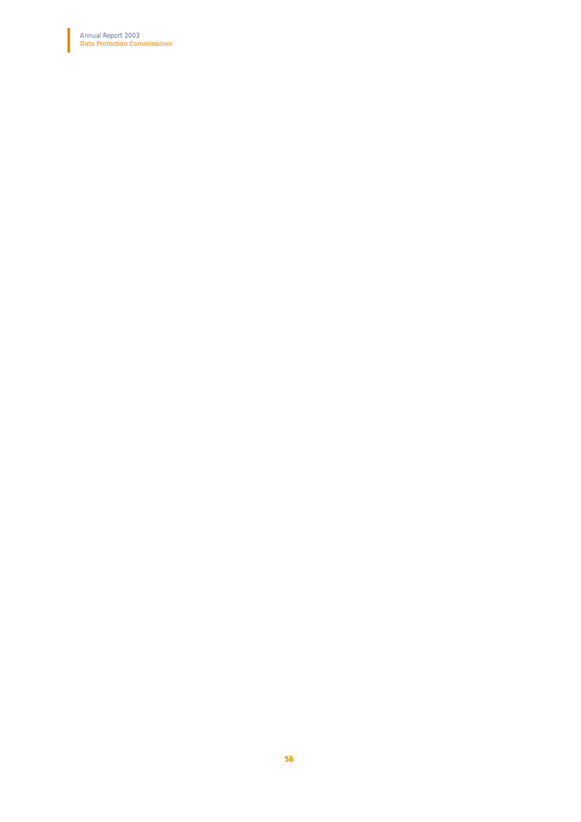*Annual Report 2003 Data Protection Commissioner*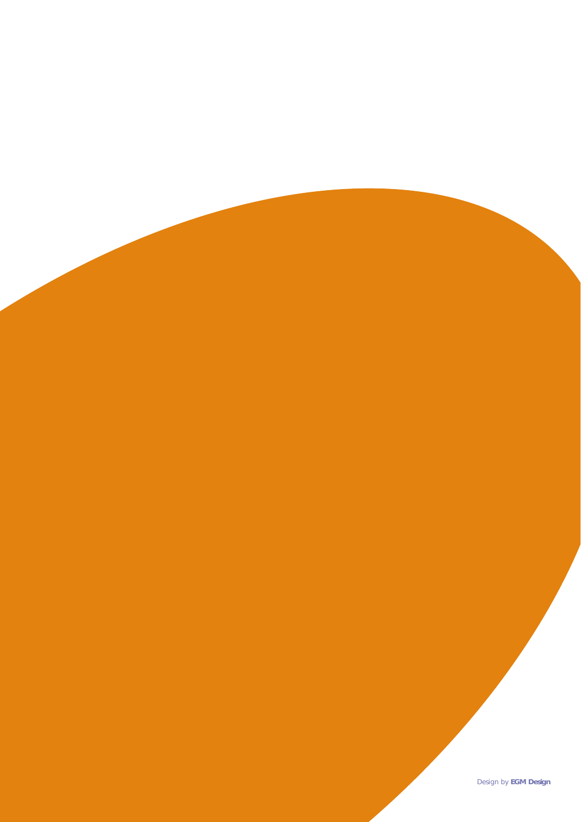Design by **EGM Design**